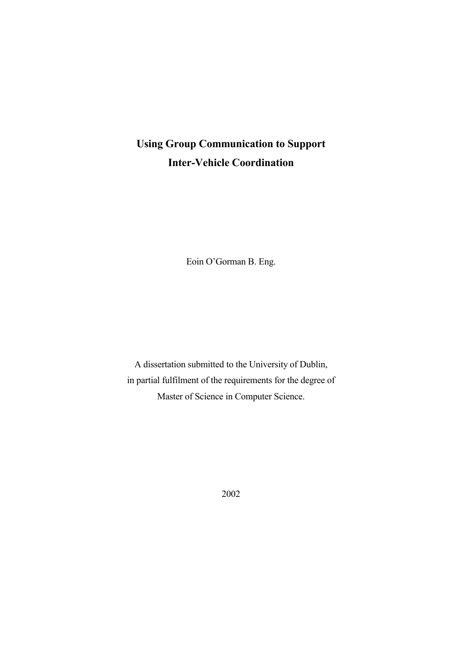# **Using Group Communication to Support Inter-Vehicle Coordination**

Eoin O'Gorman B. Eng.

A dissertation submitted to the University of Dublin, in partial fulfilment of the requirements for the degree of Master of Science in Computer Science.

2002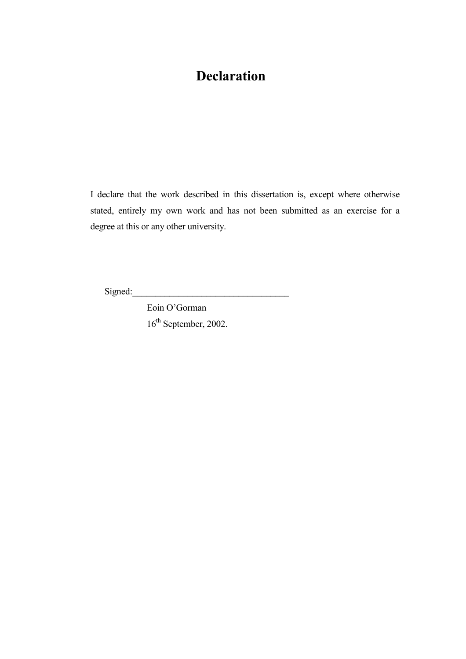# **Declaration**

I declare that the work described in this dissertation is, except where otherwise stated, entirely my own work and has not been submitted as an exercise for a degree at this or any other university.

Signed:\_\_\_\_\_\_\_\_\_\_\_\_\_\_\_\_\_\_\_\_\_\_\_\_\_\_\_\_\_\_\_\_\_\_

Eoin O'Gorman 16<sup>th</sup> September, 2002.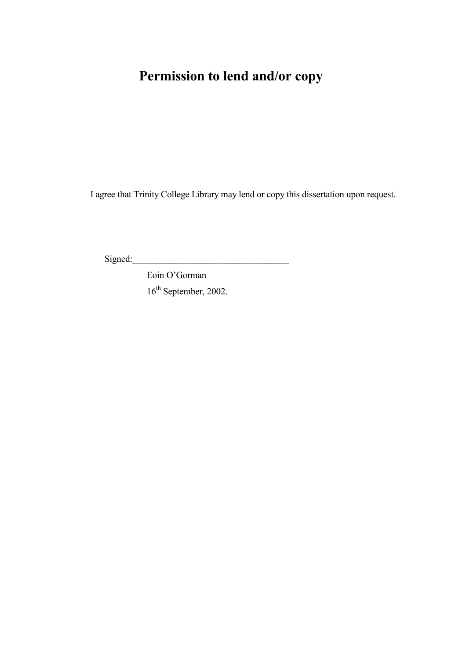# **Permission to lend and/or copy**

I agree that Trinity College Library may lend or copy this dissertation upon request.

 $Signed:$ 

Eoin O'Gorman 16<sup>th</sup> September, 2002.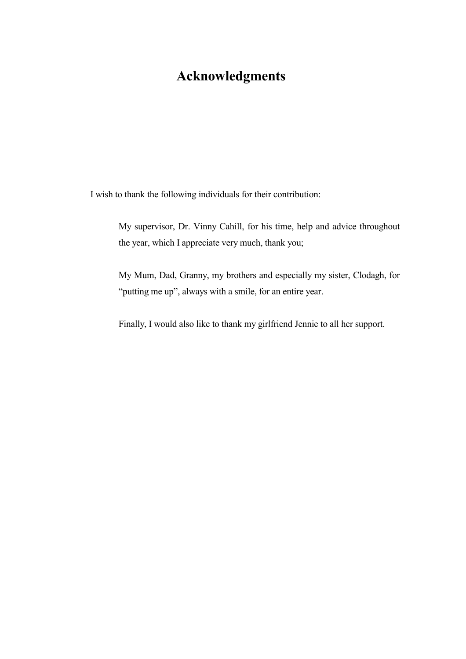# **Acknowledgments**

I wish to thank the following individuals for their contribution:

My supervisor, Dr. Vinny Cahill, for his time, help and advice throughout the year, which I appreciate very much, thank you;

My Mum, Dad, Granny, my brothers and especially my sister, Clodagh, for "putting me up", always with a smile, for an entire year.

Finally, I would also like to thank my girlfriend Jennie to all her support.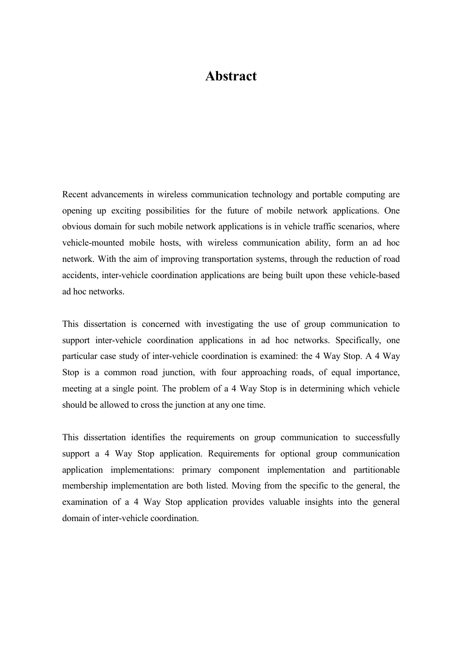# **Abstract**

Recent advancements in wireless communication technology and portable computing are opening up exciting possibilities for the future of mobile network applications. One obvious domain for such mobile network applications is in vehicle traffic scenarios, where vehicle-mounted mobile hosts, with wireless communication ability, form an ad hoc network. With the aim of improving transportation systems, through the reduction of road accidents, inter-vehicle coordination applications are being built upon these vehicle-based ad hoc networks.

This dissertation is concerned with investigating the use of group communication to support inter-vehicle coordination applications in ad hoc networks. Specifically, one particular case study of inter-vehicle coordination is examined: the 4 Way Stop. A 4 Way Stop is a common road junction, with four approaching roads, of equal importance, meeting at a single point. The problem of a 4 Way Stop is in determining which vehicle should be allowed to cross the junction at any one time.

This dissertation identifies the requirements on group communication to successfully support a 4 Way Stop application. Requirements for optional group communication application implementations: primary component implementation and partitionable membership implementation are both listed. Moving from the specific to the general, the examination of a 4 Way Stop application provides valuable insights into the general domain of inter-vehicle coordination.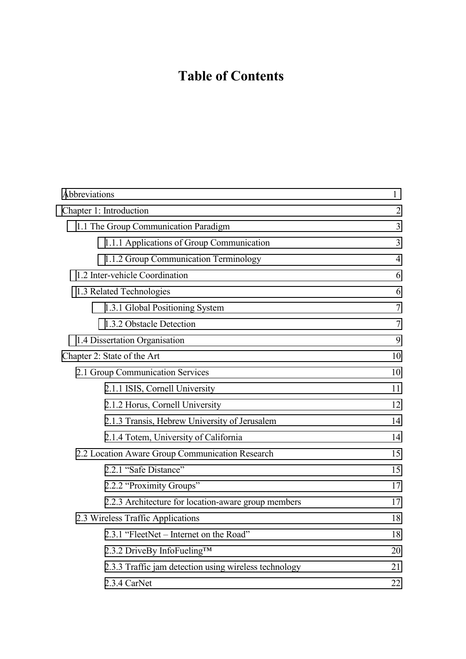# **Table of Contents**

| Abbreviations                                         | 1              |
|-------------------------------------------------------|----------------|
| Chapter 1: Introduction                               | $\overline{2}$ |
| 1.1 The Group Communication Paradigm                  | $\overline{3}$ |
| 1.1.1 Applications of Group Communication             | $\overline{3}$ |
| 1.1.2 Group Communication Terminology                 | $\overline{4}$ |
| 1.2 Inter-vehicle Coordination                        | 6              |
| 1.3 Related Technologies                              | 6              |
| 1.3.1 Global Positioning System                       | $\tau$         |
| 1.3.2 Obstacle Detection                              | 7              |
| 1.4 Dissertation Organisation                         | 9              |
| Chapter 2: State of the Art                           | 10             |
| 2.1 Group Communication Services                      | 10             |
| 2.1.1 ISIS, Cornell University                        | 11             |
| 2.1.2 Horus, Cornell University                       | 12             |
| 2.1.3 Transis, Hebrew University of Jerusalem         | 14             |
| 2.1.4 Totem, University of California                 | 14             |
| 2.2 Location Aware Group Communication Research       | 15             |
| 2.2.1 "Safe Distance"                                 | 15             |
| 2.2.2 "Proximity Groups"                              | 17             |
| 2.2.3 Architecture for location-aware group members   | 17             |
| 2.3 Wireless Traffic Applications                     | 18             |
| 2.3.1 "FleetNet – Internet on the Road"               | 18             |
| 2.3.2 DriveBy InfoFueling™                            | 20             |
| 2.3.3 Traffic jam detection using wireless technology | 21             |
| 2.3.4 CarNet                                          | 22             |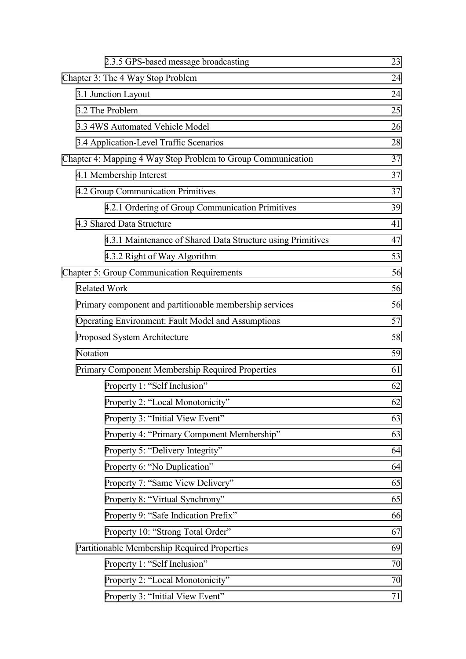| 2.3.5 GPS-based message broadcasting                         | 23 |  |
|--------------------------------------------------------------|----|--|
| Chapter 3: The 4 Way Stop Problem                            |    |  |
| 3.1 Junction Layout                                          |    |  |
| 3.2 The Problem                                              |    |  |
| 3.3 4WS Automated Vehicle Model                              |    |  |
| 3.4 Application-Level Traffic Scenarios                      | 28 |  |
| Chapter 4: Mapping 4 Way Stop Problem to Group Communication |    |  |
| 4.1 Membership Interest                                      | 37 |  |
| 4.2 Group Communication Primitives                           |    |  |
| 4.2.1 Ordering of Group Communication Primitives             | 39 |  |
| 4.3 Shared Data Structure                                    | 41 |  |
| 4.3.1 Maintenance of Shared Data Structure using Primitives  | 47 |  |
| 4.3.2 Right of Way Algorithm                                 | 53 |  |
| <b>Chapter 5: Group Communication Requirements</b>           | 56 |  |
| <b>Related Work</b>                                          | 56 |  |
| Primary component and partitionable membership services      | 56 |  |
| <b>Operating Environment: Fault Model and Assumptions</b>    | 57 |  |
| Proposed System Architecture                                 | 58 |  |
| Notation                                                     | 59 |  |
| Primary Component Membership Required Properties             | 61 |  |
| Property 1: "Self Inclusion"                                 | 62 |  |
| Property 2: "Local Monotonicity"                             | 62 |  |
| Property 3: "Initial View Event"                             | 63 |  |
| Property 4: "Primary Component Membership"                   | 63 |  |
| Property 5: "Delivery Integrity"                             | 64 |  |
| Property 6: "No Duplication"                                 | 64 |  |
| Property 7: "Same View Delivery"                             | 65 |  |
| Property 8: "Virtual Synchrony"                              | 65 |  |
| Property 9: "Safe Indication Prefix"                         | 66 |  |
| Property 10: "Strong Total Order"                            | 67 |  |
| Partitionable Membership Required Properties                 | 69 |  |
| Property 1: "Self Inclusion"                                 | 70 |  |
| Property 2: "Local Monotonicity"                             | 70 |  |
| Property 3: "Initial View Event"                             | 71 |  |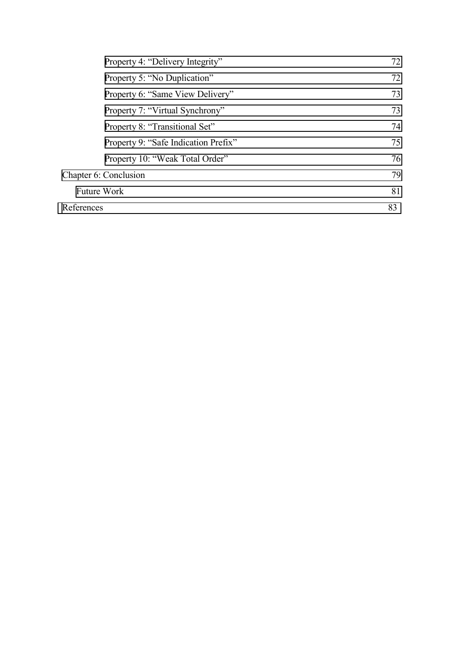| Property 4: "Delivery Integrity"     | 72 |
|--------------------------------------|----|
| Property 5: "No Duplication"         | 72 |
| Property 6: "Same View Delivery"     | 73 |
| Property 7: "Virtual Synchrony"      | 73 |
| Property 8: "Transitional Set"       | 74 |
| Property 9: "Safe Indication Prefix" | 75 |
| Property 10: "Weak Total Order"      | 76 |
| Chapter 6: Conclusion                | 79 |
| <b>Future Work</b>                   | 81 |
| References                           | 83 |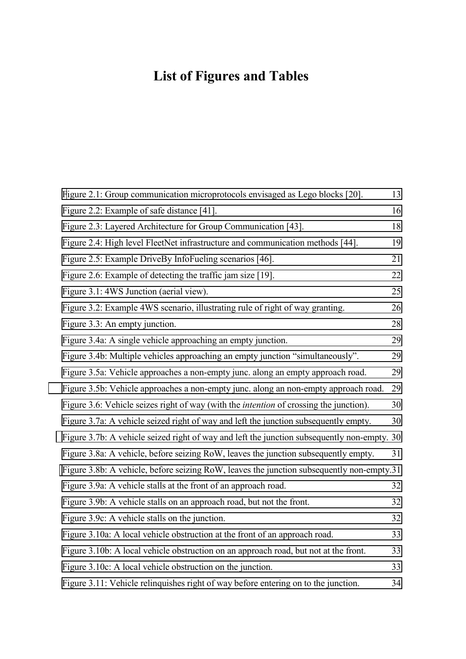# **List of Figures and Tables**

| Figure 2.1: Group communication microprotocols envisaged as Lego blocks [20].                 | 13 |
|-----------------------------------------------------------------------------------------------|----|
| Figure 2.2: Example of safe distance [41].                                                    | 16 |
| Figure 2.3: Layered Architecture for Group Communication [43].                                | 18 |
| Figure 2.4: High level FleetNet infrastructure and communication methods [44].                | 19 |
| Figure 2.5: Example DriveBy InfoFueling scenarios [46].                                       | 21 |
| Figure 2.6: Example of detecting the traffic jam size [19].                                   | 22 |
| Figure 3.1: 4WS Junction (aerial view).                                                       | 25 |
| Figure 3.2: Example 4WS scenario, illustrating rule of right of way granting.                 | 26 |
| Figure 3.3: An empty junction.                                                                | 28 |
| Figure 3.4a: A single vehicle approaching an empty junction.                                  | 29 |
| Figure 3.4b: Multiple vehicles approaching an empty junction "simultaneously".                | 29 |
| Figure 3.5a: Vehicle approaches a non-empty junc. along an empty approach road.               | 29 |
| Figure 3.5b: Vehicle approaches a non-empty junc. along an non-empty approach road.           | 29 |
| Figure 3.6: Vehicle seizes right of way (with the <i>intention</i> of crossing the junction). | 30 |
| Figure 3.7a: A vehicle seized right of way and left the junction subsequently empty.          | 30 |
| Figure 3.7b: A vehicle seized right of way and left the junction subsequently non-empty. 30   |    |
| Figure 3.8a: A vehicle, before seizing RoW, leaves the junction subsequently empty.           | 31 |
| Figure 3.8b: A vehicle, before seizing RoW, leaves the junction subsequently non-empty.31     |    |
| Figure 3.9a: A vehicle stalls at the front of an approach road.                               | 32 |
| Figure 3.9b: A vehicle stalls on an approach road, but not the front.                         | 32 |
| Figure 3.9c: A vehicle stalls on the junction.                                                | 32 |
| Figure 3.10a: A local vehicle obstruction at the front of an approach road.                   | 33 |
| Figure 3.10b: A local vehicle obstruction on an approach road, but not at the front.          | 33 |
| Figure 3.10c: A local vehicle obstruction on the junction.                                    | 33 |
| Figure 3.11: Vehicle relinquishes right of way before entering on to the junction.            | 34 |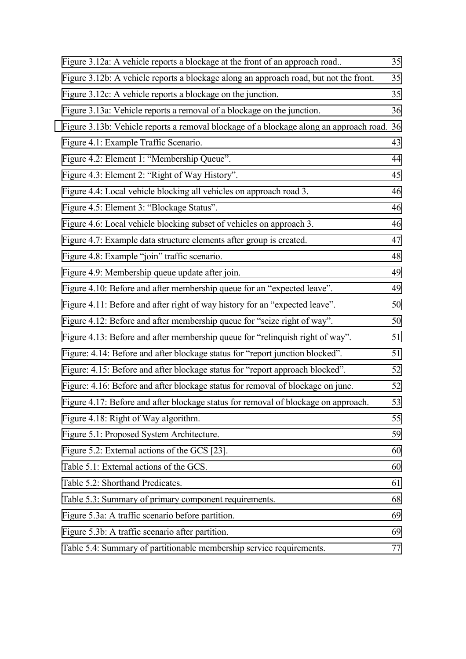| Figure 3.12a: A vehicle reports a blockage at the front of an approach road               | 35 |
|-------------------------------------------------------------------------------------------|----|
| Figure 3.12b: A vehicle reports a blockage along an approach road, but not the front.     | 35 |
| Figure 3.12c: A vehicle reports a blockage on the junction.                               | 35 |
| Figure 3.13a: Vehicle reports a removal of a blockage on the junction.                    | 36 |
| Figure 3.13b: Vehicle reports a removal blockage of a blockage along an approach road. 36 |    |
| Figure 4.1: Example Traffic Scenario.                                                     | 43 |
| Figure 4.2: Element 1: "Membership Queue".                                                | 44 |
| Figure 4.3: Element 2: "Right of Way History".                                            | 45 |
| Figure 4.4: Local vehicle blocking all vehicles on approach road 3.                       | 46 |
| Figure 4.5: Element 3: "Blockage Status".                                                 | 46 |
| Figure 4.6: Local vehicle blocking subset of vehicles on approach 3.                      | 46 |
| Figure 4.7: Example data structure elements after group is created.                       | 47 |
| Figure 4.8: Example "join" traffic scenario.                                              | 48 |
| Figure 4.9: Membership queue update after join.                                           | 49 |
| Figure 4.10: Before and after membership queue for an "expected leave".                   | 49 |
| Figure 4.11: Before and after right of way history for an "expected leave".               | 50 |
| Figure 4.12: Before and after membership queue for "seize right of way".                  | 50 |
| Figure 4.13: Before and after membership queue for "relinquish right of way".             | 51 |
| Figure: 4.14: Before and after blockage status for "report junction blocked".             | 51 |
| Figure: 4.15: Before and after blockage status for "report approach blocked".             | 52 |
| Figure: 4.16: Before and after blockage status for removal of blockage on junc.           | 52 |
| Figure 4.17: Before and after blockage status for removal of blockage on approach.        | 53 |
| Figure 4.18: Right of Way algorithm.                                                      | 55 |
| Figure 5.1: Proposed System Architecture.                                                 | 59 |
| Figure 5.2: External actions of the GCS [23].                                             | 60 |
| Table 5.1: External actions of the GCS.                                                   | 60 |
| Table 5.2: Shorthand Predicates.                                                          | 61 |
| Table 5.3: Summary of primary component requirements.                                     | 68 |
| Figure 5.3a: A traffic scenario before partition.                                         | 69 |
| Figure 5.3b: A traffic scenario after partition.                                          | 69 |
| Table 5.4: Summary of partitionable membership service requirements.                      | 77 |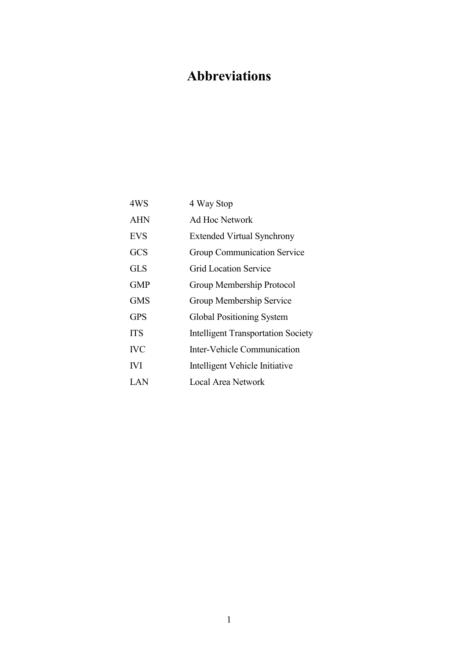# <span id="page-10-0"></span>**Abbreviations**

| 4WS        | 4 Way Stop                                |
|------------|-------------------------------------------|
| <b>AHN</b> | <b>Ad Hoc Network</b>                     |
| <b>EVS</b> | <b>Extended Virtual Synchrony</b>         |
| <b>GCS</b> | Group Communication Service               |
| <b>GLS</b> | Grid Location Service                     |
| <b>GMP</b> | Group Membership Protocol                 |
| <b>GMS</b> | Group Membership Service                  |
| <b>GPS</b> | <b>Global Positioning System</b>          |
| <b>ITS</b> | <b>Intelligent Transportation Society</b> |
| <b>IVC</b> | Inter-Vehicle Communication               |
| <b>IVI</b> | Intelligent Vehicle Initiative            |
| LAN        | Local Area Network                        |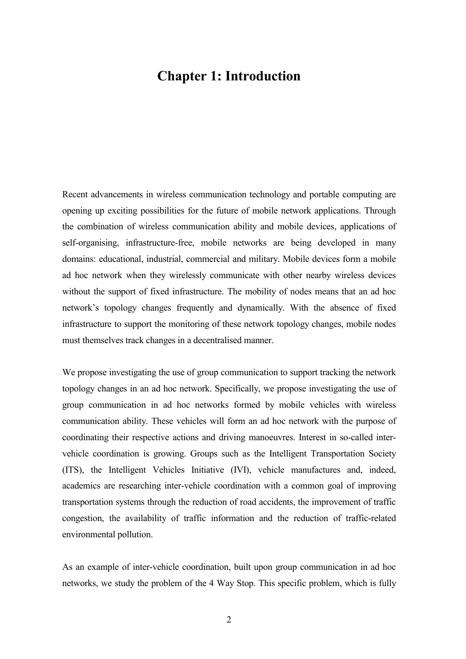# <span id="page-11-0"></span>**Chapter 1: Introduction**

Recent advancements in wireless communication technology and portable computing are opening up exciting possibilities for the future of mobile network applications. Through the combination of wireless communication ability and mobile devices, applications of self-organising, infrastructure-free, mobile networks are being developed in many domains: educational, industrial, commercial and military. Mobile devices form a mobile ad hoc network when they wirelessly communicate with other nearby wireless devices without the support of fixed infrastructure. The mobility of nodes means that an ad hoc network's topology changes frequently and dynamically. With the absence of fixed infrastructure to support the monitoring of these network topology changes, mobile nodes must themselves track changes in a decentralised manner.

We propose investigating the use of group communication to support tracking the network topology changes in an ad hoc network. Specifically, we propose investigating the use of group communication in ad hoc networks formed by mobile vehicles with wireless communication ability. These vehicles will form an ad hoc network with the purpose of coordinating their respective actions and driving manoeuvres. Interest in so-called intervehicle coordination is growing. Groups such as the Intelligent Transportation Society (ITS), the Intelligent Vehicles Initiative (IVI), vehicle manufactures and, indeed, academics are researching inter-vehicle coordination with a common goal of improving transportation systems through the reduction of road accidents, the improvement of traffic congestion, the availability of traffic information and the reduction of traffic-related environmental pollution.

As an example of inter-vehicle coordination, built upon group communication in ad hoc networks, we study the problem of the 4 Way Stop. This specific problem, which is fully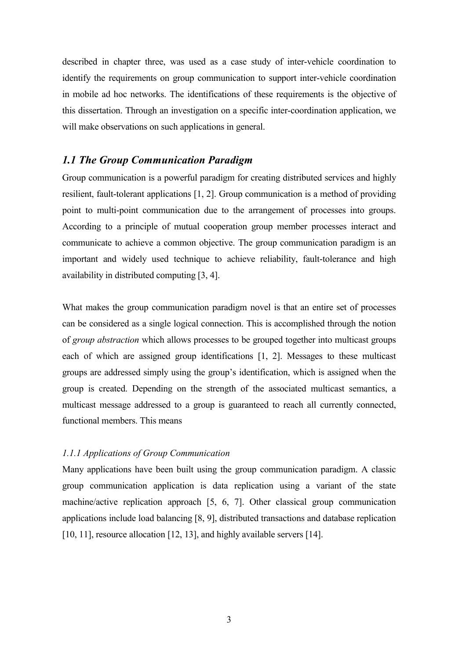<span id="page-12-0"></span>described in chapter three, was used as a case study of inter-vehicle coordination to identify the requirements on group communication to support inter-vehicle coordination in mobile ad hoc networks. The identifications of these requirements is the objective of this dissertation. Through an investigation on a specific inter-coordination application, we will make observations on such applications in general.

### *1.1 The Group Communication Paradigm*

Group communication is a powerful paradigm for creating distributed services and highly resilient, fault-tolerant applications [1, 2]. Group communication is a method of providing point to multi-point communication due to the arrangement of processes into groups. According to a principle of mutual cooperation group member processes interact and communicate to achieve a common objective. The group communication paradigm is an important and widely used technique to achieve reliability, fault-tolerance and high availability in distributed computing [3, 4].

What makes the group communication paradigm novel is that an entire set of processes can be considered as a single logical connection. This is accomplished through the notion of *group abstraction* which allows processes to be grouped together into multicast groups each of which are assigned group identifications [1, 2]. Messages to these multicast groups are addressed simply using the group's identification, which is assigned when the group is created. Depending on the strength of the associated multicast semantics, a multicast message addressed to a group is guaranteed to reach all currently connected, functional members. This means

### *1.1.1 Applications of Group Communication*

Many applications have been built using the group communication paradigm. A classic group communication application is data replication using a variant of the state machine/active replication approach [5, 6, 7]. Other classical group communication applications include load balancing [8, 9], distributed transactions and database replication [10, 11], resource allocation [12, 13], and highly available servers [14].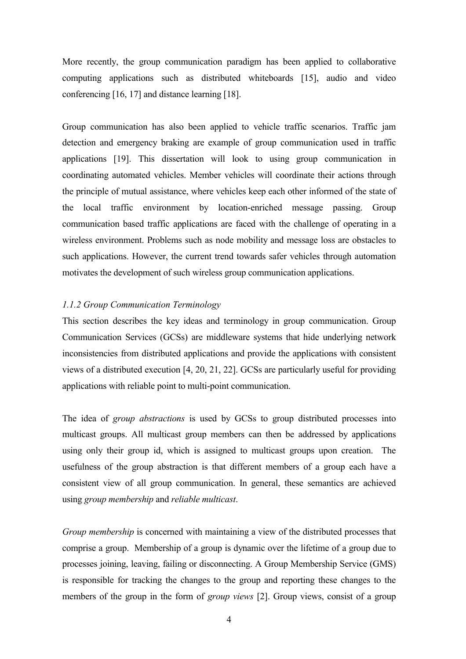<span id="page-13-0"></span>More recently, the group communication paradigm has been applied to collaborative computing applications such as distributed whiteboards [15], audio and video conferencing [16, 17] and distance learning [18].

Group communication has also been applied to vehicle traffic scenarios. Traffic jam detection and emergency braking are example of group communication used in traffic applications [19]. This dissertation will look to using group communication in coordinating automated vehicles. Member vehicles will coordinate their actions through the principle of mutual assistance, where vehicles keep each other informed of the state of the local traffic environment by location-enriched message passing. Group communication based traffic applications are faced with the challenge of operating in a wireless environment. Problems such as node mobility and message loss are obstacles to such applications. However, the current trend towards safer vehicles through automation motivates the development of such wireless group communication applications.

#### *1.1.2 Group Communication Terminology*

This section describes the key ideas and terminology in group communication. Group Communication Services (GCSs) are middleware systems that hide underlying network inconsistencies from distributed applications and provide the applications with consistent views of a distributed execution [4, 20, 21, 22]. GCSs are particularly useful for providing applications with reliable point to multi-point communication.

The idea of *group abstractions* is used by GCSs to group distributed processes into multicast groups. All multicast group members can then be addressed by applications using only their group id, which is assigned to multicast groups upon creation. The usefulness of the group abstraction is that different members of a group each have a consistent view of all group communication. In general, these semantics are achieved using *group membership* and *reliable multicast*.

*Group membership* is concerned with maintaining a view of the distributed processes that comprise a group. Membership of a group is dynamic over the lifetime of a group due to processes joining, leaving, failing or disconnecting. A Group Membership Service (GMS) is responsible for tracking the changes to the group and reporting these changes to the members of the group in the form of *group views* [2]. Group views, consist of a group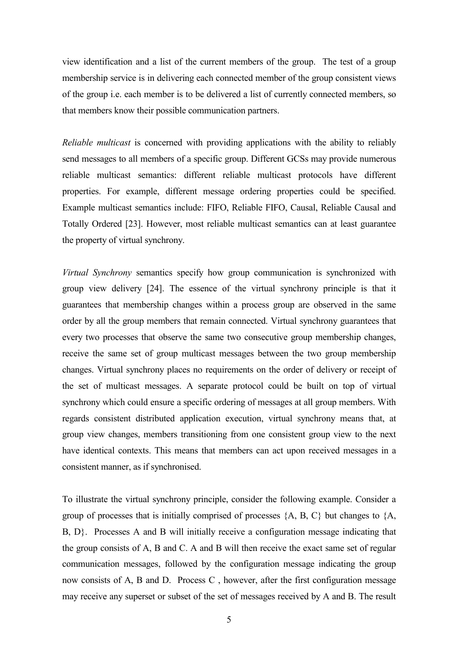view identification and a list of the current members of the group. The test of a group membership service is in delivering each connected member of the group consistent views of the group i.e. each member is to be delivered a list of currently connected members, so that members know their possible communication partners.

*Reliable multicast* is concerned with providing applications with the ability to reliably send messages to all members of a specific group. Different GCSs may provide numerous reliable multicast semantics: different reliable multicast protocols have different properties. For example, different message ordering properties could be specified. Example multicast semantics include: FIFO, Reliable FIFO, Causal, Reliable Causal and Totally Ordered [23]. However, most reliable multicast semantics can at least guarantee the property of virtual synchrony.

*Virtual Synchrony* semantics specify how group communication is synchronized with group view delivery [24]. The essence of the virtual synchrony principle is that it guarantees that membership changes within a process group are observed in the same order by all the group members that remain connected. Virtual synchrony guarantees that every two processes that observe the same two consecutive group membership changes, receive the same set of group multicast messages between the two group membership changes. Virtual synchrony places no requirements on the order of delivery or receipt of the set of multicast messages. A separate protocol could be built on top of virtual synchrony which could ensure a specific ordering of messages at all group members. With regards consistent distributed application execution, virtual synchrony means that, at group view changes, members transitioning from one consistent group view to the next have identical contexts. This means that members can act upon received messages in a consistent manner, as if synchronised.

To illustrate the virtual synchrony principle, consider the following example. Consider a group of processes that is initially comprised of processes  $\{A, B, C\}$  but changes to  $\{A, \overline{A}\}$ B, D}. Processes A and B will initially receive a configuration message indicating that the group consists of A, B and C. A and B will then receive the exact same set of regular communication messages, followed by the configuration message indicating the group now consists of A, B and D. Process C , however, after the first configuration message may receive any superset or subset of the set of messages received by A and B. The result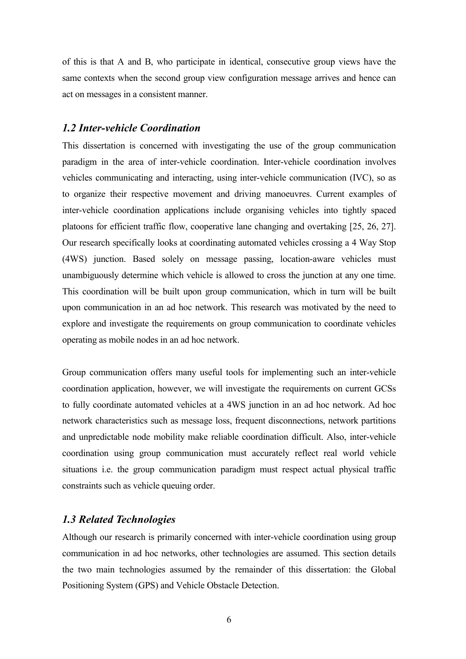<span id="page-15-0"></span>of this is that A and B, who participate in identical, consecutive group views have the same contexts when the second group view configuration message arrives and hence can act on messages in a consistent manner.

### *1.2 Inter-vehicle Coordination*

This dissertation is concerned with investigating the use of the group communication paradigm in the area of inter-vehicle coordination. Inter-vehicle coordination involves vehicles communicating and interacting, using inter-vehicle communication (IVC), so as to organize their respective movement and driving manoeuvres. Current examples of inter-vehicle coordination applications include organising vehicles into tightly spaced platoons for efficient traffic flow, cooperative lane changing and overtaking [25, 26, 27]. Our research specifically looks at coordinating automated vehicles crossing a 4 Way Stop (4WS) junction. Based solely on message passing, location-aware vehicles must unambiguously determine which vehicle is allowed to cross the junction at any one time. This coordination will be built upon group communication, which in turn will be built upon communication in an ad hoc network. This research was motivated by the need to explore and investigate the requirements on group communication to coordinate vehicles operating as mobile nodes in an ad hoc network.

Group communication offers many useful tools for implementing such an inter-vehicle coordination application, however, we will investigate the requirements on current GCSs to fully coordinate automated vehicles at a 4WS junction in an ad hoc network. Ad hoc network characteristics such as message loss, frequent disconnections, network partitions and unpredictable node mobility make reliable coordination difficult. Also, inter-vehicle coordination using group communication must accurately reflect real world vehicle situations i.e. the group communication paradigm must respect actual physical traffic constraints such as vehicle queuing order.

### *1.3 Related Technologies*

Although our research is primarily concerned with inter-vehicle coordination using group communication in ad hoc networks, other technologies are assumed. This section details the two main technologies assumed by the remainder of this dissertation: the Global Positioning System (GPS) and Vehicle Obstacle Detection.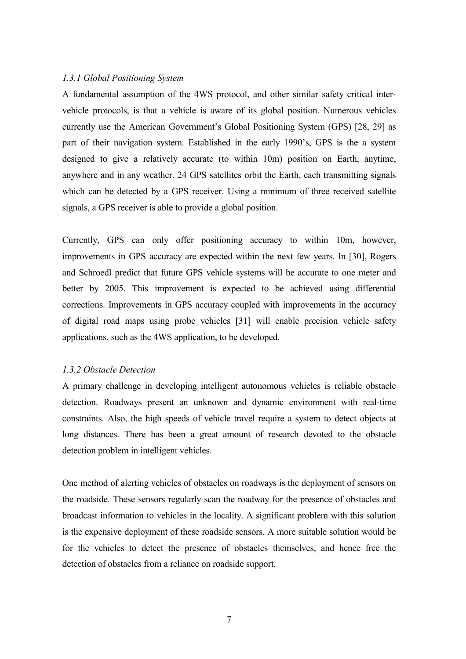#### <span id="page-16-0"></span>*1.3.1 Global Positioning System*

A fundamental assumption of the 4WS protocol, and other similar safety critical intervehicle protocols, is that a vehicle is aware of its global position. Numerous vehicles currently use the American Government's Global Positioning System (GPS) [28, 29] as part of their navigation system. Established in the early 1990's, GPS is the a system designed to give a relatively accurate (to within 10m) position on Earth, anytime, anywhere and in any weather. 24 GPS satellites orbit the Earth, each transmitting signals which can be detected by a GPS receiver. Using a minimum of three received satellite signals, a GPS receiver is able to provide a global position.

Currently, GPS can only offer positioning accuracy to within 10m, however, improvements in GPS accuracy are expected within the next few years. In [30], Rogers and Schroedl predict that future GPS vehicle systems will be accurate to one meter and better by 2005. This improvement is expected to be achieved using differential corrections. Improvements in GPS accuracy coupled with improvements in the accuracy of digital road maps using probe vehicles [31] will enable precision vehicle safety applications, such as the 4WS application, to be developed.

#### *1.3.2 Obstacle Detection*

A primary challenge in developing intelligent autonomous vehicles is reliable obstacle detection. Roadways present an unknown and dynamic environment with real-time constraints. Also, the high speeds of vehicle travel require a system to detect objects at long distances. There has been a great amount of research devoted to the obstacle detection problem in intelligent vehicles.

One method of alerting vehicles of obstacles on roadways is the deployment of sensors on the roadside. These sensors regularly scan the roadway for the presence of obstacles and broadcast information to vehicles in the locality. A significant problem with this solution is the expensive deployment of these roadside sensors. A more suitable solution would be for the vehicles to detect the presence of obstacles themselves, and hence free the detection of obstacles from a reliance on roadside support.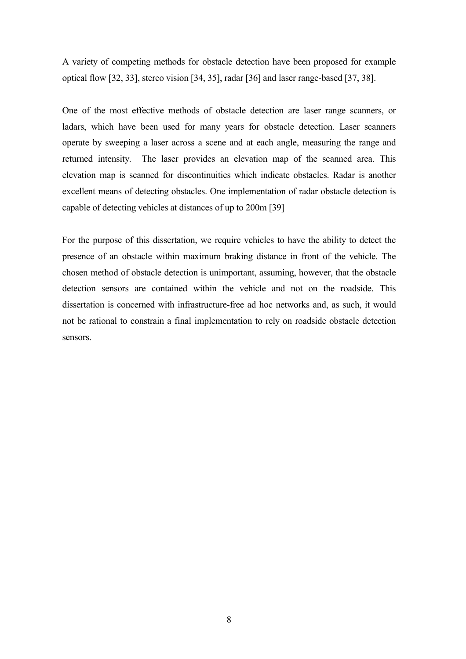A variety of competing methods for obstacle detection have been proposed for example optical flow [32, 33], stereo vision [34, 35], radar [36] and laser range-based [37, 38].

One of the most effective methods of obstacle detection are laser range scanners, or ladars, which have been used for many years for obstacle detection. Laser scanners operate by sweeping a laser across a scene and at each angle, measuring the range and returned intensity. The laser provides an elevation map of the scanned area. This elevation map is scanned for discontinuities which indicate obstacles. Radar is another excellent means of detecting obstacles. One implementation of radar obstacle detection is capable of detecting vehicles at distances of up to 200m [39]

For the purpose of this dissertation, we require vehicles to have the ability to detect the presence of an obstacle within maximum braking distance in front of the vehicle. The chosen method of obstacle detection is unimportant, assuming, however, that the obstacle detection sensors are contained within the vehicle and not on the roadside. This dissertation is concerned with infrastructure-free ad hoc networks and, as such, it would not be rational to constrain a final implementation to rely on roadside obstacle detection sensors.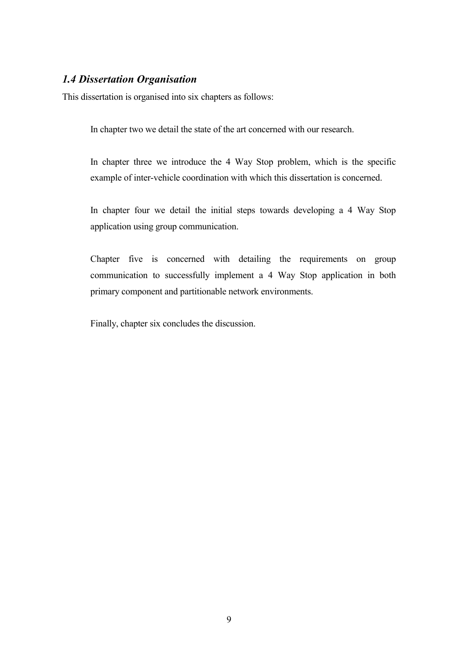## <span id="page-18-0"></span>*1.4 Dissertation Organisation*

This dissertation is organised into six chapters as follows:

In chapter two we detail the state of the art concerned with our research.

In chapter three we introduce the 4 Way Stop problem, which is the specific example of inter-vehicle coordination with which this dissertation is concerned.

In chapter four we detail the initial steps towards developing a 4 Way Stop application using group communication.

Chapter five is concerned with detailing the requirements on group communication to successfully implement a 4 Way Stop application in both primary component and partitionable network environments.

Finally, chapter six concludes the discussion.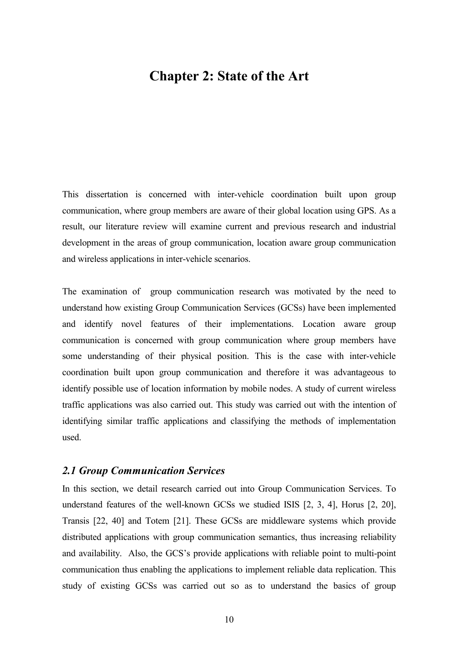# <span id="page-19-0"></span>**Chapter 2: State of the Art**

This dissertation is concerned with inter-vehicle coordination built upon group communication, where group members are aware of their global location using GPS. As a result, our literature review will examine current and previous research and industrial development in the areas of group communication, location aware group communication and wireless applications in inter-vehicle scenarios.

The examination of group communication research was motivated by the need to understand how existing Group Communication Services (GCSs) have been implemented and identify novel features of their implementations. Location aware group communication is concerned with group communication where group members have some understanding of their physical position. This is the case with inter-vehicle coordination built upon group communication and therefore it was advantageous to identify possible use of location information by mobile nodes. A study of current wireless traffic applications was also carried out. This study was carried out with the intention of identifying similar traffic applications and classifying the methods of implementation used.

## *2.1 Group Communication Services*

In this section, we detail research carried out into Group Communication Services. To understand features of the well-known GCSs we studied ISIS [2, 3, 4], Horus [2, 20], Transis [22, 40] and Totem [21]. These GCSs are middleware systems which provide distributed applications with group communication semantics, thus increasing reliability and availability. Also, the GCS's provide applications with reliable point to multi-point communication thus enabling the applications to implement reliable data replication. This study of existing GCSs was carried out so as to understand the basics of group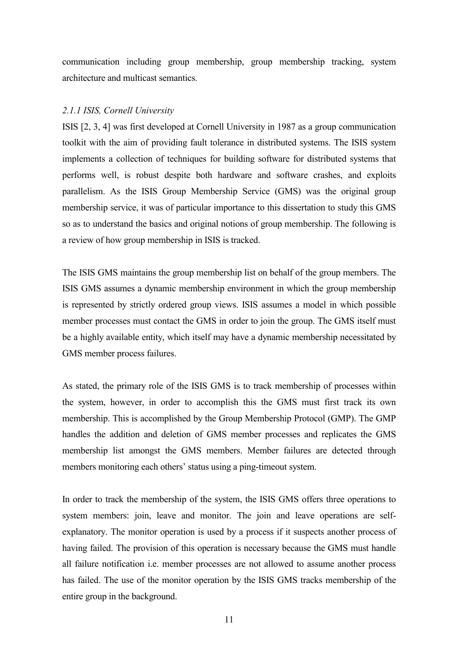<span id="page-20-0"></span>communication including group membership, group membership tracking, system architecture and multicast semantics.

#### *2.1.1 ISIS, Cornell University*

ISIS [2, 3, 4] was first developed at Cornell University in 1987 as a group communication toolkit with the aim of providing fault tolerance in distributed systems. The ISIS system implements a collection of techniques for building software for distributed systems that performs well, is robust despite both hardware and software crashes, and exploits parallelism. As the ISIS Group Membership Service (GMS) was the original group membership service, it was of particular importance to this dissertation to study this GMS so as to understand the basics and original notions of group membership. The following is a review of how group membership in ISIS is tracked.

The ISIS GMS maintains the group membership list on behalf of the group members. The ISIS GMS assumes a dynamic membership environment in which the group membership is represented by strictly ordered group views. ISIS assumes a model in which possible member processes must contact the GMS in order to join the group. The GMS itself must be a highly available entity, which itself may have a dynamic membership necessitated by GMS member process failures.

As stated, the primary role of the ISIS GMS is to track membership of processes within the system, however, in order to accomplish this the GMS must first track its own membership. This is accomplished by the Group Membership Protocol (GMP). The GMP handles the addition and deletion of GMS member processes and replicates the GMS membership list amongst the GMS members. Member failures are detected through members monitoring each others' status using a ping-timeout system.

In order to track the membership of the system, the ISIS GMS offers three operations to system members: join, leave and monitor. The join and leave operations are selfexplanatory. The monitor operation is used by a process if it suspects another process of having failed. The provision of this operation is necessary because the GMS must handle all failure notification i.e. member processes are not allowed to assume another process has failed. The use of the monitor operation by the ISIS GMS tracks membership of the entire group in the background.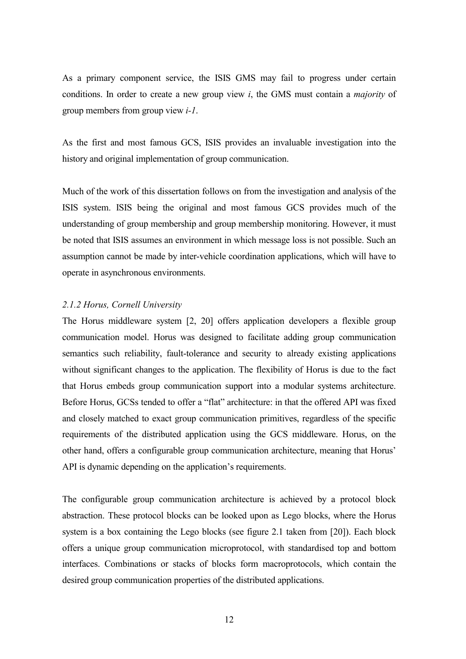<span id="page-21-0"></span>As a primary component service, the ISIS GMS may fail to progress under certain conditions. In order to create a new group view *i*, the GMS must contain a *majority* of group members from group view *i-1*.

As the first and most famous GCS, ISIS provides an invaluable investigation into the history and original implementation of group communication.

Much of the work of this dissertation follows on from the investigation and analysis of the ISIS system. ISIS being the original and most famous GCS provides much of the understanding of group membership and group membership monitoring. However, it must be noted that ISIS assumes an environment in which message loss is not possible. Such an assumption cannot be made by inter-vehicle coordination applications, which will have to operate in asynchronous environments.

#### *2.1.2 Horus, Cornell University*

The Horus middleware system [2, 20] offers application developers a flexible group communication model. Horus was designed to facilitate adding group communication semantics such reliability, fault-tolerance and security to already existing applications without significant changes to the application. The flexibility of Horus is due to the fact that Horus embeds group communication support into a modular systems architecture. Before Horus, GCSs tended to offer a "flat" architecture: in that the offered API was fixed and closely matched to exact group communication primitives, regardless of the specific requirements of the distributed application using the GCS middleware. Horus, on the other hand, offers a configurable group communication architecture, meaning that Horus' API is dynamic depending on the application's requirements.

The configurable group communication architecture is achieved by a protocol block abstraction. These protocol blocks can be looked upon as Lego blocks, where the Horus system is a box containing the Lego blocks (see figure 2.1 taken from [20]). Each block offers a unique group communication microprotocol, with standardised top and bottom interfaces. Combinations or stacks of blocks form macroprotocols, which contain the desired group communication properties of the distributed applications.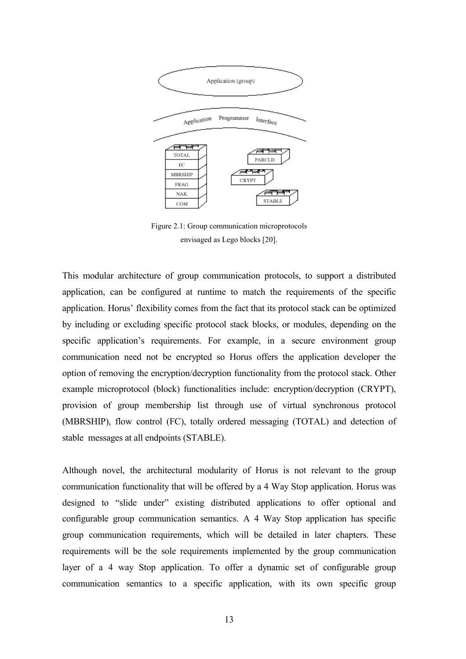<span id="page-22-0"></span>

Figure 2.1: Group communication microprotocols envisaged as Lego blocks [20].

This modular architecture of group communication protocols, to support a distributed application, can be configured at runtime to match the requirements of the specific application. Horus' flexibility comes from the fact that its protocol stack can be optimized by including or excluding specific protocol stack blocks, or modules, depending on the specific application's requirements. For example, in a secure environment group communication need not be encrypted so Horus offers the application developer the option of removing the encryption/decryption functionality from the protocol stack. Other example microprotocol (block) functionalities include: encryption/decryption (CRYPT), provision of group membership list through use of virtual synchronous protocol (MBRSHIP), flow control (FC), totally ordered messaging (TOTAL) and detection of stable messages at all endpoints (STABLE).

Although novel, the architectural modularity of Horus is not relevant to the group communication functionality that will be offered by a 4 Way Stop application. Horus was designed to "slide under" existing distributed applications to offer optional and configurable group communication semantics. A 4 Way Stop application has specific group communication requirements, which will be detailed in later chapters. These requirements will be the sole requirements implemented by the group communication layer of a 4 way Stop application. To offer a dynamic set of configurable group communication semantics to a specific application, with its own specific group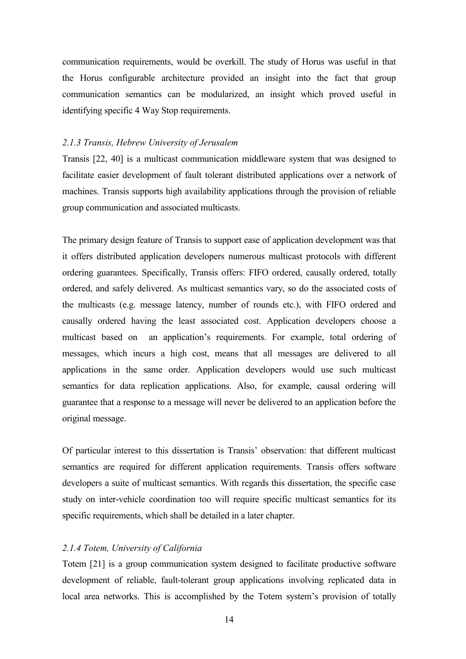<span id="page-23-0"></span>communication requirements, would be overkill. The study of Horus was useful in that the Horus configurable architecture provided an insight into the fact that group communication semantics can be modularized, an insight which proved useful in identifying specific 4 Way Stop requirements.

#### *2.1.3 Transis, Hebrew University of Jerusalem*

Transis [22, 40] is a multicast communication middleware system that was designed to facilitate easier development of fault tolerant distributed applications over a network of machines. Transis supports high availability applications through the provision of reliable group communication and associated multicasts.

The primary design feature of Transis to support ease of application development was that it offers distributed application developers numerous multicast protocols with different ordering guarantees. Specifically, Transis offers: FIFO ordered, causally ordered, totally ordered, and safely delivered. As multicast semantics vary, so do the associated costs of the multicasts (e.g. message latency, number of rounds etc.), with FIFO ordered and causally ordered having the least associated cost. Application developers choose a multicast based on an application's requirements. For example, total ordering of messages, which incurs a high cost, means that all messages are delivered to all applications in the same order. Application developers would use such multicast semantics for data replication applications. Also, for example, causal ordering will guarantee that a response to a message will never be delivered to an application before the original message.

Of particular interest to this dissertation is Transis' observation: that different multicast semantics are required for different application requirements. Transis offers software developers a suite of multicast semantics. With regards this dissertation, the specific case study on inter-vehicle coordination too will require specific multicast semantics for its specific requirements, which shall be detailed in a later chapter.

#### *2.1.4 Totem, University of California*

Totem [21] is a group communication system designed to facilitate productive software development of reliable, fault-tolerant group applications involving replicated data in local area networks. This is accomplished by the Totem system's provision of totally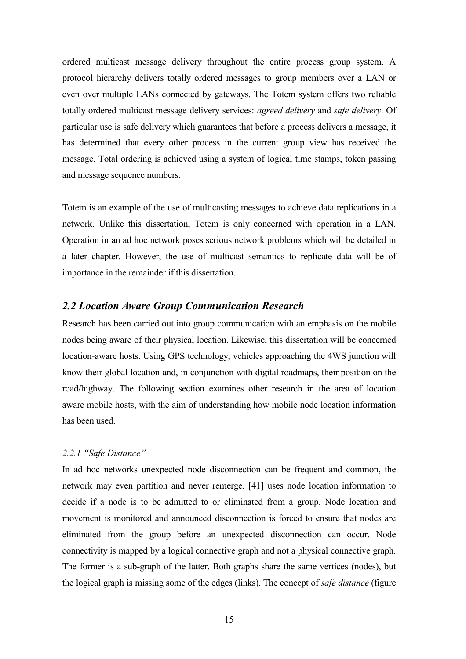<span id="page-24-0"></span>ordered multicast message delivery throughout the entire process group system. A protocol hierarchy delivers totally ordered messages to group members over a LAN or even over multiple LANs connected by gateways. The Totem system offers two reliable totally ordered multicast message delivery services: *agreed delivery* and *safe delivery*. Of particular use is safe delivery which guarantees that before a process delivers a message, it has determined that every other process in the current group view has received the message. Total ordering is achieved using a system of logical time stamps, token passing and message sequence numbers.

Totem is an example of the use of multicasting messages to achieve data replications in a network. Unlike this dissertation, Totem is only concerned with operation in a LAN. Operation in an ad hoc network poses serious network problems which will be detailed in a later chapter. However, the use of multicast semantics to replicate data will be of importance in the remainder if this dissertation.

## *2.2 Location Aware Group Communication Research*

Research has been carried out into group communication with an emphasis on the mobile nodes being aware of their physical location. Likewise, this dissertation will be concerned location-aware hosts. Using GPS technology, vehicles approaching the 4WS junction will know their global location and, in conjunction with digital roadmaps, their position on the road/highway. The following section examines other research in the area of location aware mobile hosts, with the aim of understanding how mobile node location information has been used.

#### *2.2.1 "Safe Distance"*

In ad hoc networks unexpected node disconnection can be frequent and common, the network may even partition and never remerge. [41] uses node location information to decide if a node is to be admitted to or eliminated from a group. Node location and movement is monitored and announced disconnection is forced to ensure that nodes are eliminated from the group before an unexpected disconnection can occur. Node connectivity is mapped by a logical connective graph and not a physical connective graph. The former is a sub-graph of the latter. Both graphs share the same vertices (nodes), but the logical graph is missing some of the edges (links). The concept of *safe distance* (figure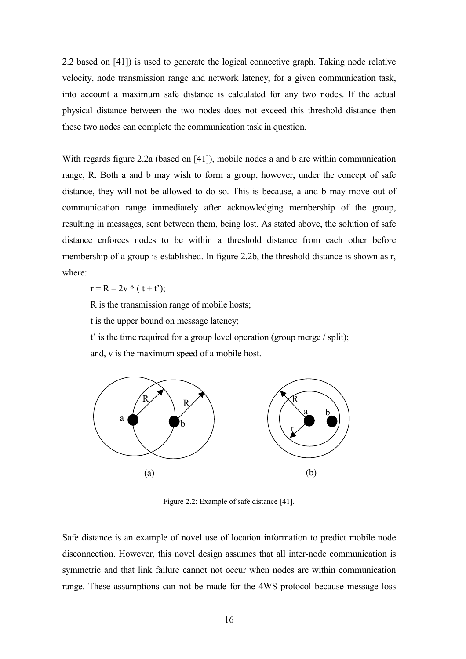<span id="page-25-0"></span>2.2 based on [41]) is used to generate the logical connective graph. Taking node relative velocity, node transmission range and network latency, for a given communication task, into account a maximum safe distance is calculated for any two nodes. If the actual physical distance between the two nodes does not exceed this threshold distance then these two nodes can complete the communication task in question.

With regards figure 2.2a (based on [41]), mobile nodes a and b are within communication range, R. Both a and b may wish to form a group, however, under the concept of safe distance, they will not be allowed to do so. This is because, a and b may move out of communication range immediately after acknowledging membership of the group, resulting in messages, sent between them, being lost. As stated above, the solution of safe distance enforces nodes to be within a threshold distance from each other before membership of a group is established. In figure 2.2b, the threshold distance is shown as r, where:

 $r = R - 2v * (t + t')$ ;

R is the transmission range of mobile hosts;

t is the upper bound on message latency;

t' is the time required for a group level operation (group merge / split); and, v is the maximum speed of a mobile host.



Figure 2.2: Example of safe distance [41].

Safe distance is an example of novel use of location information to predict mobile node disconnection. However, this novel design assumes that all inter-node communication is symmetric and that link failure cannot not occur when nodes are within communication range. These assumptions can not be made for the 4WS protocol because message loss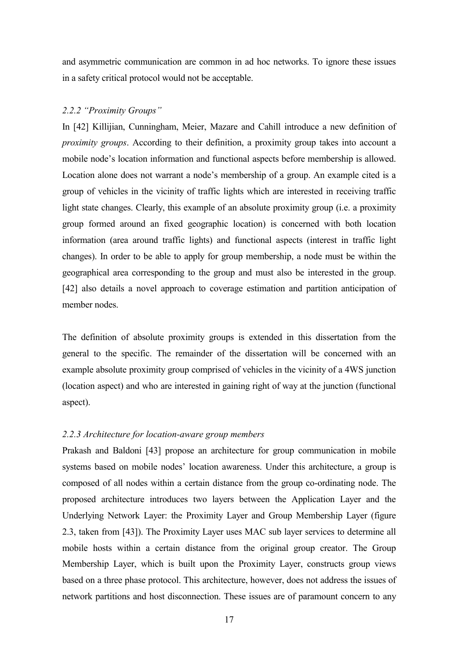<span id="page-26-0"></span>and asymmetric communication are common in ad hoc networks. To ignore these issues in a safety critical protocol would not be acceptable.

#### *2.2.2 "Proximity Groups"*

In [42] Killijian, Cunningham, Meier, Mazare and Cahill introduce a new definition of *proximity groups*. According to their definition, a proximity group takes into account a mobile node's location information and functional aspects before membership is allowed. Location alone does not warrant a node's membership of a group. An example cited is a group of vehicles in the vicinity of traffic lights which are interested in receiving traffic light state changes. Clearly, this example of an absolute proximity group (i.e. a proximity group formed around an fixed geographic location) is concerned with both location information (area around traffic lights) and functional aspects (interest in traffic light changes). In order to be able to apply for group membership, a node must be within the geographical area corresponding to the group and must also be interested in the group. [42] also details a novel approach to coverage estimation and partition anticipation of member nodes.

The definition of absolute proximity groups is extended in this dissertation from the general to the specific. The remainder of the dissertation will be concerned with an example absolute proximity group comprised of vehicles in the vicinity of a 4WS junction (location aspect) and who are interested in gaining right of way at the junction (functional aspect).

#### *2.2.3 Architecture for location-aware group members*

Prakash and Baldoni [43] propose an architecture for group communication in mobile systems based on mobile nodes' location awareness. Under this architecture, a group is composed of all nodes within a certain distance from the group co-ordinating node. The proposed architecture introduces two layers between the Application Layer and the Underlying Network Layer: the Proximity Layer and Group Membership Layer (figure 2.3, taken from [43]). The Proximity Layer uses MAC sub layer services to determine all mobile hosts within a certain distance from the original group creator. The Group Membership Layer, which is built upon the Proximity Layer, constructs group views based on a three phase protocol. This architecture, however, does not address the issues of network partitions and host disconnection. These issues are of paramount concern to any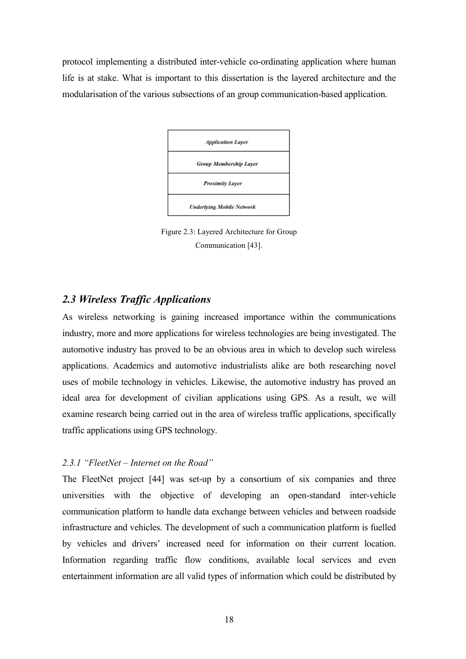<span id="page-27-0"></span>protocol implementing a distributed inter-vehicle co-ordinating application where human life is at stake. What is important to this dissertation is the layered architecture and the modularisation of the various subsections of an group communication-based application.



Figure 2.3: Layered Architecture for Group Communication [43].

## *2.3 Wireless Traffic Applications*

As wireless networking is gaining increased importance within the communications industry, more and more applications for wireless technologies are being investigated. The automotive industry has proved to be an obvious area in which to develop such wireless applications. Academics and automotive industrialists alike are both researching novel uses of mobile technology in vehicles. Likewise, the automotive industry has proved an ideal area for development of civilian applications using GPS. As a result, we will examine research being carried out in the area of wireless traffic applications, specifically traffic applications using GPS technology.

#### *2.3.1 "FleetNet – Internet on the Road"*

The FleetNet project [44] was set-up by a consortium of six companies and three universities with the objective of developing an open-standard inter-vehicle communication platform to handle data exchange between vehicles and between roadside infrastructure and vehicles. The development of such a communication platform is fuelled by vehicles and drivers' increased need for information on their current location. Information regarding traffic flow conditions, available local services and even entertainment information are all valid types of information which could be distributed by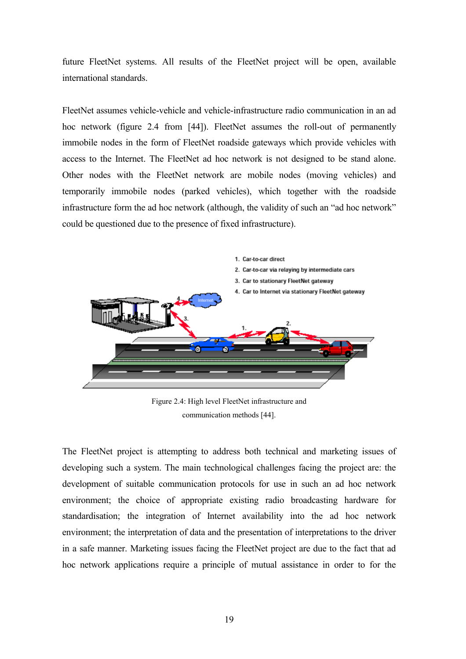<span id="page-28-0"></span>future FleetNet systems. All results of the FleetNet project will be open, available international standards.

FleetNet assumes vehicle-vehicle and vehicle-infrastructure radio communication in an ad hoc network (figure 2.4 from [44]). FleetNet assumes the roll-out of permanently immobile nodes in the form of FleetNet roadside gateways which provide vehicles with access to the Internet. The FleetNet ad hoc network is not designed to be stand alone. Other nodes with the FleetNet network are mobile nodes (moving vehicles) and temporarily immobile nodes (parked vehicles), which together with the roadside infrastructure form the ad hoc network (although, the validity of such an "ad hoc network" could be questioned due to the presence of fixed infrastructure).



Figure 2.4: High level FleetNet infrastructure and communication methods [44].

The FleetNet project is attempting to address both technical and marketing issues of developing such a system. The main technological challenges facing the project are: the development of suitable communication protocols for use in such an ad hoc network environment; the choice of appropriate existing radio broadcasting hardware for standardisation; the integration of Internet availability into the ad hoc network environment; the interpretation of data and the presentation of interpretations to the driver in a safe manner. Marketing issues facing the FleetNet project are due to the fact that ad hoc network applications require a principle of mutual assistance in order to for the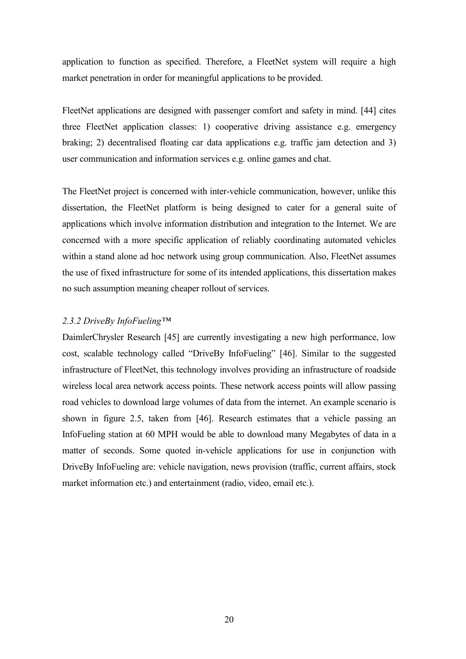<span id="page-29-0"></span>application to function as specified. Therefore, a FleetNet system will require a high market penetration in order for meaningful applications to be provided.

FleetNet applications are designed with passenger comfort and safety in mind. [44] cites three FleetNet application classes: 1) cooperative driving assistance e.g. emergency braking; 2) decentralised floating car data applications e.g. traffic jam detection and 3) user communication and information services e.g. online games and chat.

The FleetNet project is concerned with inter-vehicle communication, however, unlike this dissertation, the FleetNet platform is being designed to cater for a general suite of applications which involve information distribution and integration to the Internet. We are concerned with a more specific application of reliably coordinating automated vehicles within a stand alone ad hoc network using group communication. Also, FleetNet assumes the use of fixed infrastructure for some of its intended applications, this dissertation makes no such assumption meaning cheaper rollout of services.

#### *2.3.2 DriveBy InfoFueling™*

DaimlerChrysler Research [45] are currently investigating a new high performance, low cost, scalable technology called "DriveBy InfoFueling" [46]. Similar to the suggested infrastructure of FleetNet, this technology involves providing an infrastructure of roadside wireless local area network access points. These network access points will allow passing road vehicles to download large volumes of data from the internet. An example scenario is shown in figure 2.5, taken from [46]. Research estimates that a vehicle passing an InfoFueling station at 60 MPH would be able to download many Megabytes of data in a matter of seconds. Some quoted in-vehicle applications for use in conjunction with DriveBy InfoFueling are: vehicle navigation, news provision (traffic, current affairs, stock market information etc.) and entertainment (radio, video, email etc.).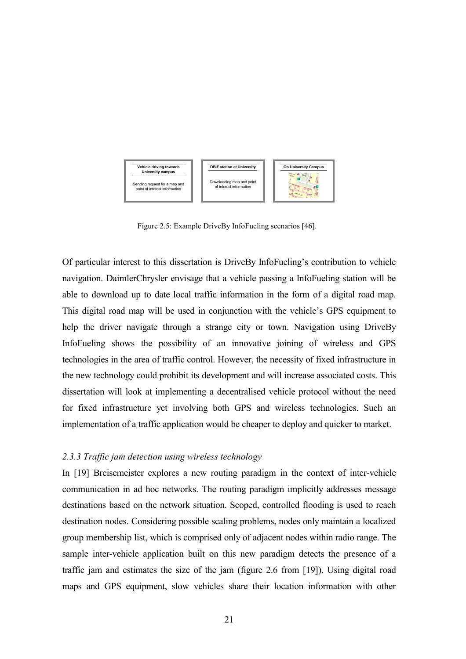<span id="page-30-0"></span>

Figure 2.5: Example DriveBy InfoFueling scenarios [46].

Of particular interest to this dissertation is DriveBy InfoFueling's contribution to vehicle navigation. DaimlerChrysler envisage that a vehicle passing a InfoFueling station will be able to download up to date local traffic information in the form of a digital road map. This digital road map will be used in conjunction with the vehicle's GPS equipment to help the driver navigate through a strange city or town. Navigation using DriveBy InfoFueling shows the possibility of an innovative joining of wireless and GPS technologies in the area of traffic control. However, the necessity of fixed infrastructure in the new technology could prohibit its development and will increase associated costs. This dissertation will look at implementing a decentralised vehicle protocol without the need for fixed infrastructure yet involving both GPS and wireless technologies. Such an implementation of a traffic application would be cheaper to deploy and quicker to market.

### *2.3.3 Traffic jam detection using wireless technology*

In [19] Breisemeister explores a new routing paradigm in the context of inter-vehicle communication in ad hoc networks. The routing paradigm implicitly addresses message destinations based on the network situation. Scoped, controlled flooding is used to reach destination nodes. Considering possible scaling problems, nodes only maintain a localized group membership list, which is comprised only of adjacent nodes within radio range. The sample inter-vehicle application built on this new paradigm detects the presence of a traffic jam and estimates the size of the jam (figure 2.6 from [19]). Using digital road maps and GPS equipment, slow vehicles share their location information with other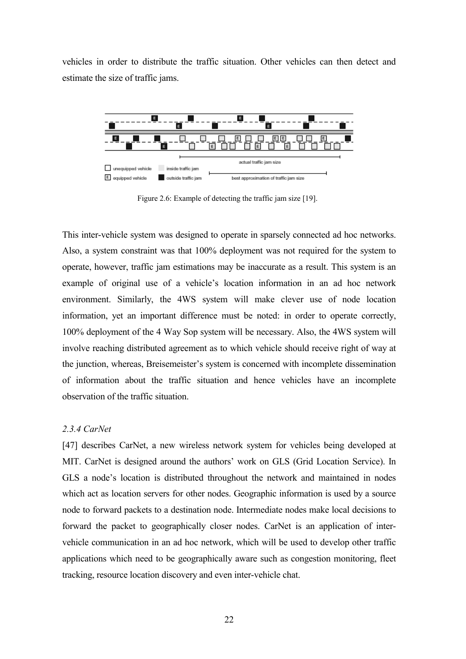<span id="page-31-0"></span>vehicles in order to distribute the traffic situation. Other vehicles can then detect and estimate the size of traffic jams.



Figure 2.6: Example of detecting the traffic jam size [19].

This inter-vehicle system was designed to operate in sparsely connected ad hoc networks. Also, a system constraint was that 100% deployment was not required for the system to operate, however, traffic jam estimations may be inaccurate as a result. This system is an example of original use of a vehicle's location information in an ad hoc network environment. Similarly, the 4WS system will make clever use of node location information, yet an important difference must be noted: in order to operate correctly, 100% deployment of the 4 Way Sop system will be necessary. Also, the 4WS system will involve reaching distributed agreement as to which vehicle should receive right of way at the junction, whereas, Breisemeister's system is concerned with incomplete dissemination of information about the traffic situation and hence vehicles have an incomplete observation of the traffic situation.

#### *2.3.4 CarNet*

[47] describes CarNet, a new wireless network system for vehicles being developed at MIT. CarNet is designed around the authors' work on GLS (Grid Location Service). In GLS a node's location is distributed throughout the network and maintained in nodes which act as location servers for other nodes. Geographic information is used by a source node to forward packets to a destination node. Intermediate nodes make local decisions to forward the packet to geographically closer nodes. CarNet is an application of intervehicle communication in an ad hoc network, which will be used to develop other traffic applications which need to be geographically aware such as congestion monitoring, fleet tracking, resource location discovery and even inter-vehicle chat.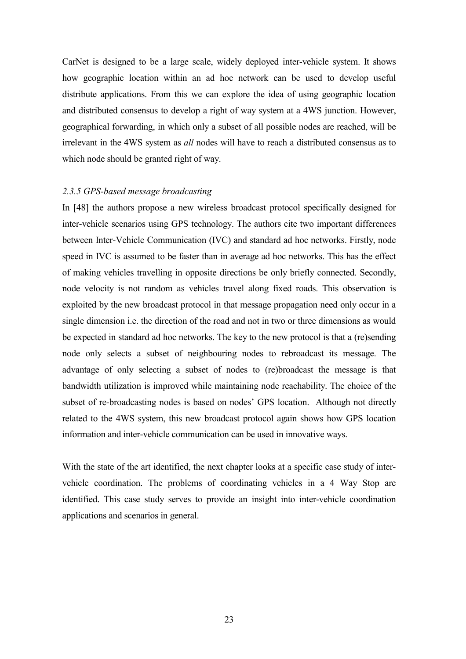<span id="page-32-0"></span>CarNet is designed to be a large scale, widely deployed inter-vehicle system. It shows how geographic location within an ad hoc network can be used to develop useful distribute applications. From this we can explore the idea of using geographic location and distributed consensus to develop a right of way system at a 4WS junction. However, geographical forwarding, in which only a subset of all possible nodes are reached, will be irrelevant in the 4WS system as *all* nodes will have to reach a distributed consensus as to which node should be granted right of way.

#### *2.3.5 GPS-based message broadcasting*

In [48] the authors propose a new wireless broadcast protocol specifically designed for inter-vehicle scenarios using GPS technology. The authors cite two important differences between Inter-Vehicle Communication (IVC) and standard ad hoc networks. Firstly, node speed in IVC is assumed to be faster than in average ad hoc networks. This has the effect of making vehicles travelling in opposite directions be only briefly connected. Secondly, node velocity is not random as vehicles travel along fixed roads. This observation is exploited by the new broadcast protocol in that message propagation need only occur in a single dimension i.e. the direction of the road and not in two or three dimensions as would be expected in standard ad hoc networks. The key to the new protocol is that a (re)sending node only selects a subset of neighbouring nodes to rebroadcast its message. The advantage of only selecting a subset of nodes to (re)broadcast the message is that bandwidth utilization is improved while maintaining node reachability. The choice of the subset of re-broadcasting nodes is based on nodes' GPS location. Although not directly related to the 4WS system, this new broadcast protocol again shows how GPS location information and inter-vehicle communication can be used in innovative ways.

With the state of the art identified, the next chapter looks at a specific case study of intervehicle coordination. The problems of coordinating vehicles in a 4 Way Stop are identified. This case study serves to provide an insight into inter-vehicle coordination applications and scenarios in general.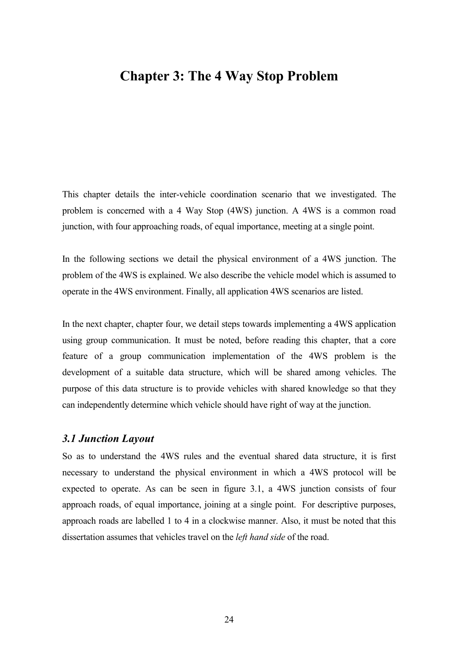# <span id="page-33-0"></span>**Chapter 3: The 4 Way Stop Problem**

This chapter details the inter-vehicle coordination scenario that we investigated. The problem is concerned with a 4 Way Stop (4WS) junction. A 4WS is a common road junction, with four approaching roads, of equal importance, meeting at a single point.

In the following sections we detail the physical environment of a 4WS junction. The problem of the 4WS is explained. We also describe the vehicle model which is assumed to operate in the 4WS environment. Finally, all application 4WS scenarios are listed.

In the next chapter, chapter four, we detail steps towards implementing a 4WS application using group communication. It must be noted, before reading this chapter, that a core feature of a group communication implementation of the 4WS problem is the development of a suitable data structure, which will be shared among vehicles. The purpose of this data structure is to provide vehicles with shared knowledge so that they can independently determine which vehicle should have right of way at the junction.

#### *3.1 Junction Layout*

So as to understand the 4WS rules and the eventual shared data structure, it is first necessary to understand the physical environment in which a 4WS protocol will be expected to operate. As can be seen in figure 3.1, a 4WS junction consists of four approach roads, of equal importance, joining at a single point. For descriptive purposes, approach roads are labelled 1 to 4 in a clockwise manner. Also, it must be noted that this dissertation assumes that vehicles travel on the *left hand side* of the road.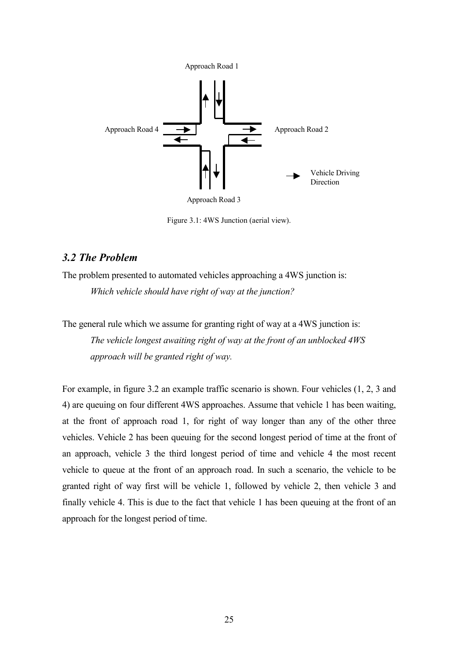<span id="page-34-0"></span>

Figure 3.1: 4WS Junction (aerial view).

## *3.2 The Problem*

The problem presented to automated vehicles approaching a 4WS junction is: *Which vehicle should have right of way at the junction?* 

The general rule which we assume for granting right of way at a 4WS junction is: *The vehicle longest awaiting right of way at the front of an unblocked 4WS approach will be granted right of way.* 

For example, in figure 3.2 an example traffic scenario is shown. Four vehicles (1, 2, 3 and 4) are queuing on four different 4WS approaches. Assume that vehicle 1 has been waiting, at the front of approach road 1, for right of way longer than any of the other three vehicles. Vehicle 2 has been queuing for the second longest period of time at the front of an approach, vehicle 3 the third longest period of time and vehicle 4 the most recent vehicle to queue at the front of an approach road. In such a scenario, the vehicle to be granted right of way first will be vehicle 1, followed by vehicle 2, then vehicle 3 and finally vehicle 4. This is due to the fact that vehicle 1 has been queuing at the front of an approach for the longest period of time.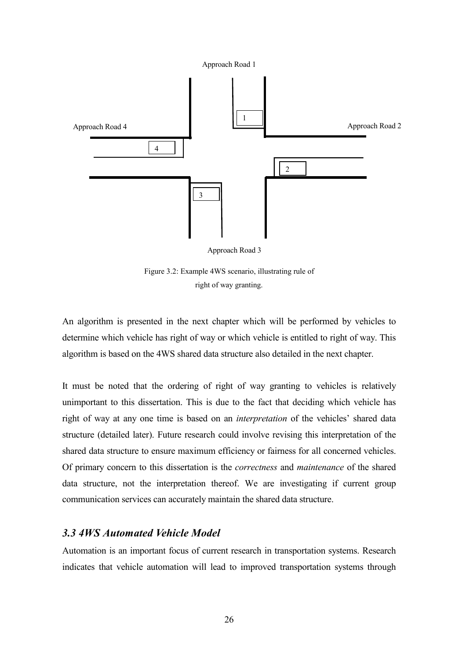<span id="page-35-0"></span>

Approach Road 3

Figure 3.2: Example 4WS scenario, illustrating rule of right of way granting.

An algorithm is presented in the next chapter which will be performed by vehicles to determine which vehicle has right of way or which vehicle is entitled to right of way. This algorithm is based on the 4WS shared data structure also detailed in the next chapter.

It must be noted that the ordering of right of way granting to vehicles is relatively unimportant to this dissertation. This is due to the fact that deciding which vehicle has right of way at any one time is based on an *interpretation* of the vehicles' shared data structure (detailed later). Future research could involve revising this interpretation of the shared data structure to ensure maximum efficiency or fairness for all concerned vehicles. Of primary concern to this dissertation is the *correctness* and *maintenance* of the shared data structure, not the interpretation thereof. We are investigating if current group communication services can accurately maintain the shared data structure.

## *3.3 4WS Automated Vehicle Model*

Automation is an important focus of current research in transportation systems. Research indicates that vehicle automation will lead to improved transportation systems through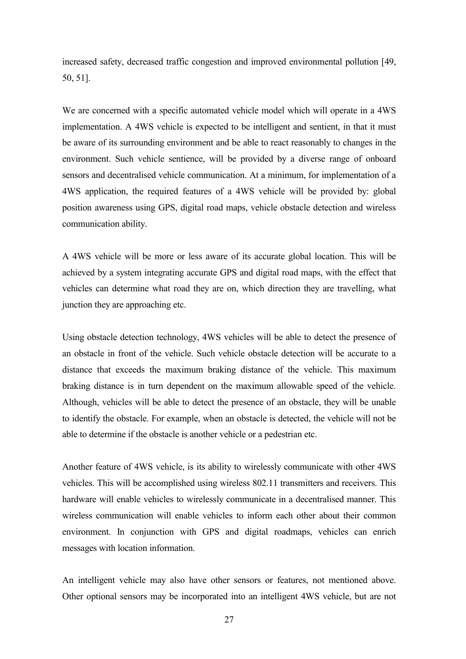increased safety, decreased traffic congestion and improved environmental pollution [49, 50, 51].

We are concerned with a specific automated vehicle model which will operate in a 4WS implementation. A 4WS vehicle is expected to be intelligent and sentient, in that it must be aware of its surrounding environment and be able to react reasonably to changes in the environment. Such vehicle sentience, will be provided by a diverse range of onboard sensors and decentralised vehicle communication. At a minimum, for implementation of a 4WS application, the required features of a 4WS vehicle will be provided by: global position awareness using GPS, digital road maps, vehicle obstacle detection and wireless communication ability.

A 4WS vehicle will be more or less aware of its accurate global location. This will be achieved by a system integrating accurate GPS and digital road maps, with the effect that vehicles can determine what road they are on, which direction they are travelling, what junction they are approaching etc.

Using obstacle detection technology, 4WS vehicles will be able to detect the presence of an obstacle in front of the vehicle. Such vehicle obstacle detection will be accurate to a distance that exceeds the maximum braking distance of the vehicle. This maximum braking distance is in turn dependent on the maximum allowable speed of the vehicle. Although, vehicles will be able to detect the presence of an obstacle, they will be unable to identify the obstacle. For example, when an obstacle is detected, the vehicle will not be able to determine if the obstacle is another vehicle or a pedestrian etc.

Another feature of 4WS vehicle, is its ability to wirelessly communicate with other 4WS vehicles. This will be accomplished using wireless 802.11 transmitters and receivers. This hardware will enable vehicles to wirelessly communicate in a decentralised manner. This wireless communication will enable vehicles to inform each other about their common environment. In conjunction with GPS and digital roadmaps, vehicles can enrich messages with location information.

An intelligent vehicle may also have other sensors or features, not mentioned above. Other optional sensors may be incorporated into an intelligent 4WS vehicle, but are not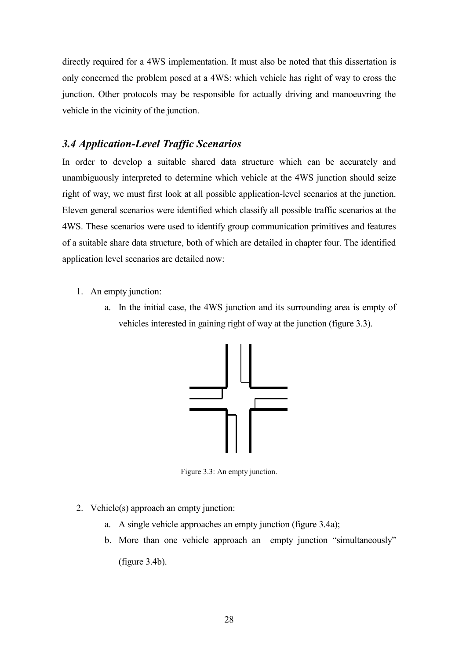directly required for a 4WS implementation. It must also be noted that this dissertation is only concerned the problem posed at a 4WS: which vehicle has right of way to cross the junction. Other protocols may be responsible for actually driving and manoeuvring the vehicle in the vicinity of the junction.

# *3.4 Application-Level Traffic Scenarios*

In order to develop a suitable shared data structure which can be accurately and unambiguously interpreted to determine which vehicle at the 4WS junction should seize right of way, we must first look at all possible application-level scenarios at the junction. Eleven general scenarios were identified which classify all possible traffic scenarios at the 4WS. These scenarios were used to identify group communication primitives and features of a suitable share data structure, both of which are detailed in chapter four. The identified application level scenarios are detailed now:

- 1. An empty junction:
	- a. In the initial case, the 4WS junction and its surrounding area is empty of vehicles interested in gaining right of way at the junction (figure 3.3).



Figure 3.3: An empty junction.

- 2. Vehicle(s) approach an empty junction:
	- a. A single vehicle approaches an empty junction (figure 3.4a);
	- b. More than one vehicle approach an empty junction "simultaneously"

(figure 3.4b).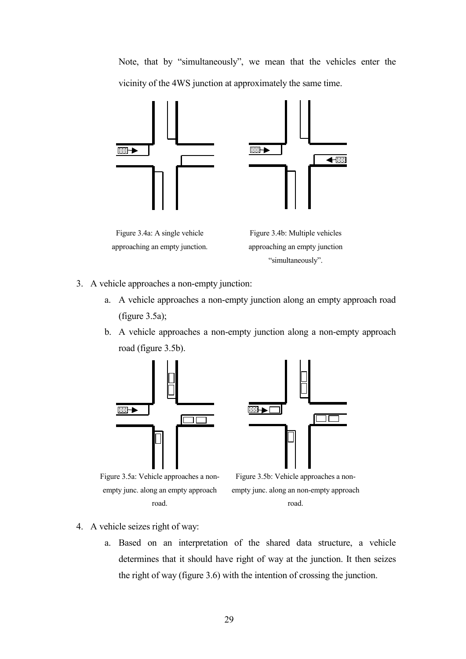Note, that by "simultaneously", we mean that the vehicles enter the vicinity of the 4WS junction at approximately the same time.



Figure 3.4a: A single vehicle approaching an empty junction.

Figure 3.4b: Multiple vehicles approaching an empty junction "simultaneously".

- 3. A vehicle approaches a non-empty junction:
	- a. A vehicle approaches a non-empty junction along an empty approach road (figure 3.5a);
	- b. A vehicle approaches a non-empty junction along a non-empty approach road (figure 3.5b).





Figure 3.5a: Vehicle approaches a nonempty junc. along an empty approach road.



- 4. A vehicle seizes right of way:
	- a. Based on an interpretation of the shared data structure, a vehicle determines that it should have right of way at the junction. It then seizes the right of way (figure 3.6) with the intention of crossing the junction.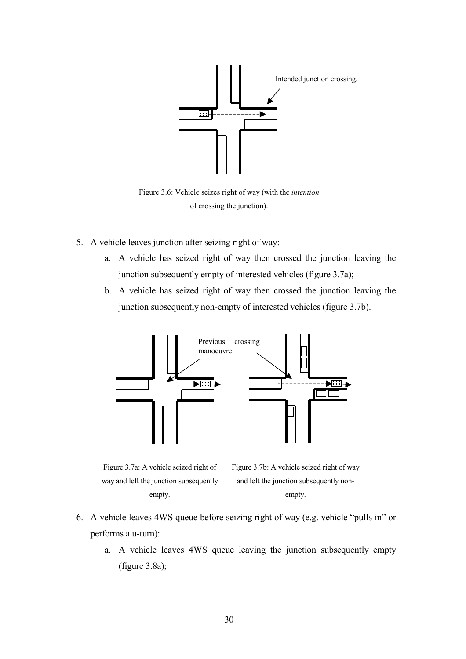

Figure 3.6: Vehicle seizes right of way (with the *intention* of crossing the junction).

- 5. A vehicle leaves junction after seizing right of way:
	- a. A vehicle has seized right of way then crossed the junction leaving the junction subsequently empty of interested vehicles (figure 3.7a);
	- b. A vehicle has seized right of way then crossed the junction leaving the junction subsequently non-empty of interested vehicles (figure 3.7b).



Figure 3.7a: A vehicle seized right of way and left the junction subsequently empty.

Figure 3.7b: A vehicle seized right of way and left the junction subsequently nonempty.

- 6. A vehicle leaves 4WS queue before seizing right of way (e.g. vehicle "pulls in" or performs a u-turn):
	- a. A vehicle leaves 4WS queue leaving the junction subsequently empty (figure 3.8a);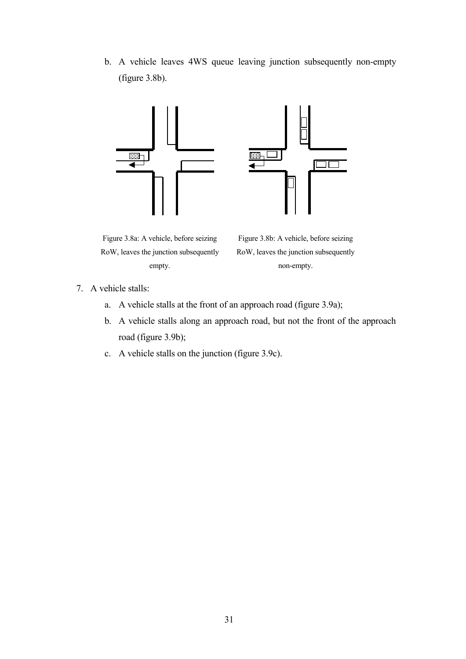b. A vehicle leaves 4WS queue leaving junction subsequently non-empty (figure 3.8b).



Figure 3.8a: A vehicle, before seizing RoW, leaves the junction subsequently empty.

Figure 3.8b: A vehicle, before seizing RoW, leaves the junction subsequently non-empty.

- 7. A vehicle stalls:
	- a. A vehicle stalls at the front of an approach road (figure 3.9a);
	- b. A vehicle stalls along an approach road, but not the front of the approach road (figure 3.9b);
	- c. A vehicle stalls on the junction (figure 3.9c).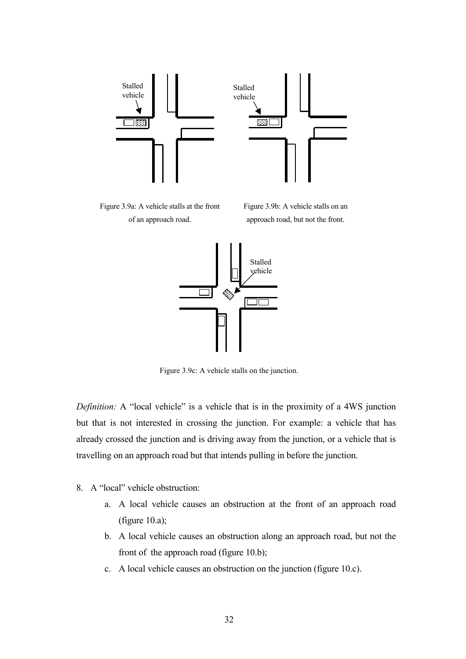



Figure 3.9c: A vehicle stalls on the junction.

*Definition:* A "local vehicle" is a vehicle that is in the proximity of a 4WS junction but that is not interested in crossing the junction. For example: a vehicle that has already crossed the junction and is driving away from the junction, or a vehicle that is travelling on an approach road but that intends pulling in before the junction.

- 8. A "local" vehicle obstruction:
	- a. A local vehicle causes an obstruction at the front of an approach road (figure 10.a);
	- b. A local vehicle causes an obstruction along an approach road, but not the front of the approach road (figure 10.b);
	- c. A local vehicle causes an obstruction on the junction (figure 10.c).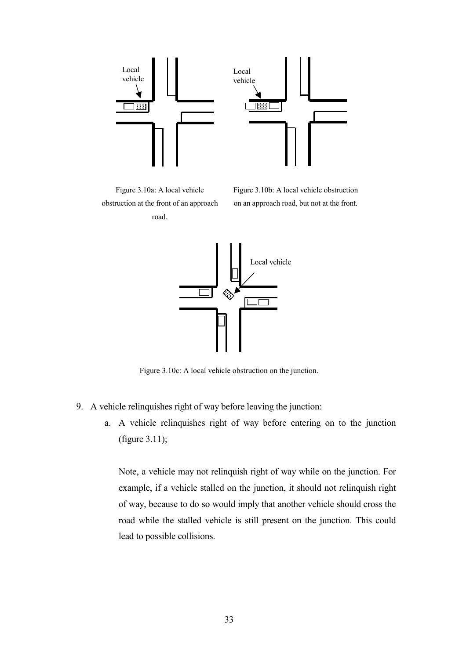

Figure 3.10a: A local vehicle obstruction at the front of an approach road.

Figure 3.10b: A local vehicle obstruction on an approach road, but not at the front.



Figure 3.10c: A local vehicle obstruction on the junction.

- 9. A vehicle relinquishes right of way before leaving the junction:
	- a. A vehicle relinquishes right of way before entering on to the junction (figure 3.11);

Note, a vehicle may not relinquish right of way while on the junction. For example, if a vehicle stalled on the junction, it should not relinquish right of way, because to do so would imply that another vehicle should cross the road while the stalled vehicle is still present on the junction. This could lead to possible collisions.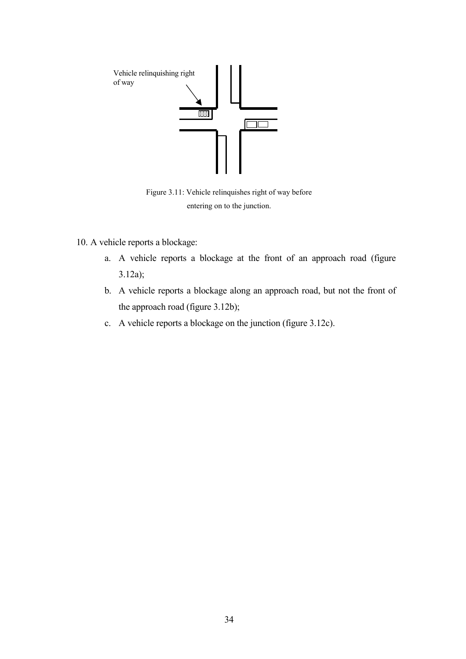

Figure 3.11: Vehicle relinquishes right of way before entering on to the junction.

- 10. A vehicle reports a blockage:
	- a. A vehicle reports a blockage at the front of an approach road (figure 3.12a);
	- b. A vehicle reports a blockage along an approach road, but not the front of the approach road (figure 3.12b);
	- c. A vehicle reports a blockage on the junction (figure 3.12c).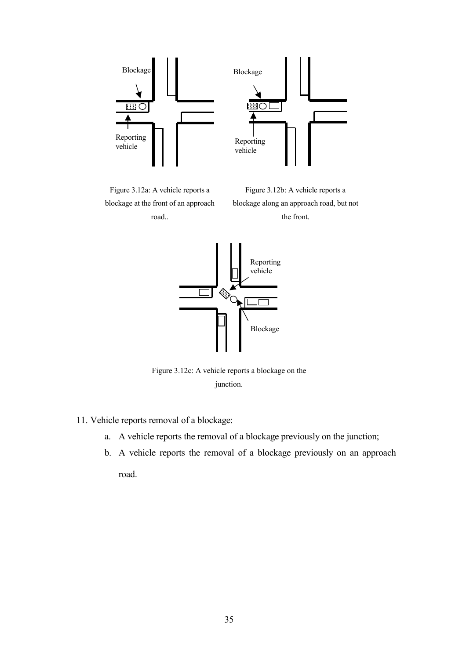

Figure 3.12a: A vehicle reports a blockage at the front of an approach road..

Figure 3.12b: A vehicle reports a blockage along an approach road, but not the front.



Figure 3.12c: A vehicle reports a blockage on the junction.

- 11. Vehicle reports removal of a blockage:
	- a. A vehicle reports the removal of a blockage previously on the junction;
	- b. A vehicle reports the removal of a blockage previously on an approach road.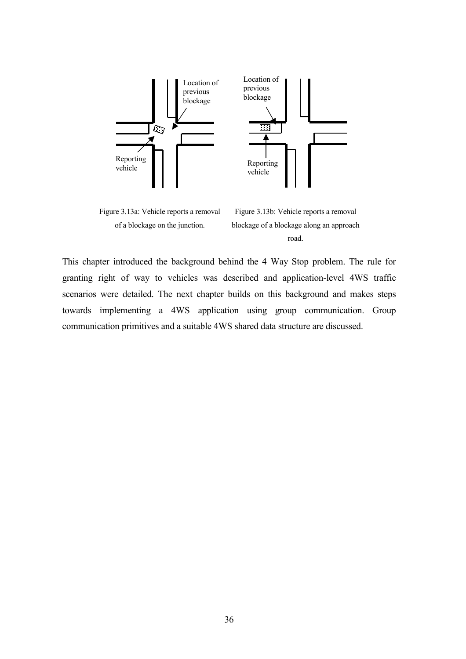

Figure 3.13a: Vehicle reports a removal of a blockage on the junction.

Figure 3.13b: Vehicle reports a removal blockage of a blockage along an approach road.

This chapter introduced the background behind the 4 Way Stop problem. The rule for granting right of way to vehicles was described and application-level 4WS traffic scenarios were detailed. The next chapter builds on this background and makes steps towards implementing a 4WS application using group communication. Group communication primitives and a suitable 4WS shared data structure are discussed.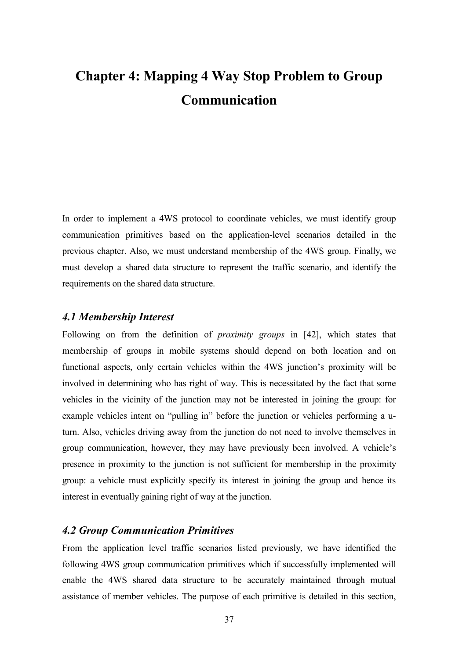# **Chapter 4: Mapping 4 Way Stop Problem to Group Communication**

In order to implement a 4WS protocol to coordinate vehicles, we must identify group communication primitives based on the application-level scenarios detailed in the previous chapter. Also, we must understand membership of the 4WS group. Finally, we must develop a shared data structure to represent the traffic scenario, and identify the requirements on the shared data structure.

## *4.1 Membership Interest*

Following on from the definition of *proximity groups* in [42], which states that membership of groups in mobile systems should depend on both location and on functional aspects, only certain vehicles within the 4WS junction's proximity will be involved in determining who has right of way. This is necessitated by the fact that some vehicles in the vicinity of the junction may not be interested in joining the group: for example vehicles intent on "pulling in" before the junction or vehicles performing a uturn. Also, vehicles driving away from the junction do not need to involve themselves in group communication, however, they may have previously been involved. A vehicle's presence in proximity to the junction is not sufficient for membership in the proximity group: a vehicle must explicitly specify its interest in joining the group and hence its interest in eventually gaining right of way at the junction.

# *4.2 Group Communication Primitives*

From the application level traffic scenarios listed previously, we have identified the following 4WS group communication primitives which if successfully implemented will enable the 4WS shared data structure to be accurately maintained through mutual assistance of member vehicles. The purpose of each primitive is detailed in this section,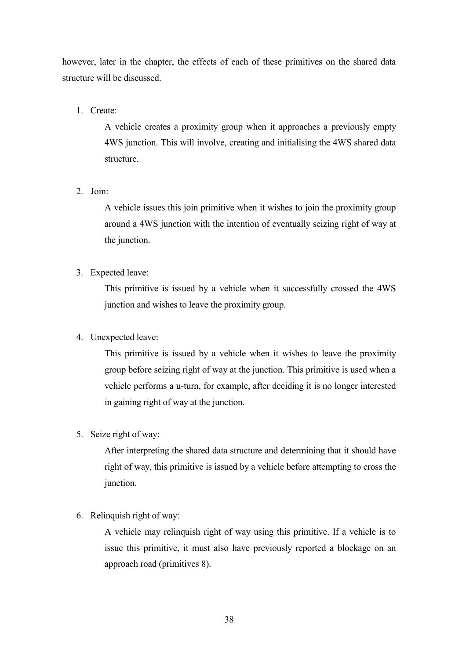however, later in the chapter, the effects of each of these primitives on the shared data structure will be discussed.

1. Create:

A vehicle creates a proximity group when it approaches a previously empty 4WS junction. This will involve, creating and initialising the 4WS shared data structure.

2. Join:

A vehicle issues this join primitive when it wishes to join the proximity group around a 4WS junction with the intention of eventually seizing right of way at the junction.

3. Expected leave:

This primitive is issued by a vehicle when it successfully crossed the 4WS junction and wishes to leave the proximity group.

# 4. Unexpected leave:

This primitive is issued by a vehicle when it wishes to leave the proximity group before seizing right of way at the junction. This primitive is used when a vehicle performs a u-turn, for example, after deciding it is no longer interested in gaining right of way at the junction.

5. Seize right of way:

After interpreting the shared data structure and determining that it should have right of way, this primitive is issued by a vehicle before attempting to cross the junction.

6. Relinquish right of way:

A vehicle may relinquish right of way using this primitive. If a vehicle is to issue this primitive, it must also have previously reported a blockage on an approach road (primitives 8).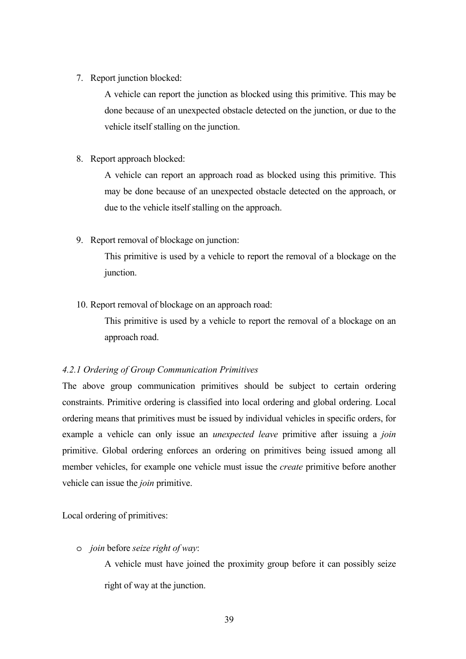7. Report junction blocked:

A vehicle can report the junction as blocked using this primitive. This may be done because of an unexpected obstacle detected on the junction, or due to the vehicle itself stalling on the junction.

8. Report approach blocked:

A vehicle can report an approach road as blocked using this primitive. This may be done because of an unexpected obstacle detected on the approach, or due to the vehicle itself stalling on the approach.

9. Report removal of blockage on junction:

This primitive is used by a vehicle to report the removal of a blockage on the junction.

10. Report removal of blockage on an approach road:

This primitive is used by a vehicle to report the removal of a blockage on an approach road.

# *4.2.1 Ordering of Group Communication Primitives*

The above group communication primitives should be subject to certain ordering constraints. Primitive ordering is classified into local ordering and global ordering. Local ordering means that primitives must be issued by individual vehicles in specific orders, for example a vehicle can only issue an *unexpected leave* primitive after issuing a *join*  primitive. Global ordering enforces an ordering on primitives being issued among all member vehicles, for example one vehicle must issue the *create* primitive before another vehicle can issue the *join* primitive.

Local ordering of primitives:

o *join* before *seize right of way*:

A vehicle must have joined the proximity group before it can possibly seize right of way at the junction.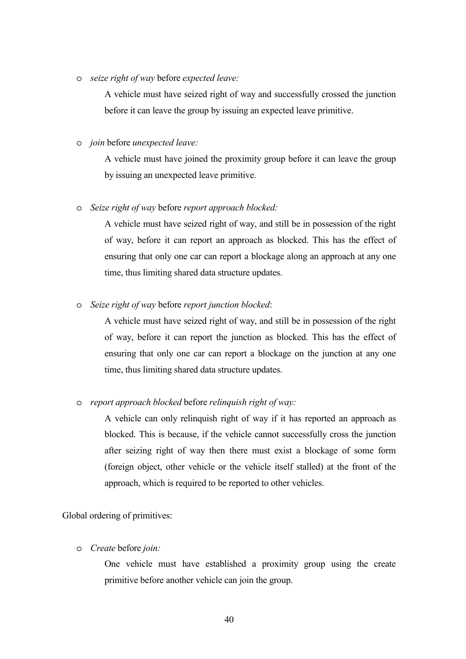o *seize right of way* before *expected leave:*

A vehicle must have seized right of way and successfully crossed the junction before it can leave the group by issuing an expected leave primitive.

o *join* before *unexpected leave:*

A vehicle must have joined the proximity group before it can leave the group by issuing an unexpected leave primitive.

o *Seize right of way* before *report approach blocked:*

A vehicle must have seized right of way, and still be in possession of the right of way, before it can report an approach as blocked. This has the effect of ensuring that only one car can report a blockage along an approach at any one time, thus limiting shared data structure updates.

o *Seize right of way* before *report junction blocked*:

A vehicle must have seized right of way, and still be in possession of the right of way, before it can report the junction as blocked. This has the effect of ensuring that only one car can report a blockage on the junction at any one time, thus limiting shared data structure updates.

#### o *report approach blocked* before *relinquish right of way:*

A vehicle can only relinquish right of way if it has reported an approach as blocked. This is because, if the vehicle cannot successfully cross the junction after seizing right of way then there must exist a blockage of some form (foreign object, other vehicle or the vehicle itself stalled) at the front of the approach, which is required to be reported to other vehicles.

Global ordering of primitives:

o *Create* before *join:*

One vehicle must have established a proximity group using the create primitive before another vehicle can join the group.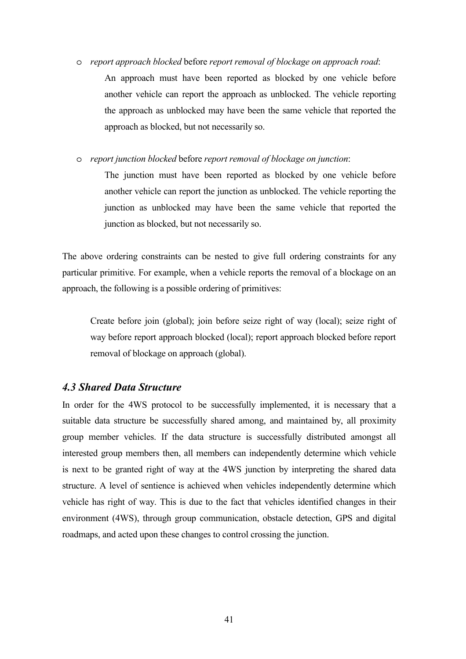o *report approach blocked* before *report removal of blockage on approach road*: An approach must have been reported as blocked by one vehicle before another vehicle can report the approach as unblocked. The vehicle reporting the approach as unblocked may have been the same vehicle that reported the approach as blocked, but not necessarily so.

o *report junction blocked* before *report removal of blockage on junction*:

The junction must have been reported as blocked by one vehicle before another vehicle can report the junction as unblocked. The vehicle reporting the junction as unblocked may have been the same vehicle that reported the junction as blocked, but not necessarily so.

The above ordering constraints can be nested to give full ordering constraints for any particular primitive. For example, when a vehicle reports the removal of a blockage on an approach, the following is a possible ordering of primitives:

Create before join (global); join before seize right of way (local); seize right of way before report approach blocked (local); report approach blocked before report removal of blockage on approach (global).

#### *4.3 Shared Data Structure*

In order for the 4WS protocol to be successfully implemented, it is necessary that a suitable data structure be successfully shared among, and maintained by, all proximity group member vehicles. If the data structure is successfully distributed amongst all interested group members then, all members can independently determine which vehicle is next to be granted right of way at the 4WS junction by interpreting the shared data structure. A level of sentience is achieved when vehicles independently determine which vehicle has right of way. This is due to the fact that vehicles identified changes in their environment (4WS), through group communication, obstacle detection, GPS and digital roadmaps, and acted upon these changes to control crossing the junction.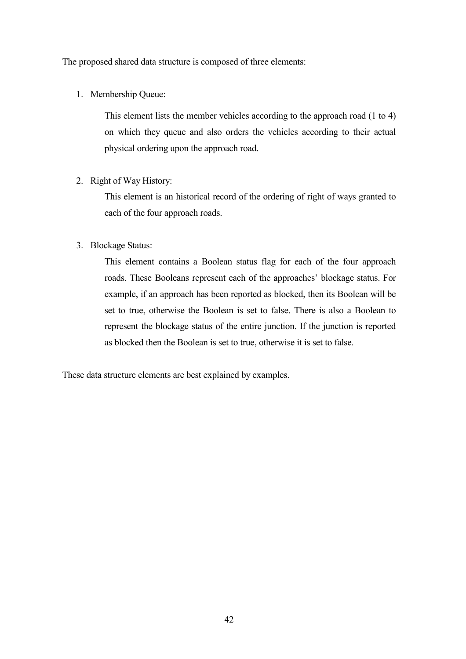The proposed shared data structure is composed of three elements:

1. Membership Queue:

This element lists the member vehicles according to the approach road (1 to 4) on which they queue and also orders the vehicles according to their actual physical ordering upon the approach road.

2. Right of Way History:

This element is an historical record of the ordering of right of ways granted to each of the four approach roads.

3. Blockage Status:

This element contains a Boolean status flag for each of the four approach roads. These Booleans represent each of the approaches' blockage status. For example, if an approach has been reported as blocked, then its Boolean will be set to true, otherwise the Boolean is set to false. There is also a Boolean to represent the blockage status of the entire junction. If the junction is reported as blocked then the Boolean is set to true, otherwise it is set to false.

These data structure elements are best explained by examples.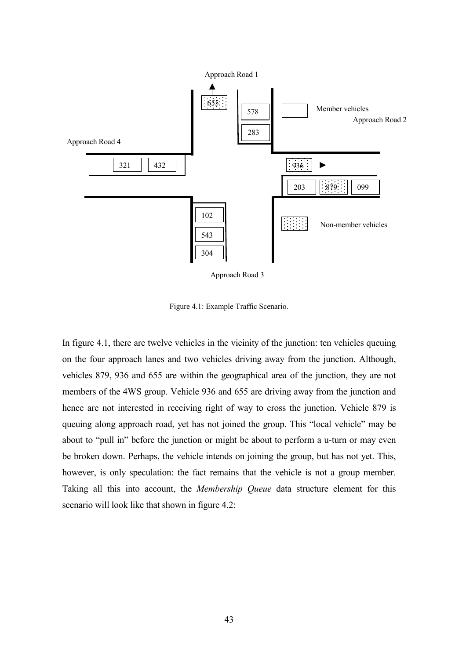

Approach Road 3

Figure 4.1: Example Traffic Scenario.

In figure 4.1, there are twelve vehicles in the vicinity of the junction: ten vehicles queuing on the four approach lanes and two vehicles driving away from the junction. Although, vehicles 879, 936 and 655 are within the geographical area of the junction, they are not members of the 4WS group. Vehicle 936 and 655 are driving away from the junction and hence are not interested in receiving right of way to cross the junction. Vehicle 879 is queuing along approach road, yet has not joined the group. This "local vehicle" may be about to "pull in" before the junction or might be about to perform a u-turn or may even be broken down. Perhaps, the vehicle intends on joining the group, but has not yet. This, however, is only speculation: the fact remains that the vehicle is not a group member. Taking all this into account, the *Membership Queue* data structure element for this scenario will look like that shown in figure 4.2: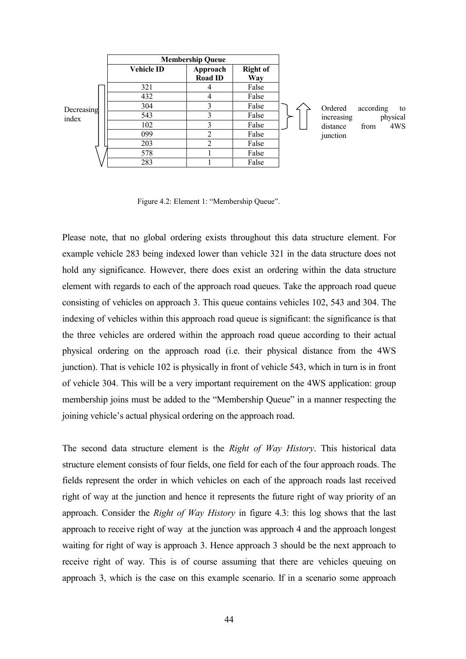|            | <b>Membership Queue</b> |                            |                        |            |                 |
|------------|-------------------------|----------------------------|------------------------|------------|-----------------|
|            | <b>Vehicle ID</b>       | Approach<br><b>Road ID</b> | <b>Right of</b><br>Way |            |                 |
|            | 321                     | 4                          | False                  |            |                 |
|            | 432                     | 4                          | False                  |            |                 |
| Decreasing | 304                     | 3                          | False                  | Ordered    | according<br>to |
| index      | 543                     | 3                          | False                  | increasing | physical        |
|            | 102                     |                            | False                  | distance   | 4WS<br>from     |
|            | 099                     | ∍                          | False                  | junction   |                 |
|            | 203                     | ↑                          | False                  |            |                 |
|            | 578                     |                            | False                  |            |                 |
|            | 283                     |                            | False                  |            |                 |

Figure 4.2: Element 1: "Membership Queue".

Please note, that no global ordering exists throughout this data structure element. For example vehicle 283 being indexed lower than vehicle 321 in the data structure does not hold any significance. However, there does exist an ordering within the data structure element with regards to each of the approach road queues. Take the approach road queue consisting of vehicles on approach 3. This queue contains vehicles 102, 543 and 304. The indexing of vehicles within this approach road queue is significant: the significance is that the three vehicles are ordered within the approach road queue according to their actual physical ordering on the approach road (i.e. their physical distance from the 4WS junction). That is vehicle 102 is physically in front of vehicle 543, which in turn is in front of vehicle 304. This will be a very important requirement on the 4WS application: group membership joins must be added to the "Membership Queue" in a manner respecting the joining vehicle's actual physical ordering on the approach road.

The second data structure element is the *Right of Way History*. This historical data structure element consists of four fields, one field for each of the four approach roads. The fields represent the order in which vehicles on each of the approach roads last received right of way at the junction and hence it represents the future right of way priority of an approach. Consider the *Right of Way History* in figure 4.3: this log shows that the last approach to receive right of way at the junction was approach 4 and the approach longest waiting for right of way is approach 3. Hence approach 3 should be the next approach to receive right of way. This is of course assuming that there are vehicles queuing on approach 3, which is the case on this example scenario. If in a scenario some approach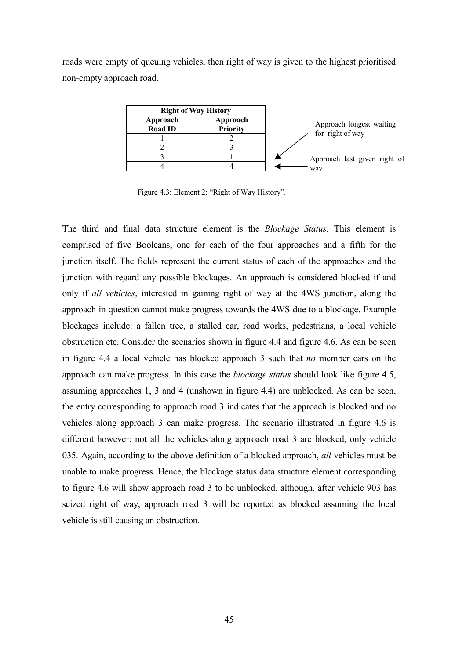roads were empty of queuing vehicles, then right of way is given to the highest prioritised non-empty approach road.



Figure 4.3: Element 2: "Right of Way History".

The third and final data structure element is the *Blockage Status*. This element is comprised of five Booleans, one for each of the four approaches and a fifth for the junction itself. The fields represent the current status of each of the approaches and the junction with regard any possible blockages. An approach is considered blocked if and only if *all vehicles*, interested in gaining right of way at the 4WS junction, along the approach in question cannot make progress towards the 4WS due to a blockage. Example blockages include: a fallen tree, a stalled car, road works, pedestrians, a local vehicle obstruction etc. Consider the scenarios shown in figure 4.4 and figure 4.6. As can be seen in figure 4.4 a local vehicle has blocked approach 3 such that *no* member cars on the approach can make progress. In this case the *blockage status* should look like figure 4.5, assuming approaches 1, 3 and 4 (unshown in figure 4.4) are unblocked. As can be seen, the entry corresponding to approach road 3 indicates that the approach is blocked and no vehicles along approach 3 can make progress. The scenario illustrated in figure 4.6 is different however: not all the vehicles along approach road 3 are blocked, only vehicle 035. Again, according to the above definition of a blocked approach, *all* vehicles must be unable to make progress. Hence, the blockage status data structure element corresponding to figure 4.6 will show approach road 3 to be unblocked, although, after vehicle 903 has seized right of way, approach road 3 will be reported as blocked assuming the local vehicle is still causing an obstruction.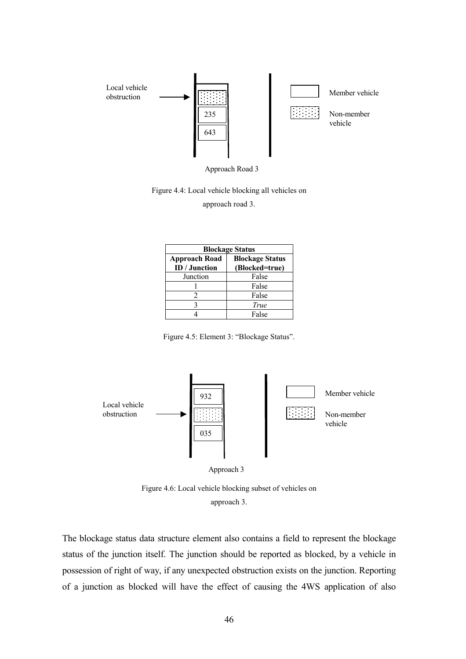

Approach Road 3

Figure 4.4: Local vehicle blocking all vehicles on

approach road 3.

| <b>Blockage Status</b>                |                                          |  |  |  |
|---------------------------------------|------------------------------------------|--|--|--|
| <b>Approach Road</b><br>ID / Junction | <b>Blockage Status</b><br>(Blocked=true) |  |  |  |
| Junction                              | False                                    |  |  |  |
|                                       | False                                    |  |  |  |
|                                       | False                                    |  |  |  |
|                                       | True                                     |  |  |  |
|                                       | False                                    |  |  |  |

Figure 4.5: Element 3: "Blockage Status".



Figure 4.6: Local vehicle blocking subset of vehicles on approach 3.

The blockage status data structure element also contains a field to represent the blockage status of the junction itself. The junction should be reported as blocked, by a vehicle in possession of right of way, if any unexpected obstruction exists on the junction. Reporting of a junction as blocked will have the effect of causing the 4WS application of also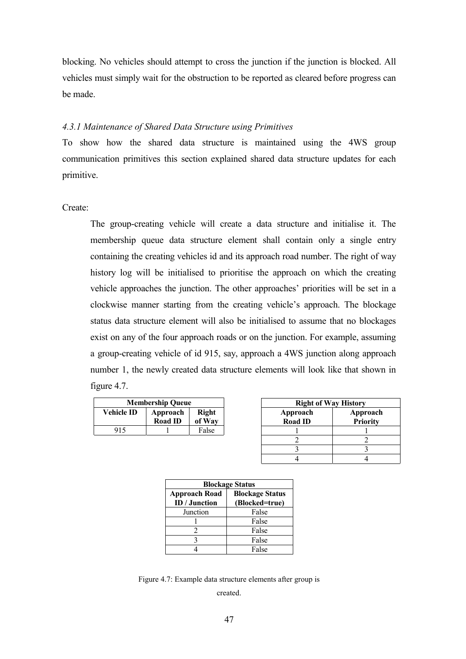blocking. No vehicles should attempt to cross the junction if the junction is blocked. All vehicles must simply wait for the obstruction to be reported as cleared before progress can be made.

#### *4.3.1 Maintenance of Shared Data Structure using Primitives*

To show how the shared data structure is maintained using the 4WS group communication primitives this section explained shared data structure updates for each primitive.

Create:

The group-creating vehicle will create a data structure and initialise it. The membership queue data structure element shall contain only a single entry containing the creating vehicles id and its approach road number. The right of way history log will be initialised to prioritise the approach on which the creating vehicle approaches the junction. The other approaches' priorities will be set in a clockwise manner starting from the creating vehicle's approach. The blockage status data structure element will also be initialised to assume that no blockages exist on any of the four approach roads or on the junction. For example, assuming a group-creating vehicle of id 915, say, approach a 4WS junction along approach number 1, the newly created data structure elements will look like that shown in figure 4.7.

| <b>Membership Queue</b>                |                |        |  |  |  |
|----------------------------------------|----------------|--------|--|--|--|
| Vehicle ID<br><b>Right</b><br>Approach |                |        |  |  |  |
|                                        | <b>Road ID</b> | of Way |  |  |  |
| 915                                    |                | False  |  |  |  |

| <b>Right of Way History</b> |                             |  |  |  |  |
|-----------------------------|-----------------------------|--|--|--|--|
| Approach<br><b>Road ID</b>  | Approach<br><b>Priority</b> |  |  |  |  |
|                             |                             |  |  |  |  |
|                             |                             |  |  |  |  |
|                             |                             |  |  |  |  |
|                             |                             |  |  |  |  |

| <b>Blockage Status</b>                         |                |  |  |  |
|------------------------------------------------|----------------|--|--|--|
| <b>Blockage Status</b><br><b>Approach Road</b> |                |  |  |  |
| ID / Junction                                  | (Blocked=true) |  |  |  |
| Junction                                       | False          |  |  |  |
|                                                | False          |  |  |  |
|                                                | False          |  |  |  |
|                                                | False          |  |  |  |
|                                                | False          |  |  |  |

Figure 4.7: Example data structure elements after group is

created.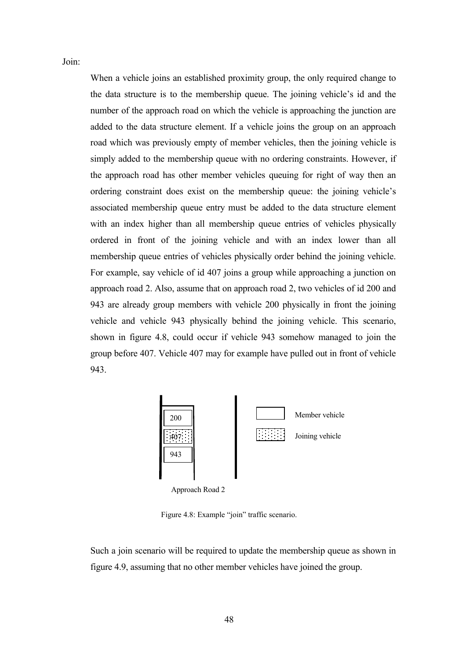Join:

When a vehicle joins an established proximity group, the only required change to the data structure is to the membership queue. The joining vehicle's id and the number of the approach road on which the vehicle is approaching the junction are added to the data structure element. If a vehicle joins the group on an approach road which was previously empty of member vehicles, then the joining vehicle is simply added to the membership queue with no ordering constraints. However, if the approach road has other member vehicles queuing for right of way then an ordering constraint does exist on the membership queue: the joining vehicle's associated membership queue entry must be added to the data structure element with an index higher than all membership queue entries of vehicles physically ordered in front of the joining vehicle and with an index lower than all membership queue entries of vehicles physically order behind the joining vehicle. For example, say vehicle of id 407 joins a group while approaching a junction on approach road 2. Also, assume that on approach road 2, two vehicles of id 200 and 943 are already group members with vehicle 200 physically in front the joining vehicle and vehicle 943 physically behind the joining vehicle. This scenario, shown in figure 4.8, could occur if vehicle 943 somehow managed to join the group before 407. Vehicle 407 may for example have pulled out in front of vehicle 943.



Figure 4.8: Example "join" traffic scenario.

Such a join scenario will be required to update the membership queue as shown in figure 4.9, assuming that no other member vehicles have joined the group.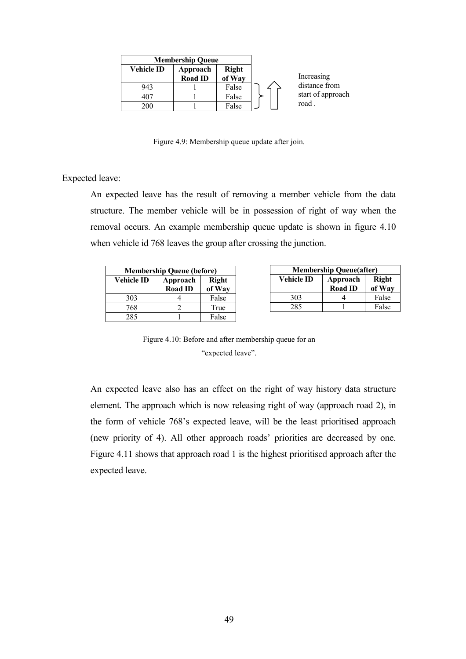|                   | <b>Membership Queue</b>    |                        |                   |
|-------------------|----------------------------|------------------------|-------------------|
| <b>Vehicle ID</b> | Approach<br><b>Road ID</b> | <b>Right</b><br>of Way | Increasing        |
| 943               |                            | False                  | distance from     |
| 407               |                            | False                  | start of approach |
| 200               |                            | False                  | road              |

Figure 4.9: Membership queue update after join.

Expected leave:

An expected leave has the result of removing a member vehicle from the data structure. The member vehicle will be in possession of right of way when the removal occurs. An example membership queue update is shown in figure 4.10 when vehicle id 768 leaves the group after crossing the junction.

| <b>Membership Queue (before)</b> |                |                        |  |  |  |
|----------------------------------|----------------|------------------------|--|--|--|
| <b>Vehicle ID</b>                | Approach       | <b>Right</b><br>of Way |  |  |  |
|                                  | <b>Road ID</b> |                        |  |  |  |
| 303                              |                | False                  |  |  |  |
| 768                              |                | True                   |  |  |  |
| 285                              |                | False                  |  |  |  |

| <b>Membership Queue(after)</b>                |                |        |  |  |  |
|-----------------------------------------------|----------------|--------|--|--|--|
| <b>Right</b><br><b>Vehicle ID</b><br>Approach |                |        |  |  |  |
|                                               | <b>Road ID</b> | of Way |  |  |  |
| 303                                           |                | False  |  |  |  |
| 285                                           |                | False  |  |  |  |

Figure 4.10: Before and after membership queue for an "expected leave".

An expected leave also has an effect on the right of way history data structure element. The approach which is now releasing right of way (approach road 2), in the form of vehicle 768's expected leave, will be the least prioritised approach (new priority of 4). All other approach roads' priorities are decreased by one. Figure 4.11 shows that approach road 1 is the highest prioritised approach after the expected leave.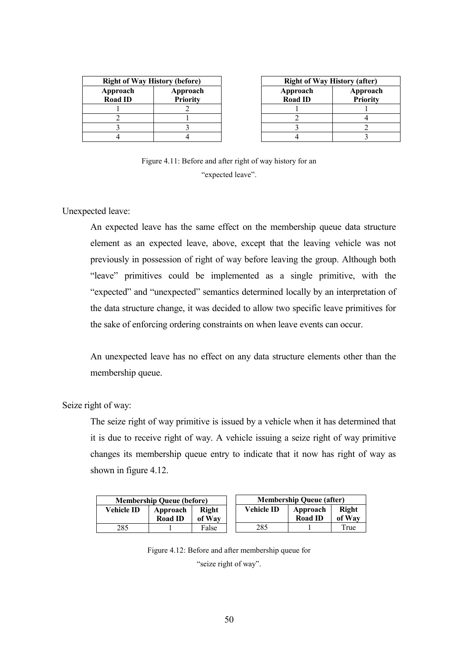| <b>Right of Way History (before)</b> |                             |  |  |  |  |
|--------------------------------------|-----------------------------|--|--|--|--|
| Approach<br><b>Road ID</b>           | Approach<br><b>Priority</b> |  |  |  |  |
|                                      |                             |  |  |  |  |
|                                      |                             |  |  |  |  |
|                                      |                             |  |  |  |  |
|                                      |                             |  |  |  |  |

| <b>Right of Way History (after)</b> |                             |  |  |  |
|-------------------------------------|-----------------------------|--|--|--|
| Approach<br><b>Road ID</b>          | Approach<br><b>Priority</b> |  |  |  |
|                                     |                             |  |  |  |
|                                     |                             |  |  |  |
|                                     |                             |  |  |  |
|                                     |                             |  |  |  |

**Right of Way**  True

Figure 4.11: Before and after right of way history for an "expected leave".

Unexpected leave:

An expected leave has the same effect on the membership queue data structure element as an expected leave, above, except that the leaving vehicle was not previously in possession of right of way before leaving the group. Although both "leave" primitives could be implemented as a single primitive, with the "expected" and "unexpected" semantics determined locally by an interpretation of the data structure change, it was decided to allow two specific leave primitives for the sake of enforcing ordering constraints on when leave events can occur.

An unexpected leave has no effect on any data structure elements other than the membership queue.

Seize right of way:

The seize right of way primitive is issued by a vehicle when it has determined that it is due to receive right of way. A vehicle issuing a seize right of way primitive changes its membership queue entry to indicate that it now has right of way as shown in figure 4.12.

| <b>Membership Queue (before)</b> |                            |                 |  |                                                 | <b>Membership Queue (after)</b> |              |
|----------------------------------|----------------------------|-----------------|--|-------------------------------------------------|---------------------------------|--------------|
| <b>Vehicle ID</b>                | Approach<br><b>Road ID</b> | Right<br>of Way |  | <b>Vehicle ID</b><br>Approach<br><b>Road ID</b> |                                 | R<br>-of     |
| 285                              |                            | False           |  | 285                                             |                                 | $\mathbf{r}$ |

Figure 4.12: Before and after membership queue for

"seize right of way".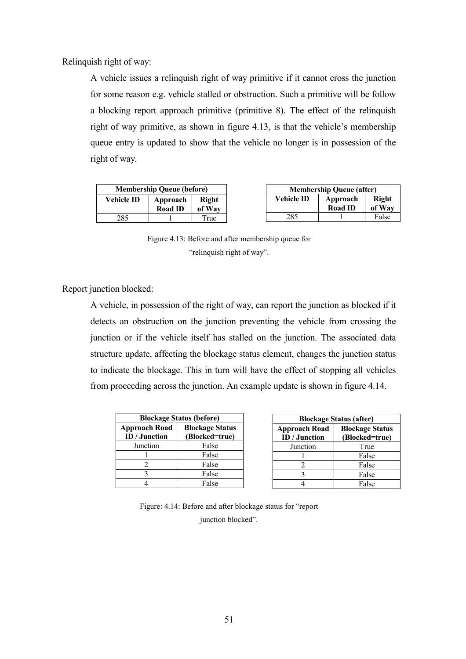Relinquish right of way:

A vehicle issues a relinquish right of way primitive if it cannot cross the junction for some reason e.g. vehicle stalled or obstruction. Such a primitive will be follow a blocking report approach primitive (primitive 8). The effect of the relinquish right of way primitive, as shown in figure 4.13, is that the vehicle's membership queue entry is updated to show that the vehicle no longer is in possession of the right of way.

| <b>Membership Queue (before)</b>                             |  |            |                            | <b>Membership Queue (after)</b> |       |
|--------------------------------------------------------------|--|------------|----------------------------|---------------------------------|-------|
| Vehicle ID-<br>Right<br>Approach<br><b>Road ID</b><br>of Way |  | Vehicle ID | Approach<br><b>Road ID</b> | Right<br>of Way                 |       |
| 285                                                          |  | True       | 285                        |                                 | False |

Figure 4.13: Before and after membership queue for "relinquish right of way".

Report junction blocked:

A vehicle, in possession of the right of way, can report the junction as blocked if it detects an obstruction on the junction preventing the vehicle from crossing the junction or if the vehicle itself has stalled on the junction. The associated data structure update, affecting the blockage status element, changes the junction status to indicate the blockage. This in turn will have the effect of stopping all vehicles from proceeding across the junction. An example update is shown in figure 4.14.

| <b>Blockage Status (before)</b> |                        |
|---------------------------------|------------------------|
| <b>Approach Road</b>            | <b>Blockage Status</b> |
| <b>ID</b> / Junction            | (Blocked=true)         |
| Junction                        | False                  |
|                                 | False                  |
| 2                               | False                  |
| 3                               | False                  |
|                                 | False                  |

| <b>Blockage Status (after)</b> |                        |
|--------------------------------|------------------------|
| <b>Approach Road</b>           | <b>Blockage Status</b> |
| ID / Junction                  | (Blocked=true)         |
| Junction                       | True                   |
|                                | False                  |
| 2                              | False                  |
| 3                              | False                  |
|                                | False                  |

Figure: 4.14: Before and after blockage status for "report junction blocked".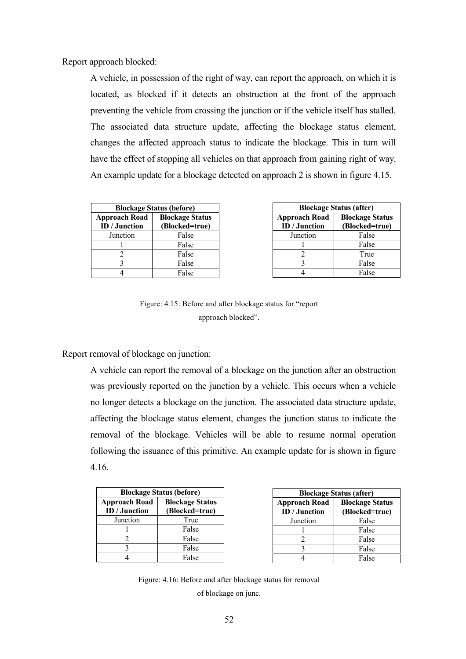Report approach blocked:

A vehicle, in possession of the right of way, can report the approach, on which it is located, as blocked if it detects an obstruction at the front of the approach preventing the vehicle from crossing the junction or if the vehicle itself has stalled. The associated data structure update, affecting the blockage status element, changes the affected approach status to indicate the blockage. This in turn will have the effect of stopping all vehicles on that approach from gaining right of way. An example update for a blockage detected on approach 2 is shown in figure 4.15.

| <b>Blockage Status (before)</b>       |                                          |
|---------------------------------------|------------------------------------------|
| <b>Approach Road</b><br>ID / Junction | <b>Blockage Status</b><br>(Blocked=true) |
| Junction                              | False                                    |
|                                       | False                                    |
| 2                                     | False                                    |
| 3                                     | False                                    |
|                                       | False                                    |

| <b>Blockage Status (after)</b>        |                                          |
|---------------------------------------|------------------------------------------|
| <b>Approach Road</b><br>ID / Junction | <b>Blockage Status</b><br>(Blocked=true) |
| Junction                              | False                                    |
|                                       | False                                    |
| 2                                     | True                                     |
| 3                                     | False                                    |
|                                       | False                                    |

Figure: 4.15: Before and after blockage status for "report approach blocked".

Report removal of blockage on junction:

A vehicle can report the removal of a blockage on the junction after an obstruction was previously reported on the junction by a vehicle. This occurs when a vehicle no longer detects a blockage on the junction. The associated data structure update, affecting the blockage status element, changes the junction status to indicate the removal of the blockage. Vehicles will be able to resume normal operation following the issuance of this primitive. An example update for is shown in figure 4.16.

| <b>Blockage Status (before)</b> |                        |
|---------------------------------|------------------------|
| <b>Approach Road</b>            | <b>Blockage Status</b> |
| ID / Junction                   | (Blocked=true)         |
| Junction                        | True                   |
|                                 | False                  |
|                                 | False                  |
| 3                               | False                  |
|                                 | False                  |

| <b>Blockage Status (after)</b> |                        |
|--------------------------------|------------------------|
| <b>Approach Road</b>           | <b>Blockage Status</b> |
| ID / Junction                  | (Blocked=true)         |
| Junction                       | False                  |
|                                | False                  |
| 2                              | False                  |
| 3                              | False                  |
|                                | False                  |

Figure: 4.16: Before and after blockage status for removal of blockage on junc.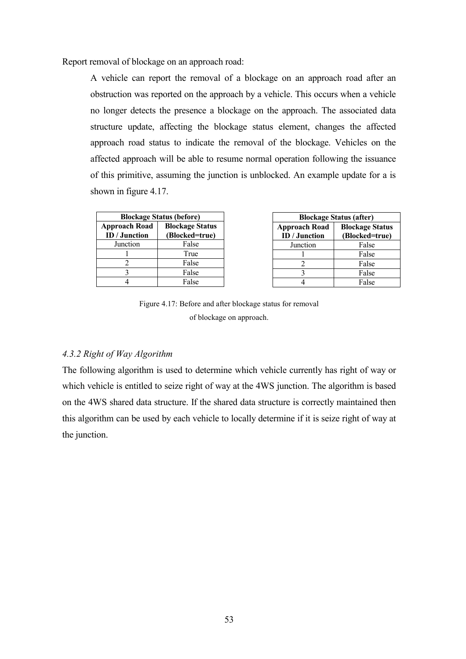Report removal of blockage on an approach road:

A vehicle can report the removal of a blockage on an approach road after an obstruction was reported on the approach by a vehicle. This occurs when a vehicle no longer detects the presence a blockage on the approach. The associated data structure update, affecting the blockage status element, changes the affected approach road status to indicate the removal of the blockage. Vehicles on the affected approach will be able to resume normal operation following the issuance of this primitive, assuming the junction is unblocked. An example update for a is shown in figure 4.17.

| <b>Blockage Status (before)</b> |                        |
|---------------------------------|------------------------|
| <b>Approach Road</b>            | <b>Blockage Status</b> |
| ID / Junction                   | (Blocked=true)         |
| Junction                        | False                  |
|                                 | True                   |
|                                 | False                  |
| 2                               | False                  |
|                                 | False                  |

| <b>Blockage Status (after)</b>               |                                          |  |
|----------------------------------------------|------------------------------------------|--|
| <b>Approach Road</b><br><b>ID</b> / Junction | <b>Blockage Status</b><br>(Blocked=true) |  |
| Junction                                     | False                                    |  |
|                                              | False                                    |  |
| 2                                            | False                                    |  |
|                                              | False                                    |  |
|                                              | False                                    |  |

Figure 4.17: Before and after blockage status for removal of blockage on approach.

#### *4.3.2 Right of Way Algorithm*

The following algorithm is used to determine which vehicle currently has right of way or which vehicle is entitled to seize right of way at the 4WS junction. The algorithm is based on the 4WS shared data structure. If the shared data structure is correctly maintained then this algorithm can be used by each vehicle to locally determine if it is seize right of way at the junction.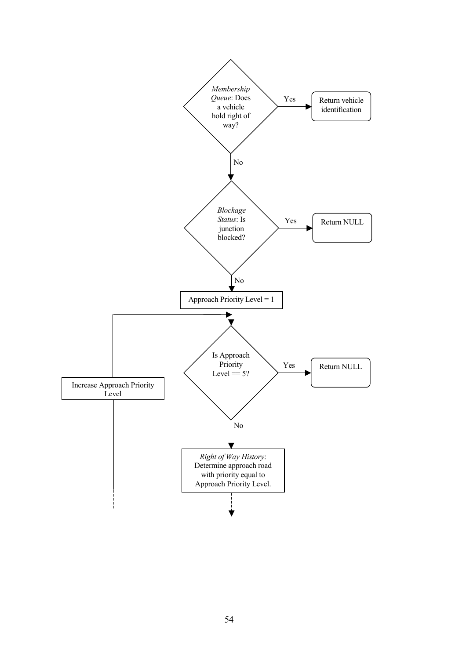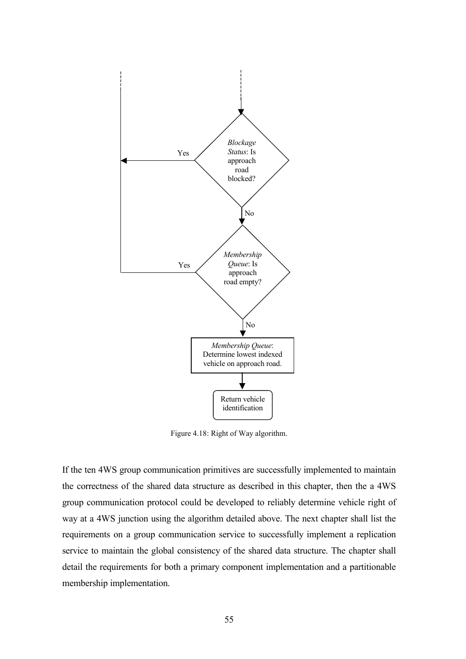

Figure 4.18: Right of Way algorithm.

If the ten 4WS group communication primitives are successfully implemented to maintain the correctness of the shared data structure as described in this chapter, then the a 4WS group communication protocol could be developed to reliably determine vehicle right of way at a 4WS junction using the algorithm detailed above. The next chapter shall list the requirements on a group communication service to successfully implement a replication service to maintain the global consistency of the shared data structure. The chapter shall detail the requirements for both a primary component implementation and a partitionable membership implementation.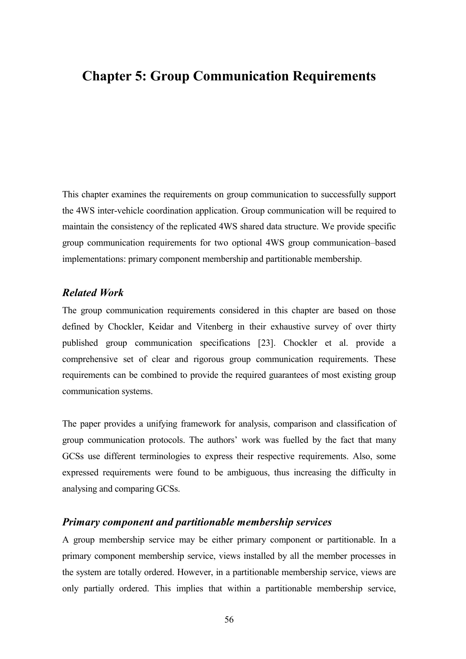# **Chapter 5: Group Communication Requirements**

This chapter examines the requirements on group communication to successfully support the 4WS inter-vehicle coordination application. Group communication will be required to maintain the consistency of the replicated 4WS shared data structure. We provide specific group communication requirements for two optional 4WS group communication–based implementations: primary component membership and partitionable membership.

#### *Related Work*

The group communication requirements considered in this chapter are based on those defined by Chockler, Keidar and Vitenberg in their exhaustive survey of over thirty published group communication specifications [23]. Chockler et al. provide a comprehensive set of clear and rigorous group communication requirements. These requirements can be combined to provide the required guarantees of most existing group communication systems.

The paper provides a unifying framework for analysis, comparison and classification of group communication protocols. The authors' work was fuelled by the fact that many GCSs use different terminologies to express their respective requirements. Also, some expressed requirements were found to be ambiguous, thus increasing the difficulty in analysing and comparing GCSs.

#### *Primary component and partitionable membership services*

A group membership service may be either primary component or partitionable. In a primary component membership service, views installed by all the member processes in the system are totally ordered. However, in a partitionable membership service, views are only partially ordered. This implies that within a partitionable membership service,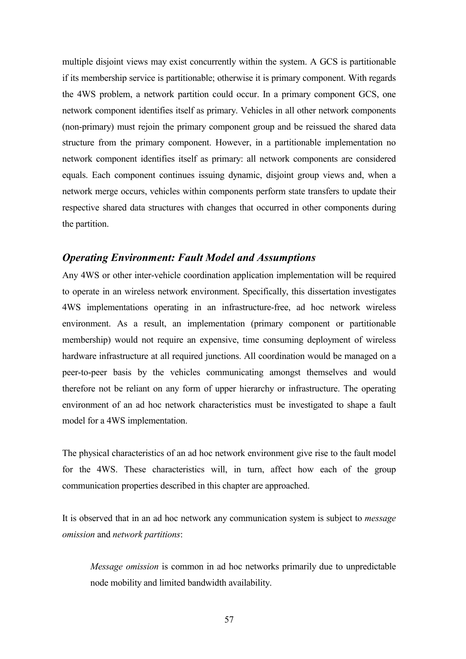multiple disjoint views may exist concurrently within the system. A GCS is partitionable if its membership service is partitionable; otherwise it is primary component. With regards the 4WS problem, a network partition could occur. In a primary component GCS, one network component identifies itself as primary. Vehicles in all other network components (non-primary) must rejoin the primary component group and be reissued the shared data structure from the primary component. However, in a partitionable implementation no network component identifies itself as primary: all network components are considered equals. Each component continues issuing dynamic, disjoint group views and, when a network merge occurs, vehicles within components perform state transfers to update their respective shared data structures with changes that occurred in other components during the partition.

## *Operating Environment: Fault Model and Assumptions*

Any 4WS or other inter-vehicle coordination application implementation will be required to operate in an wireless network environment. Specifically, this dissertation investigates 4WS implementations operating in an infrastructure-free, ad hoc network wireless environment. As a result, an implementation (primary component or partitionable membership) would not require an expensive, time consuming deployment of wireless hardware infrastructure at all required junctions. All coordination would be managed on a peer-to-peer basis by the vehicles communicating amongst themselves and would therefore not be reliant on any form of upper hierarchy or infrastructure. The operating environment of an ad hoc network characteristics must be investigated to shape a fault model for a 4WS implementation.

The physical characteristics of an ad hoc network environment give rise to the fault model for the 4WS. These characteristics will, in turn, affect how each of the group communication properties described in this chapter are approached.

It is observed that in an ad hoc network any communication system is subject to *message omission* and *network partitions*:

*Message omission* is common in ad hoc networks primarily due to unpredictable node mobility and limited bandwidth availability.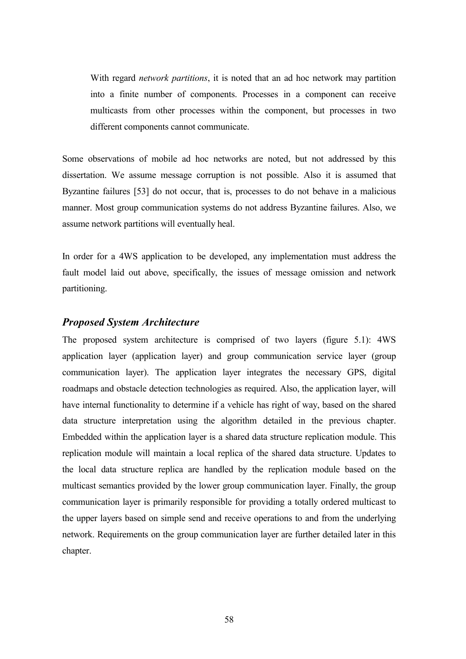With regard *network partitions*, it is noted that an ad hoc network may partition into a finite number of components. Processes in a component can receive multicasts from other processes within the component, but processes in two different components cannot communicate.

Some observations of mobile ad hoc networks are noted, but not addressed by this dissertation. We assume message corruption is not possible. Also it is assumed that Byzantine failures [53] do not occur, that is, processes to do not behave in a malicious manner. Most group communication systems do not address Byzantine failures. Also, we assume network partitions will eventually heal.

In order for a 4WS application to be developed, any implementation must address the fault model laid out above, specifically, the issues of message omission and network partitioning.

# *Proposed System Architecture*

The proposed system architecture is comprised of two layers (figure 5.1): 4WS application layer (application layer) and group communication service layer (group communication layer). The application layer integrates the necessary GPS, digital roadmaps and obstacle detection technologies as required. Also, the application layer, will have internal functionality to determine if a vehicle has right of way, based on the shared data structure interpretation using the algorithm detailed in the previous chapter. Embedded within the application layer is a shared data structure replication module. This replication module will maintain a local replica of the shared data structure. Updates to the local data structure replica are handled by the replication module based on the multicast semantics provided by the lower group communication layer. Finally, the group communication layer is primarily responsible for providing a totally ordered multicast to the upper layers based on simple send and receive operations to and from the underlying network. Requirements on the group communication layer are further detailed later in this chapter.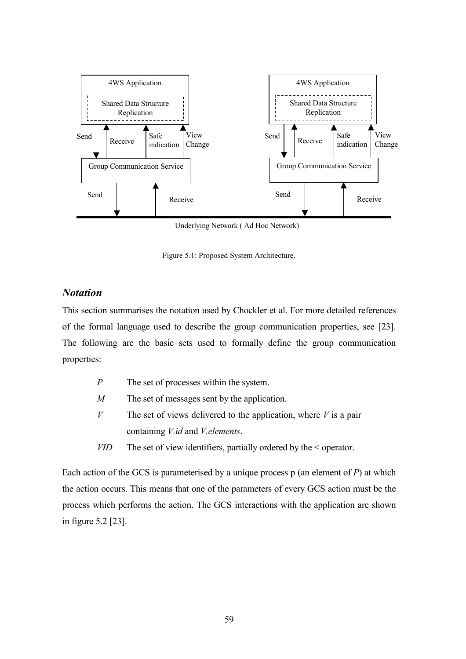

Underlying Network ( Ad Hoc Network)

Figure 5.1: Proposed System Architecture.

# *Notation*

This section summarises the notation used by Chockler et al. For more detailed references of the formal language used to describe the group communication properties, see [23]. The following are the basic sets used to formally define the group communication properties:

| P          | The set of processes within the system.                                |
|------------|------------------------------------------------------------------------|
| M          | The set of messages sent by the application.                           |
| V          | The set of views delivered to the application, where $V$ is a pair     |
|            | containing <i>V.id</i> and <i>V.elements.</i>                          |
| <i>VID</i> | The set of view identifiers, partially ordered by the $\leq$ operator. |

Each action of the GCS is parameterised by a unique process p (an element of *P*) at which the action occurs. This means that one of the parameters of every GCS action must be the process which performs the action. The GCS interactions with the application are shown in figure 5.2 [23].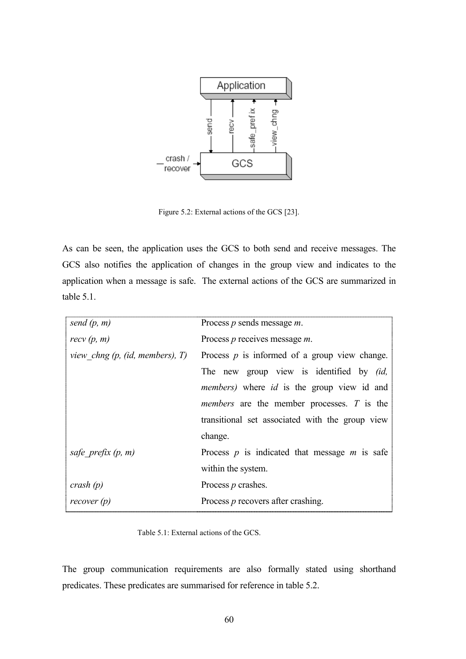

Figure 5.2: External actions of the GCS [23].

As can be seen, the application uses the GCS to both send and receive messages. The GCS also notifies the application of changes in the group view and indicates to the application when a message is safe. The external actions of the GCS are summarized in table 5.1.

| send $(p, m)$                     | Process $p$ sends message $m$ .                           |
|-----------------------------------|-----------------------------------------------------------|
| recv(p, m)                        | Process $p$ receives message $m$ .                        |
| view chng $(p, (id, members), T)$ | Process $p$ is informed of a group view change.           |
|                                   | The new group view is identified by <i>(id,</i>           |
|                                   | <i>members</i> ) where <i>id</i> is the group view id and |
|                                   | <i>members</i> are the member processes. T is the         |
|                                   | transitional set associated with the group view           |
|                                   | change.                                                   |
| safe prefix $(p, m)$              | Process $p$ is indicated that message $m$ is safe         |
|                                   | within the system.                                        |
| crash $(p)$                       | Process $p$ crashes.                                      |
| recover(p)                        | Process $p$ recovers after crashing.                      |

Table 5.1: External actions of the GCS.

The group communication requirements are also formally stated using shorthand predicates. These predicates are summarised for reference in table 5.2.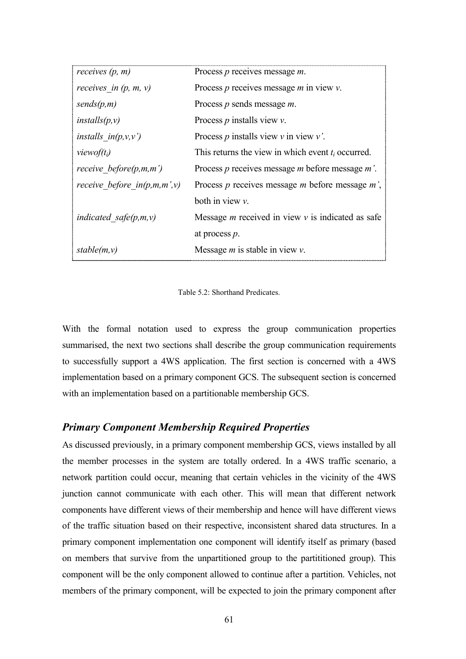| receives $(p, m)$             | Process $p$ receives message $m$ .                     |
|-------------------------------|--------------------------------------------------------|
| receives in $(p, m, v)$       | Process $p$ receives message $m$ in view $v$ .         |
| sends(p,m)                    | Process $p$ sends message $m$ .                        |
| installs(p, v)                | Process $p$ installs view $v$ .                        |
| installs $in(p, v, v')$       | Process $p$ installs view $v$ in view $v'$ .           |
| <i>viewof(t<sub>i</sub>)</i>  | This returns the view in which event $t_i$ occurred.   |
| receive before $(p,m,m')$     | Process $p$ receives message $m$ before message $m'$ . |
| receive before $in(p,m,m',v)$ | Process $p$ receives message $m$ before message $m'$ , |
|                               | both in view $v$ .                                     |
| indicated safe $(p,m,v)$      | Message $m$ received in view $v$ is indicated as safe  |
|                               | at process $p$ .                                       |
| stable(m, v)                  | Message $m$ is stable in view $v$ .                    |

Table 5.2: Shorthand Predicates.

With the formal notation used to express the group communication properties summarised, the next two sections shall describe the group communication requirements to successfully support a 4WS application. The first section is concerned with a 4WS implementation based on a primary component GCS. The subsequent section is concerned with an implementation based on a partitionable membership GCS.

# *Primary Component Membership Required Properties*

As discussed previously, in a primary component membership GCS, views installed by all the member processes in the system are totally ordered. In a 4WS traffic scenario, a network partition could occur, meaning that certain vehicles in the vicinity of the 4WS junction cannot communicate with each other. This will mean that different network components have different views of their membership and hence will have different views of the traffic situation based on their respective, inconsistent shared data structures. In a primary component implementation one component will identify itself as primary (based on members that survive from the unpartitioned group to the partititioned group). This component will be the only component allowed to continue after a partition. Vehicles, not members of the primary component, will be expected to join the primary component after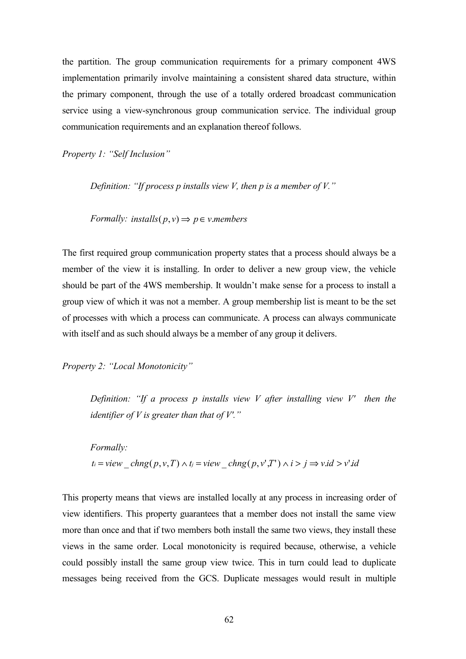the partition. The group communication requirements for a primary component 4WS implementation primarily involve maintaining a consistent shared data structure, within the primary component, through the use of a totally ordered broadcast communication service using a view-synchronous group communication service. The individual group communication requirements and an explanation thereof follows.

*Property 1: "Self Inclusion"* 

*Definition: "If process p installs view V, then p is a member of V."* 

*Formally: installs*( $p, v$ )  $\Rightarrow$   $p \in v$ *.members* 

The first required group communication property states that a process should always be a member of the view it is installing. In order to deliver a new group view, the vehicle should be part of the 4WS membership. It wouldn't make sense for a process to install a group view of which it was not a member. A group membership list is meant to be the set of processes with which a process can communicate. A process can always communicate with itself and as such should always be a member of any group it delivers.

*Property 2: "Local Monotonicity"* 

*Definition: "If a process p installs view V after installing view V' then the identifier of V is greater than that of V'."* 

*Formally:*   $t_i =$ *view*  $\int chng(p, v, T) \wedge t_j =$ *view*  $\int chng(p, v', T') \wedge i > j \Rightarrow$ *v.id* >  $v' \cdot id$ 

This property means that views are installed locally at any process in increasing order of view identifiers. This property guarantees that a member does not install the same view more than once and that if two members both install the same two views, they install these views in the same order. Local monotonicity is required because, otherwise, a vehicle could possibly install the same group view twice. This in turn could lead to duplicate messages being received from the GCS. Duplicate messages would result in multiple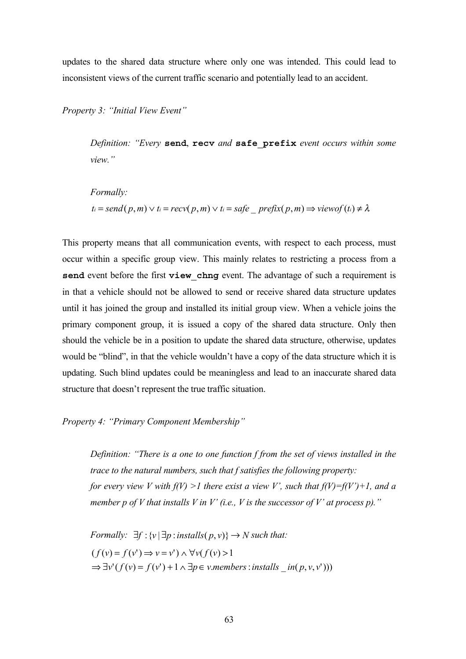updates to the shared data structure where only one was intended. This could lead to inconsistent views of the current traffic scenario and potentially lead to an accident.

*Property 3: "Initial View Event"* 

*Definition: "Every* **send**, **recv** *and* **safe\_prefix** *event occurs within some view."*

*Formally:*  

$$
t_i = send(p, m) \lor t_i = recv(p, m) \lor t_i = safe\_prefix(p, m) \Longrightarrow viewof(t_i) \neq \lambda
$$

This property means that all communication events, with respect to each process, must occur within a specific group view. This mainly relates to restricting a process from a **send** event before the first **view** chng event. The advantage of such a requirement is in that a vehicle should not be allowed to send or receive shared data structure updates until it has joined the group and installed its initial group view. When a vehicle joins the primary component group, it is issued a copy of the shared data structure. Only then should the vehicle be in a position to update the shared data structure, otherwise, updates would be "blind", in that the vehicle wouldn't have a copy of the data structure which it is updating. Such blind updates could be meaningless and lead to an inaccurate shared data structure that doesn't represent the true traffic situation.

#### *Property 4: "Primary Component Membership"*

*Definition: "There is a one to one function f from the set of views installed in the trace to the natural numbers, such that f satisfies the following property: for every view V with f(V) >1 there exist a view V', such that f(V)=f(V')+1, and a member p of V that installs V in V' (i.e., V is the successor of V' at process p)."*

*Formally:*  $\exists f : \{v | \exists p : \text{installs}(p, v) \} \rightarrow N$  *such that:*  $\Rightarrow \exists v' (f(v) = f(v') + 1 \land \exists p \in v.\text{members} : \text{installs } \text{in} (p, v, v'))$  $(f(v) = f(v') \Rightarrow v = v') \land \forall v(f(v) > 1$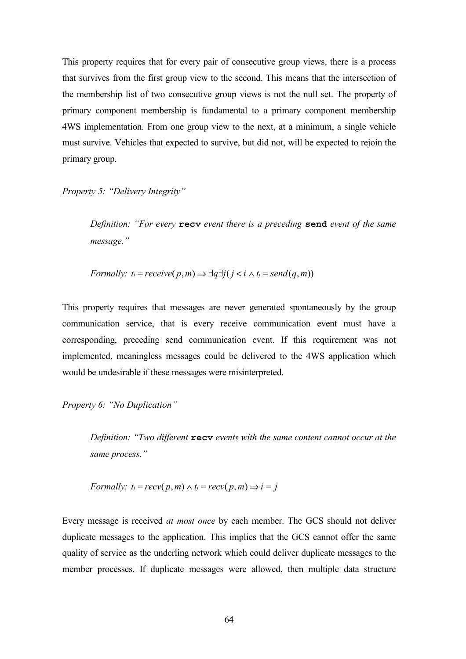This property requires that for every pair of consecutive group views, there is a process that survives from the first group view to the second. This means that the intersection of the membership list of two consecutive group views is not the null set. The property of primary component membership is fundamental to a primary component membership 4WS implementation. From one group view to the next, at a minimum, a single vehicle must survive. Vehicles that expected to survive, but did not, will be expected to rejoin the primary group.

*Property 5: "Delivery Integrity"* 

*Definition: "For every* **recv** *event there is a preceding* **send** *event of the same message."* 

*Formally:*  $t_i = receive(p, m) \Rightarrow \exists q \exists j ( j \le i \land t_j = send(q, m))$ 

This property requires that messages are never generated spontaneously by the group communication service, that is every receive communication event must have a corresponding, preceding send communication event. If this requirement was not implemented, meaningless messages could be delivered to the 4WS application which would be undesirable if these messages were misinterpreted.

*Property 6: "No Duplication"* 

*Definition: "Two different* **recv** *events with the same content cannot occur at the same process."*

*Formally:* 
$$
t_i = recv(p, m) \land t_j = recv(p, m) \Longrightarrow i = j
$$

Every message is received *at most once* by each member. The GCS should not deliver duplicate messages to the application. This implies that the GCS cannot offer the same quality of service as the underling network which could deliver duplicate messages to the member processes. If duplicate messages were allowed, then multiple data structure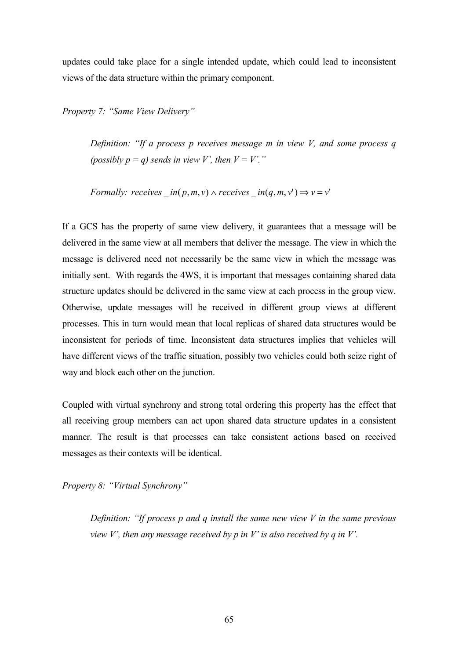updates could take place for a single intended update, which could lead to inconsistent views of the data structure within the primary component.

*Property 7: "Same View Delivery"* 

*Definition: "If a process p receives message m in view V, and some process q (possibly p = q) sends in view V', then*  $V = V'$ *."* 

*Formally: receives*  $in(p, m, v) \wedge receives \quad in(q, m, v') \Rightarrow v = v'$ 

If a GCS has the property of same view delivery, it guarantees that a message will be delivered in the same view at all members that deliver the message. The view in which the message is delivered need not necessarily be the same view in which the message was initially sent. With regards the 4WS, it is important that messages containing shared data structure updates should be delivered in the same view at each process in the group view. Otherwise, update messages will be received in different group views at different processes. This in turn would mean that local replicas of shared data structures would be inconsistent for periods of time. Inconsistent data structures implies that vehicles will have different views of the traffic situation, possibly two vehicles could both seize right of way and block each other on the junction.

Coupled with virtual synchrony and strong total ordering this property has the effect that all receiving group members can act upon shared data structure updates in a consistent manner. The result is that processes can take consistent actions based on received messages as their contexts will be identical.

*Property 8: "Virtual Synchrony"* 

*Definition: "If process p and q install the same new view V in the same previous view V', then any message received by p in V' is also received by q in V'.*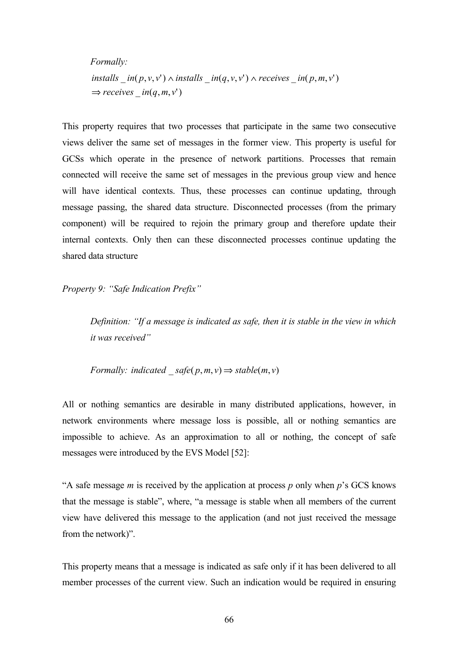*Formally:*   $\Rightarrow$  *receives*  $\pm$  *in*(*q*, *m*, *v*')  $\int$  *installs*  $\int$   $\int$  *in*( $p, v, v'$ )  $\wedge$  *installs*  $\int$  *in*( $q, v, v'$ )  $\wedge$  *receives*  $\int$  *in*( $p, m, v'$ )

This property requires that two processes that participate in the same two consecutive views deliver the same set of messages in the former view. This property is useful for GCSs which operate in the presence of network partitions. Processes that remain connected will receive the same set of messages in the previous group view and hence will have identical contexts. Thus, these processes can continue updating, through message passing, the shared data structure. Disconnected processes (from the primary component) will be required to rejoin the primary group and therefore update their internal contexts. Only then can these disconnected processes continue updating the shared data structure

*Property 9: "Safe Indication Prefix"* 

*Definition: "If a message is indicated as safe, then it is stable in the view in which it was received"* 

*Formally: indicated*  $\text{safe}(p,m,v) \Rightarrow \text{stable}(m,v)$ 

All or nothing semantics are desirable in many distributed applications, however, in network environments where message loss is possible, all or nothing semantics are impossible to achieve. As an approximation to all or nothing, the concept of safe messages were introduced by the EVS Model [52]:

"A safe message *m* is received by the application at process *p* only when *p*'s GCS knows that the message is stable", where, "a message is stable when all members of the current view have delivered this message to the application (and not just received the message from the network)".

This property means that a message is indicated as safe only if it has been delivered to all member processes of the current view. Such an indication would be required in ensuring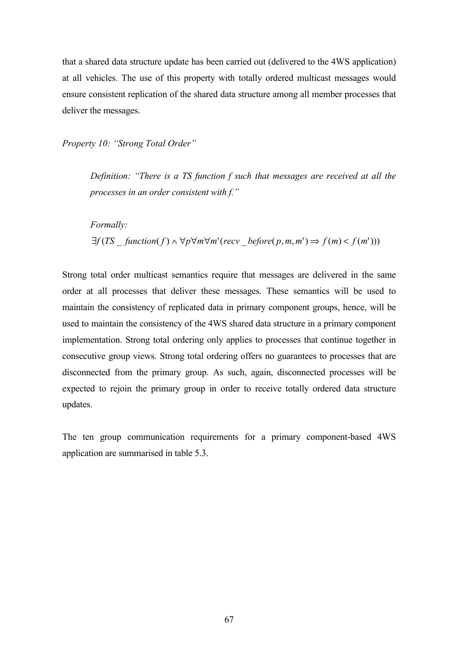that a shared data structure update has been carried out (delivered to the 4WS application) at all vehicles. The use of this property with totally ordered multicast messages would ensure consistent replication of the shared data structure among all member processes that deliver the messages.

*Property 10: "Strong Total Order"* 

*Definition: "There is a TS function f such that messages are received at all the processes in an order consistent with f."* 

*Formally:*   $\exists f(TS \text{ function}(f) \land \forall p \forall m \forall m' (recv \text{ before}(p, m, m') \Rightarrow f(m) < f(m'))$ 

Strong total order multicast semantics require that messages are delivered in the same order at all processes that deliver these messages. These semantics will be used to maintain the consistency of replicated data in primary component groups, hence, will be used to maintain the consistency of the 4WS shared data structure in a primary component implementation. Strong total ordering only applies to processes that continue together in consecutive group views. Strong total ordering offers no guarantees to processes that are disconnected from the primary group. As such, again, disconnected processes will be expected to rejoin the primary group in order to receive totally ordered data structure updates.

The ten group communication requirements for a primary component-based 4WS application are summarised in table 5.3.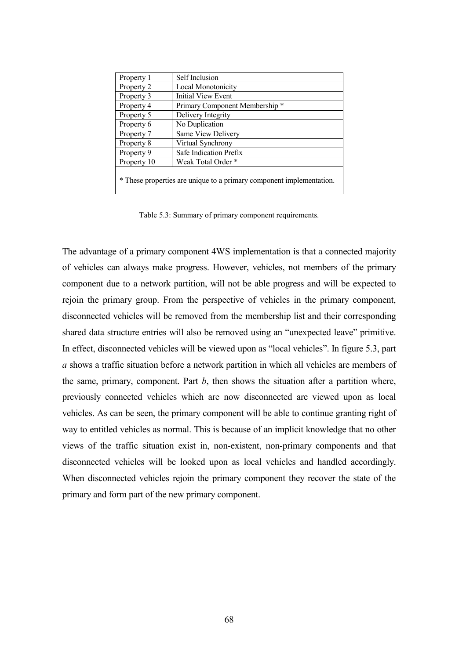| Property 1                                                           | Self Inclusion                 |
|----------------------------------------------------------------------|--------------------------------|
| Property 2                                                           | Local Monotonicity             |
| Property 3                                                           | Initial View Event             |
| Property 4                                                           | Primary Component Membership * |
| Property 5                                                           | Delivery Integrity             |
| Property 6                                                           | No Duplication                 |
| Property 7                                                           | Same View Delivery             |
| Property 8                                                           | Virtual Synchrony              |
| Property 9                                                           | Safe Indication Prefix         |
| Property 10                                                          | Weak Total Order *             |
| * These properties are unique to a primary component implementation. |                                |

Table 5.3: Summary of primary component requirements.

The advantage of a primary component 4WS implementation is that a connected majority of vehicles can always make progress. However, vehicles, not members of the primary component due to a network partition, will not be able progress and will be expected to rejoin the primary group. From the perspective of vehicles in the primary component, disconnected vehicles will be removed from the membership list and their corresponding shared data structure entries will also be removed using an "unexpected leave" primitive. In effect, disconnected vehicles will be viewed upon as "local vehicles". In figure 5.3, part *a* shows a traffic situation before a network partition in which all vehicles are members of the same, primary, component. Part *b*, then shows the situation after a partition where, previously connected vehicles which are now disconnected are viewed upon as local vehicles. As can be seen, the primary component will be able to continue granting right of way to entitled vehicles as normal. This is because of an implicit knowledge that no other views of the traffic situation exist in, non-existent, non-primary components and that disconnected vehicles will be looked upon as local vehicles and handled accordingly. When disconnected vehicles rejoin the primary component they recover the state of the primary and form part of the new primary component.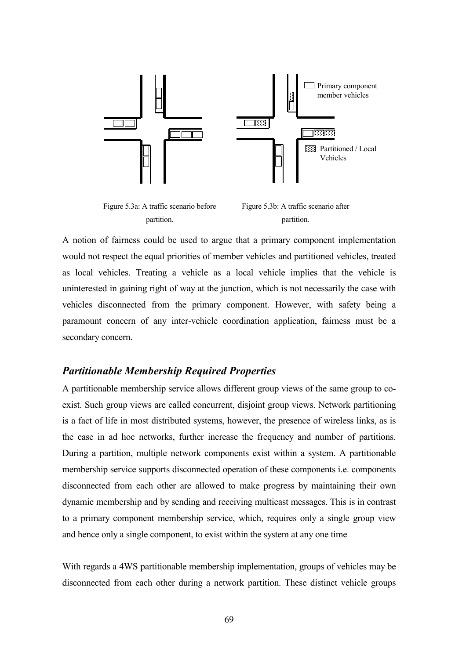

A notion of fairness could be used to argue that a primary component implementation would not respect the equal priorities of member vehicles and partitioned vehicles, treated as local vehicles. Treating a vehicle as a local vehicle implies that the vehicle is uninterested in gaining right of way at the junction, which is not necessarily the case with vehicles disconnected from the primary component. However, with safety being a paramount concern of any inter-vehicle coordination application, fairness must be a secondary concern.

### *Partitionable Membership Required Properties*

A partitionable membership service allows different group views of the same group to coexist. Such group views are called concurrent, disjoint group views. Network partitioning is a fact of life in most distributed systems, however, the presence of wireless links, as is the case in ad hoc networks, further increase the frequency and number of partitions. During a partition, multiple network components exist within a system. A partitionable membership service supports disconnected operation of these components i.e. components disconnected from each other are allowed to make progress by maintaining their own dynamic membership and by sending and receiving multicast messages. This is in contrast to a primary component membership service, which, requires only a single group view and hence only a single component, to exist within the system at any one time

With regards a 4WS partitionable membership implementation, groups of vehicles may be disconnected from each other during a network partition. These distinct vehicle groups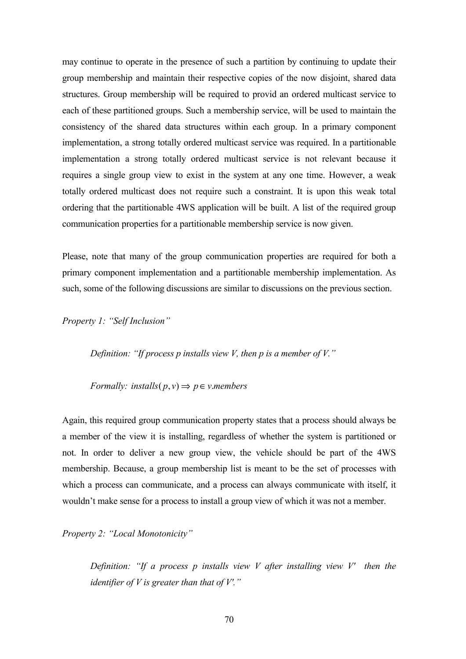may continue to operate in the presence of such a partition by continuing to update their group membership and maintain their respective copies of the now disjoint, shared data structures. Group membership will be required to provid an ordered multicast service to each of these partitioned groups. Such a membership service, will be used to maintain the consistency of the shared data structures within each group. In a primary component implementation, a strong totally ordered multicast service was required. In a partitionable implementation a strong totally ordered multicast service is not relevant because it requires a single group view to exist in the system at any one time. However, a weak totally ordered multicast does not require such a constraint. It is upon this weak total ordering that the partitionable 4WS application will be built. A list of the required group communication properties for a partitionable membership service is now given.

Please, note that many of the group communication properties are required for both a primary component implementation and a partitionable membership implementation. As such, some of the following discussions are similar to discussions on the previous section.

*Property 1: "Self Inclusion"* 

*Definition: "If process p installs view V, then p is a member of V."* 

*Formally: installs*( $p, v$ )  $\Rightarrow$   $p \in v$ *.members* 

Again, this required group communication property states that a process should always be a member of the view it is installing, regardless of whether the system is partitioned or not. In order to deliver a new group view, the vehicle should be part of the 4WS membership. Because, a group membership list is meant to be the set of processes with which a process can communicate, and a process can always communicate with itself, it wouldn't make sense for a process to install a group view of which it was not a member.

*Property 2: "Local Monotonicity"* 

*Definition: "If a process p installs view V after installing view V' then the identifier of V is greater than that of V'."*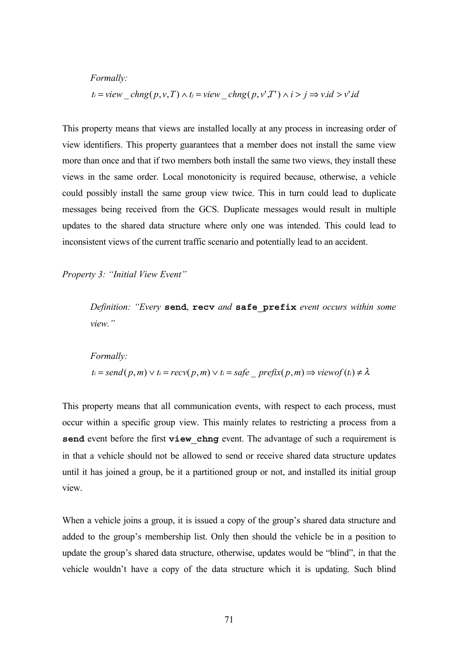*Formally:*  

$$
t_i = view\_chng(p, v, T) \land t_j = view\_chng(p, v', T') \land i > j \Rightarrow v.id > v' id
$$

This property means that views are installed locally at any process in increasing order of view identifiers. This property guarantees that a member does not install the same view more than once and that if two members both install the same two views, they install these views in the same order. Local monotonicity is required because, otherwise, a vehicle could possibly install the same group view twice. This in turn could lead to duplicate messages being received from the GCS. Duplicate messages would result in multiple updates to the shared data structure where only one was intended. This could lead to inconsistent views of the current traffic scenario and potentially lead to an accident.

*Property 3: "Initial View Event"* 

*Definition: "Every* **send**, **recv** *and* **safe\_prefix** *event occurs within some view."*

*Formally:*   $t_i = send(p, m) \vee t_i = recv(p, m) \vee t_i = safe \text{prefix}(p, m) \Rightarrow viewof(t_i) \neq \lambda$ 

This property means that all communication events, with respect to each process, must occur within a specific group view. This mainly relates to restricting a process from a **send** event before the first **view** chng event. The advantage of such a requirement is in that a vehicle should not be allowed to send or receive shared data structure updates until it has joined a group, be it a partitioned group or not, and installed its initial group view.

When a vehicle joins a group, it is issued a copy of the group's shared data structure and added to the group's membership list. Only then should the vehicle be in a position to update the group's shared data structure, otherwise, updates would be "blind", in that the vehicle wouldn't have a copy of the data structure which it is updating. Such blind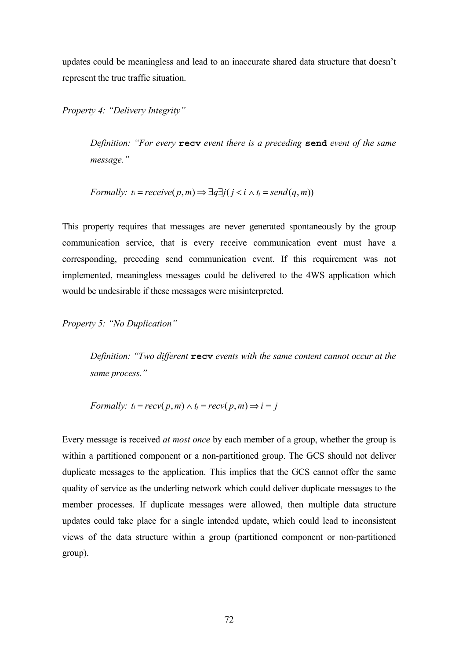updates could be meaningless and lead to an inaccurate shared data structure that doesn't represent the true traffic situation.

*Property 4: "Delivery Integrity"* 

*Definition: "For every* **recv** *event there is a preceding* **send** *event of the same message."* 

*Formally:* 
$$
t_i = receive(p, m) \Rightarrow \exists q \exists j (j < i \land t_j = send(q, m))
$$

This property requires that messages are never generated spontaneously by the group communication service, that is every receive communication event must have a corresponding, preceding send communication event. If this requirement was not implemented, meaningless messages could be delivered to the 4WS application which would be undesirable if these messages were misinterpreted.

*Property 5: "No Duplication"* 

*Definition: "Two different* **recv** *events with the same content cannot occur at the same process."*

*Formally:*  $t_i = recv(p, m) \wedge t_j = recv(p, m) \Rightarrow i = j$ 

Every message is received *at most once* by each member of a group, whether the group is within a partitioned component or a non-partitioned group. The GCS should not deliver duplicate messages to the application. This implies that the GCS cannot offer the same quality of service as the underling network which could deliver duplicate messages to the member processes. If duplicate messages were allowed, then multiple data structure updates could take place for a single intended update, which could lead to inconsistent views of the data structure within a group (partitioned component or non-partitioned group).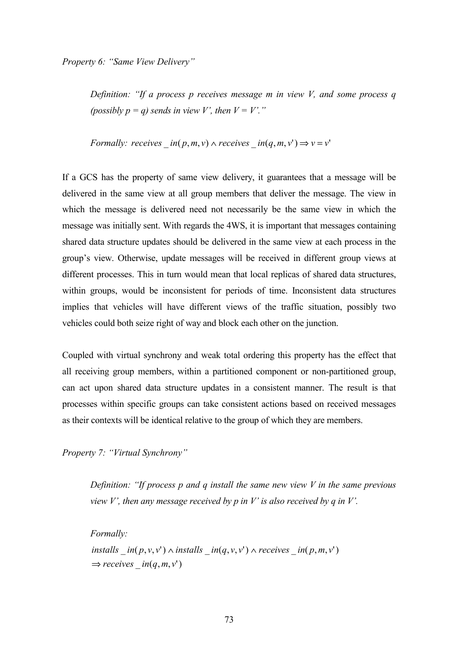*Property 6: "Same View Delivery"* 

*Definition: "If a process p receives message m in view V, and some process q (possibly p = q) sends in view V', then*  $V = V'$ *."* 

*Formally: receives*  $in(p, m, v) \wedge receives \quad in(q, m, v') \Rightarrow v = v'$ 

If a GCS has the property of same view delivery, it guarantees that a message will be delivered in the same view at all group members that deliver the message. The view in which the message is delivered need not necessarily be the same view in which the message was initially sent. With regards the 4WS, it is important that messages containing shared data structure updates should be delivered in the same view at each process in the group's view. Otherwise, update messages will be received in different group views at different processes. This in turn would mean that local replicas of shared data structures, within groups, would be inconsistent for periods of time. Inconsistent data structures implies that vehicles will have different views of the traffic situation, possibly two vehicles could both seize right of way and block each other on the junction.

Coupled with virtual synchrony and weak total ordering this property has the effect that all receiving group members, within a partitioned component or non-partitioned group, can act upon shared data structure updates in a consistent manner. The result is that processes within specific groups can take consistent actions based on received messages as their contexts will be identical relative to the group of which they are members.

*Property 7: "Virtual Synchrony"* 

*Definition: "If process p and q install the same new view V in the same previous view V', then any message received by p in V' is also received by q in V'.* 

*Formally:*   $\Rightarrow$  *receives*  $\pm$  *in*(*q*, *m*, *v*')  $\int$  *installs*  $\int$   $\int$  *in*( $p, v, v'$ )  $\wedge$  *installs*  $\int$  *in*( $q, v, v'$ )  $\wedge$  *receives*  $\int$  *in*( $p, m, v'$ )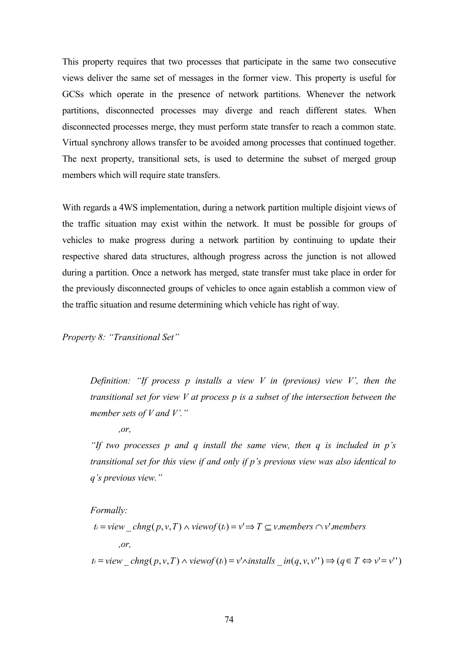This property requires that two processes that participate in the same two consecutive views deliver the same set of messages in the former view. This property is useful for GCSs which operate in the presence of network partitions. Whenever the network partitions, disconnected processes may diverge and reach different states. When disconnected processes merge, they must perform state transfer to reach a common state. Virtual synchrony allows transfer to be avoided among processes that continued together. The next property, transitional sets, is used to determine the subset of merged group members which will require state transfers.

With regards a 4WS implementation, during a network partition multiple disjoint views of the traffic situation may exist within the network. It must be possible for groups of vehicles to make progress during a network partition by continuing to update their respective shared data structures, although progress across the junction is not allowed during a partition. Once a network has merged, state transfer must take place in order for the previously disconnected groups of vehicles to once again establish a common view of the traffic situation and resume determining which vehicle has right of way.

*Property 8: "Transitional Set"* 

*Definition: "If process p installs a view V in (previous) view V', then the transitional set for view V at process p is a subset of the intersection between the member sets of V and V'."* 

*,or,* 

*"If two processes p and q install the same view, then q is included in p's transitional set for this view if and only if p's previous view was also identical to q's previous view."* 

*Formally:* 

*ti* = *view* \_ *chng*( *p*, *v*,*T*) ∧ *viewof* (*ti*) = *v*'⇒ *T* ⊆ *v*.*members* ∩ *v*'.*members ,or,* 

*ti* = *view*  $\text{chng}( p, v, T) \land \text{viewof}(t_i) = v' \land \text{installs}$   $\text{in}(q, v, v'') \Rightarrow (q \in T \Leftrightarrow v' = v'')$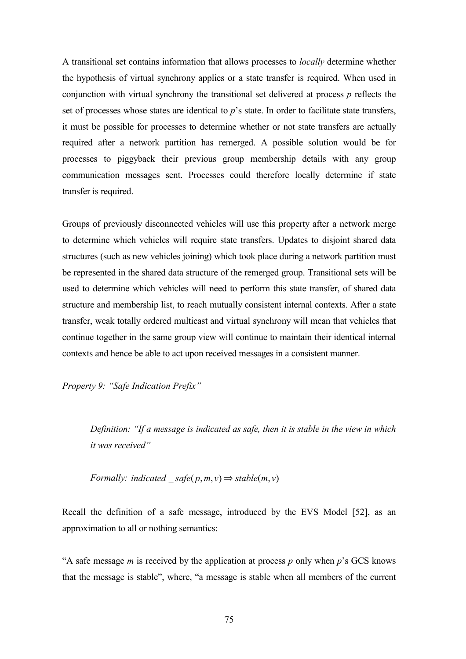A transitional set contains information that allows processes to *locally* determine whether the hypothesis of virtual synchrony applies or a state transfer is required. When used in conjunction with virtual synchrony the transitional set delivered at process *p* reflects the set of processes whose states are identical to *p*'s state. In order to facilitate state transfers, it must be possible for processes to determine whether or not state transfers are actually required after a network partition has remerged. A possible solution would be for processes to piggyback their previous group membership details with any group communication messages sent. Processes could therefore locally determine if state transfer is required.

Groups of previously disconnected vehicles will use this property after a network merge to determine which vehicles will require state transfers. Updates to disjoint shared data structures (such as new vehicles joining) which took place during a network partition must be represented in the shared data structure of the remerged group. Transitional sets will be used to determine which vehicles will need to perform this state transfer, of shared data structure and membership list, to reach mutually consistent internal contexts. After a state transfer, weak totally ordered multicast and virtual synchrony will mean that vehicles that continue together in the same group view will continue to maintain their identical internal contexts and hence be able to act upon received messages in a consistent manner.

*Property 9: "Safe Indication Prefix"* 

*Definition: "If a message is indicated as safe, then it is stable in the view in which it was received"* 

*Formally: indicated*  $\text{safe}(p, m, v) \Rightarrow \text{stable}(m, v)$ 

Recall the definition of a safe message, introduced by the EVS Model [52], as an approximation to all or nothing semantics:

"A safe message *m* is received by the application at process *p* only when *p*'s GCS knows that the message is stable", where, "a message is stable when all members of the current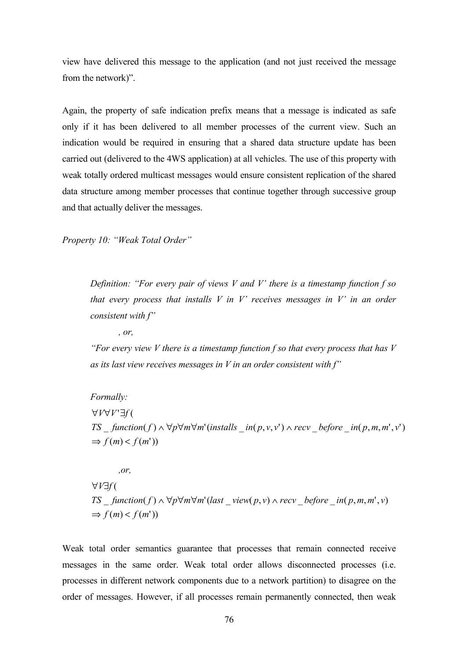view have delivered this message to the application (and not just received the message from the network)".

Again, the property of safe indication prefix means that a message is indicated as safe only if it has been delivered to all member processes of the current view. Such an indication would be required in ensuring that a shared data structure update has been carried out (delivered to the 4WS application) at all vehicles. The use of this property with weak totally ordered multicast messages would ensure consistent replication of the shared data structure among member processes that continue together through successive group and that actually deliver the messages.

*Property 10: "Weak Total Order"* 

*Definition: "For every pair of views V and V' there is a timestamp function f so that every process that installs V in V' receives messages in V' in an order consistent with f"* 

*, or,* 

*"For every view V there is a timestamp function f so that every process that has V as its last view receives messages in V in an order consistent with f"*

*Formally:*   $\Rightarrow$   $f(m) < f(m')$ TS \_ function(f)  $\land \forall p \forall m \forall m'$  (installs \_in(p,v,v')  $\land$  recv \_before \_in(p,m,m',v') ∀*V∀V`∃f* (

*,or,*   $\Rightarrow$   $f(m) < f(m')$  $TS\_function(f) \wedge \forall p \forall m \forall m' (last\_view(p, v) \wedge recv\_before\_in(p, m, m', v)$ ( *V f* ∀ ∃

Weak total order semantics guarantee that processes that remain connected receive messages in the same order. Weak total order allows disconnected processes (i.e. processes in different network components due to a network partition) to disagree on the order of messages. However, if all processes remain permanently connected, then weak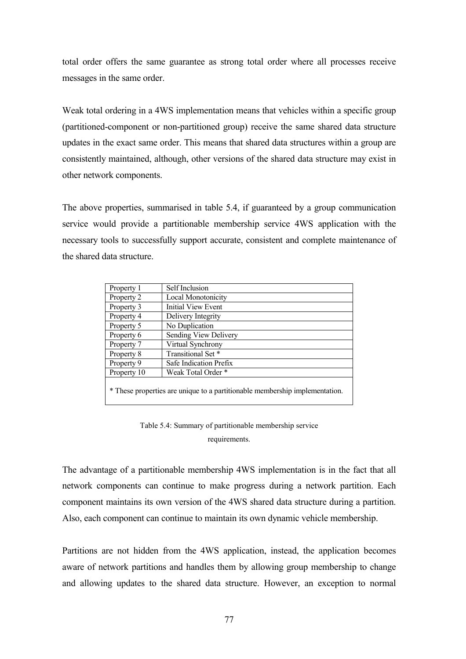total order offers the same guarantee as strong total order where all processes receive messages in the same order.

Weak total ordering in a 4WS implementation means that vehicles within a specific group (partitioned-component or non-partitioned group) receive the same shared data structure updates in the exact same order. This means that shared data structures within a group are consistently maintained, although, other versions of the shared data structure may exist in other network components.

The above properties, summarised in table 5.4, if guaranteed by a group communication service would provide a partitionable membership service 4WS application with the necessary tools to successfully support accurate, consistent and complete maintenance of the shared data structure.

| Property 1                                                                  | Self Inclusion            |
|-----------------------------------------------------------------------------|---------------------------|
| Property 2                                                                  | <b>Local Monotonicity</b> |
| Property 3                                                                  | <b>Initial View Event</b> |
| Property 4                                                                  | Delivery Integrity        |
| Property 5                                                                  | No Duplication            |
| Property 6                                                                  | Sending View Delivery     |
| Property 7                                                                  | Virtual Synchrony         |
| Property 8                                                                  | Transitional Set*         |
| Property 9                                                                  | Safe Indication Prefix    |
| Property 10                                                                 | Weak Total Order *        |
| * These properties are unique to a partitionable membership implementation. |                           |

Table 5.4: Summary of partitionable membership service requirements.

The advantage of a partitionable membership 4WS implementation is in the fact that all network components can continue to make progress during a network partition. Each component maintains its own version of the 4WS shared data structure during a partition. Also, each component can continue to maintain its own dynamic vehicle membership.

Partitions are not hidden from the 4WS application, instead, the application becomes aware of network partitions and handles them by allowing group membership to change and allowing updates to the shared data structure. However, an exception to normal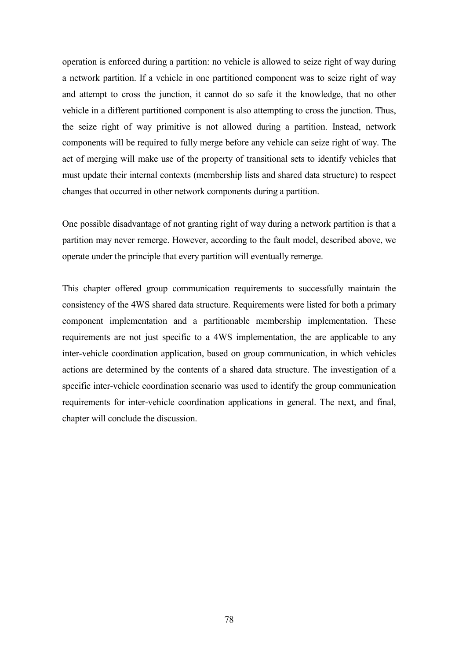operation is enforced during a partition: no vehicle is allowed to seize right of way during a network partition. If a vehicle in one partitioned component was to seize right of way and attempt to cross the junction, it cannot do so safe it the knowledge, that no other vehicle in a different partitioned component is also attempting to cross the junction. Thus, the seize right of way primitive is not allowed during a partition. Instead, network components will be required to fully merge before any vehicle can seize right of way. The act of merging will make use of the property of transitional sets to identify vehicles that must update their internal contexts (membership lists and shared data structure) to respect changes that occurred in other network components during a partition.

One possible disadvantage of not granting right of way during a network partition is that a partition may never remerge. However, according to the fault model, described above, we operate under the principle that every partition will eventually remerge.

This chapter offered group communication requirements to successfully maintain the consistency of the 4WS shared data structure. Requirements were listed for both a primary component implementation and a partitionable membership implementation. These requirements are not just specific to a 4WS implementation, the are applicable to any inter-vehicle coordination application, based on group communication, in which vehicles actions are determined by the contents of a shared data structure. The investigation of a specific inter-vehicle coordination scenario was used to identify the group communication requirements for inter-vehicle coordination applications in general. The next, and final, chapter will conclude the discussion.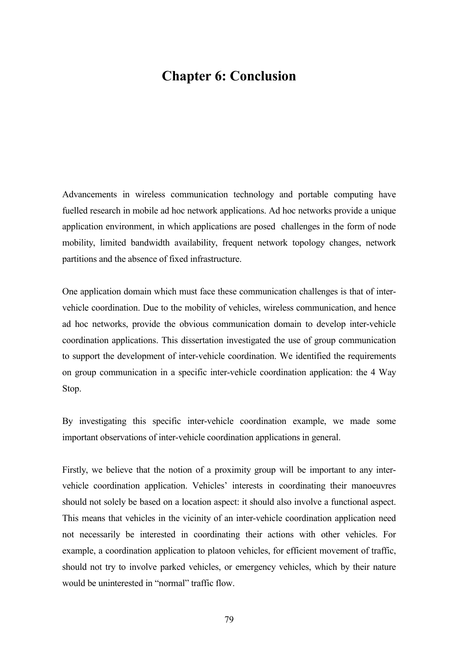# **Chapter 6: Conclusion**

Advancements in wireless communication technology and portable computing have fuelled research in mobile ad hoc network applications. Ad hoc networks provide a unique application environment, in which applications are posed challenges in the form of node mobility, limited bandwidth availability, frequent network topology changes, network partitions and the absence of fixed infrastructure.

One application domain which must face these communication challenges is that of intervehicle coordination. Due to the mobility of vehicles, wireless communication, and hence ad hoc networks, provide the obvious communication domain to develop inter-vehicle coordination applications. This dissertation investigated the use of group communication to support the development of inter-vehicle coordination. We identified the requirements on group communication in a specific inter-vehicle coordination application: the 4 Way Stop.

By investigating this specific inter-vehicle coordination example, we made some important observations of inter-vehicle coordination applications in general.

Firstly, we believe that the notion of a proximity group will be important to any intervehicle coordination application. Vehicles' interests in coordinating their manoeuvres should not solely be based on a location aspect: it should also involve a functional aspect. This means that vehicles in the vicinity of an inter-vehicle coordination application need not necessarily be interested in coordinating their actions with other vehicles. For example, a coordination application to platoon vehicles, for efficient movement of traffic, should not try to involve parked vehicles, or emergency vehicles, which by their nature would be uninterested in "normal" traffic flow.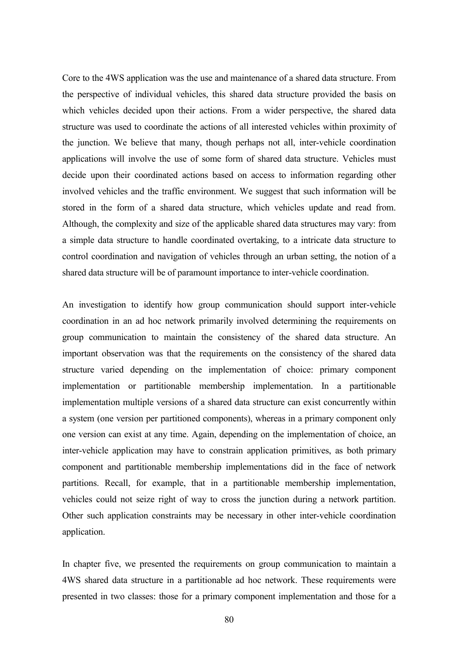Core to the 4WS application was the use and maintenance of a shared data structure. From the perspective of individual vehicles, this shared data structure provided the basis on which vehicles decided upon their actions. From a wider perspective, the shared data structure was used to coordinate the actions of all interested vehicles within proximity of the junction. We believe that many, though perhaps not all, inter-vehicle coordination applications will involve the use of some form of shared data structure. Vehicles must decide upon their coordinated actions based on access to information regarding other involved vehicles and the traffic environment. We suggest that such information will be stored in the form of a shared data structure, which vehicles update and read from. Although, the complexity and size of the applicable shared data structures may vary: from a simple data structure to handle coordinated overtaking, to a intricate data structure to control coordination and navigation of vehicles through an urban setting, the notion of a shared data structure will be of paramount importance to inter-vehicle coordination.

An investigation to identify how group communication should support inter-vehicle coordination in an ad hoc network primarily involved determining the requirements on group communication to maintain the consistency of the shared data structure. An important observation was that the requirements on the consistency of the shared data structure varied depending on the implementation of choice: primary component implementation or partitionable membership implementation. In a partitionable implementation multiple versions of a shared data structure can exist concurrently within a system (one version per partitioned components), whereas in a primary component only one version can exist at any time. Again, depending on the implementation of choice, an inter-vehicle application may have to constrain application primitives, as both primary component and partitionable membership implementations did in the face of network partitions. Recall, for example, that in a partitionable membership implementation, vehicles could not seize right of way to cross the junction during a network partition. Other such application constraints may be necessary in other inter-vehicle coordination application.

In chapter five, we presented the requirements on group communication to maintain a 4WS shared data structure in a partitionable ad hoc network. These requirements were presented in two classes: those for a primary component implementation and those for a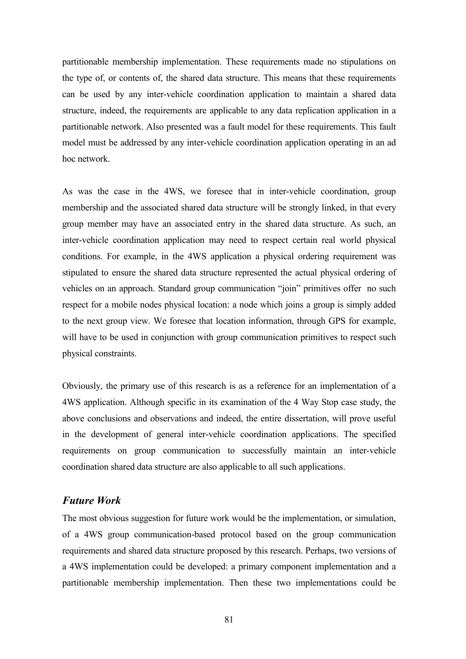partitionable membership implementation. These requirements made no stipulations on the type of, or contents of, the shared data structure. This means that these requirements can be used by any inter-vehicle coordination application to maintain a shared data structure, indeed, the requirements are applicable to any data replication application in a partitionable network. Also presented was a fault model for these requirements. This fault model must be addressed by any inter-vehicle coordination application operating in an ad hoc network.

As was the case in the 4WS, we foresee that in inter-vehicle coordination, group membership and the associated shared data structure will be strongly linked, in that every group member may have an associated entry in the shared data structure. As such, an inter-vehicle coordination application may need to respect certain real world physical conditions. For example, in the 4WS application a physical ordering requirement was stipulated to ensure the shared data structure represented the actual physical ordering of vehicles on an approach. Standard group communication "join" primitives offer no such respect for a mobile nodes physical location: a node which joins a group is simply added to the next group view. We foresee that location information, through GPS for example, will have to be used in conjunction with group communication primitives to respect such physical constraints.

Obviously, the primary use of this research is as a reference for an implementation of a 4WS application. Although specific in its examination of the 4 Way Stop case study, the above conclusions and observations and indeed, the entire dissertation, will prove useful in the development of general inter-vehicle coordination applications. The specified requirements on group communication to successfully maintain an inter-vehicle coordination shared data structure are also applicable to all such applications.

### *Future Work*

The most obvious suggestion for future work would be the implementation, or simulation, of a 4WS group communication-based protocol based on the group communication requirements and shared data structure proposed by this research. Perhaps, two versions of a 4WS implementation could be developed: a primary component implementation and a partitionable membership implementation. Then these two implementations could be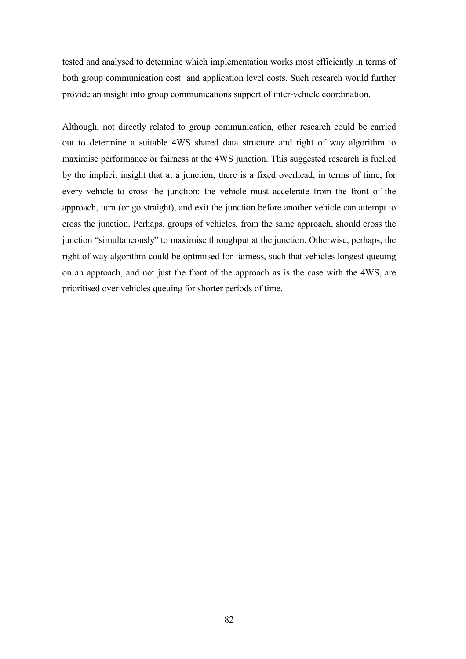tested and analysed to determine which implementation works most efficiently in terms of both group communication cost and application level costs. Such research would further provide an insight into group communications support of inter-vehicle coordination.

Although, not directly related to group communication, other research could be carried out to determine a suitable 4WS shared data structure and right of way algorithm to maximise performance or fairness at the 4WS junction. This suggested research is fuelled by the implicit insight that at a junction, there is a fixed overhead, in terms of time, for every vehicle to cross the junction: the vehicle must accelerate from the front of the approach, turn (or go straight), and exit the junction before another vehicle can attempt to cross the junction. Perhaps, groups of vehicles, from the same approach, should cross the junction "simultaneously" to maximise throughput at the junction. Otherwise, perhaps, the right of way algorithm could be optimised for fairness, such that vehicles longest queuing on an approach, and not just the front of the approach as is the case with the 4WS, are prioritised over vehicles queuing for shorter periods of time.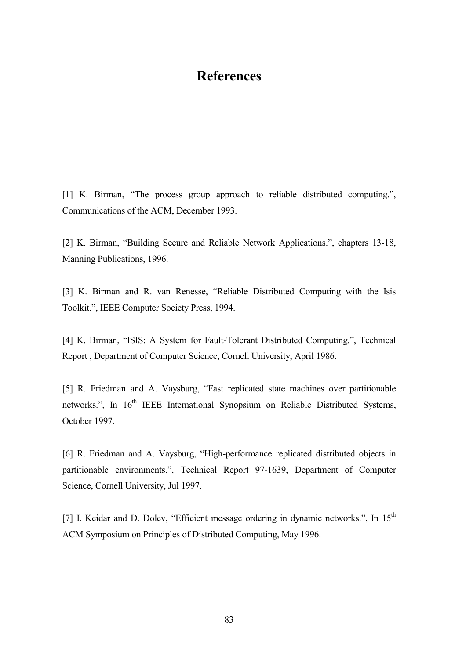# **References**

[1] K. Birman, "The process group approach to reliable distributed computing.", Communications of the ACM, December 1993.

[2] K. Birman, "Building Secure and Reliable Network Applications.", chapters 13-18, Manning Publications, 1996.

[3] K. Birman and R. van Renesse, "Reliable Distributed Computing with the Isis Toolkit.", IEEE Computer Society Press, 1994.

[4] K. Birman, "ISIS: A System for Fault-Tolerant Distributed Computing.", Technical Report , Department of Computer Science, Cornell University, April 1986.

[5] R. Friedman and A. Vaysburg, "Fast replicated state machines over partitionable networks.", In 16<sup>th</sup> IEEE International Synopsium on Reliable Distributed Systems, October 1997.

[6] R. Friedman and A. Vaysburg, "High-performance replicated distributed objects in partitionable environments.", Technical Report 97-1639, Department of Computer Science, Cornell University, Jul 1997.

[7] I. Keidar and D. Dolev, "Efficient message ordering in dynamic networks.", In 15<sup>th</sup> ACM Symposium on Principles of Distributed Computing, May 1996.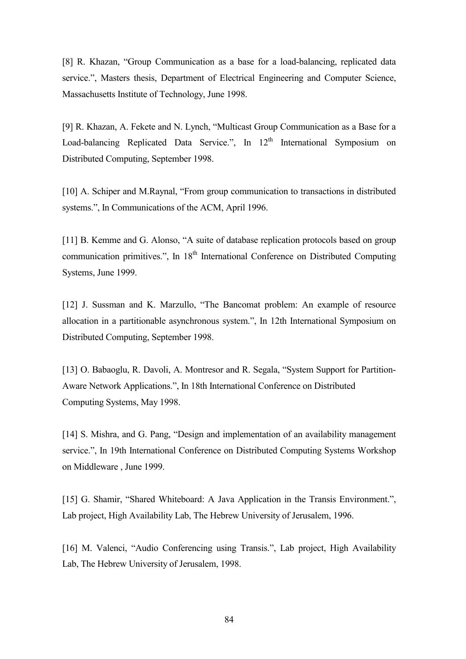[8] R. Khazan, "Group Communication as a base for a load-balancing, replicated data service.", Masters thesis, Department of Electrical Engineering and Computer Science, Massachusetts Institute of Technology, June 1998.

[9] R. Khazan, A. Fekete and N. Lynch, "Multicast Group Communication as a Base for a Load-balancing Replicated Data Service.", In 12<sup>th</sup> International Symposium on Distributed Computing, September 1998.

[10] A. Schiper and M.Raynal, "From group communication to transactions in distributed systems.", In Communications of the ACM, April 1996.

[11] B. Kemme and G. Alonso, "A suite of database replication protocols based on group communication primitives.", In 18<sup>th</sup> International Conference on Distributed Computing Systems, June 1999.

[12] J. Sussman and K. Marzullo, "The Bancomat problem: An example of resource allocation in a partitionable asynchronous system.", In 12th International Symposium on Distributed Computing, September 1998.

[13] O. Babaoglu, R. Davoli, A. Montresor and R. Segala, "System Support for Partition-Aware Network Applications.", In 18th International Conference on Distributed Computing Systems, May 1998.

[14] S. Mishra, and G. Pang, "Design and implementation of an availability management service.", In 19th International Conference on Distributed Computing Systems Workshop on Middleware , June 1999.

[15] G. Shamir, "Shared Whiteboard: A Java Application in the Transis Environment.", Lab project, High Availability Lab, The Hebrew University of Jerusalem, 1996.

[16] M. Valenci, "Audio Conferencing using Transis.", Lab project, High Availability Lab, The Hebrew University of Jerusalem, 1998.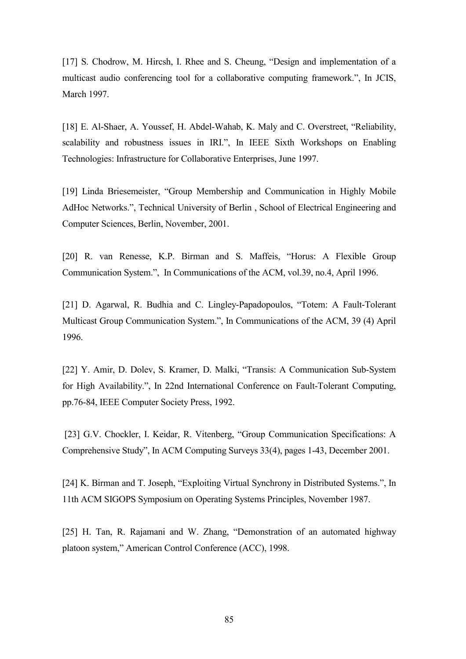[17] S. Chodrow, M. Hircsh, I. Rhee and S. Cheung, "Design and implementation of a multicast audio conferencing tool for a collaborative computing framework.", In JCIS, March 1997.

[18] E. Al-Shaer, A. Youssef, H. Abdel-Wahab, K. Maly and C. Overstreet, "Reliability, scalability and robustness issues in IRI.", In IEEE Sixth Workshops on Enabling Technologies: Infrastructure for Collaborative Enterprises, June 1997.

[19] Linda Briesemeister, "Group Membership and Communication in Highly Mobile AdHoc Networks.", Technical University of Berlin , School of Electrical Engineering and Computer Sciences, Berlin, November, 2001.

[20] R. van Renesse, K.P. Birman and S. Maffeis, "Horus: A Flexible Group Communication System.", In Communications of the ACM, vol.39, no.4, April 1996.

[21] D. Agarwal, R. Budhia and C. Lingley-Papadopoulos, "Totem: A Fault-Tolerant Multicast Group Communication System.", In Communications of the ACM, 39 (4) April 1996.

[22] Y. Amir, D. Dolev, S. Kramer, D. Malki, "Transis: A Communication Sub-System for High Availability.", In 22nd International Conference on Fault-Tolerant Computing, pp.76-84, IEEE Computer Society Press, 1992.

 [23] G.V. Chockler, I. Keidar, R. Vitenberg, "Group Communication Specifications: A Comprehensive Study", In ACM Computing Surveys 33(4), pages 1-43, December 2001.

[24] K. Birman and T. Joseph, "Exploiting Virtual Synchrony in Distributed Systems.", In 11th ACM SIGOPS Symposium on Operating Systems Principles, November 1987.

[25] H. Tan, R. Rajamani and W. Zhang, "Demonstration of an automated highway platoon system," American Control Conference (ACC), 1998.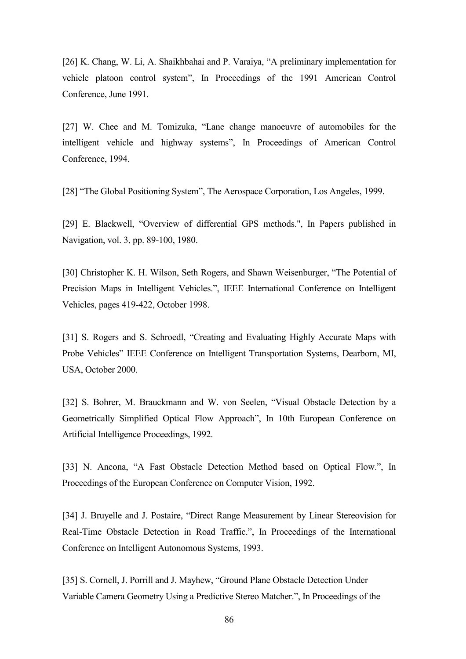[26] K. Chang, W. Li, A. Shaikhbahai and P. Varaiya, "A preliminary implementation for vehicle platoon control system", In Proceedings of the 1991 American Control Conference, June 1991.

[27] W. Chee and M. Tomizuka, "Lane change manoeuvre of automobiles for the intelligent vehicle and highway systems", In Proceedings of American Control Conference, 1994.

[28] "The Global Positioning System", The Aerospace Corporation, Los Angeles, 1999.

[29] E. Blackwell, "Overview of differential GPS methods.", In Papers published in Navigation, vol. 3, pp. 89-100, 1980.

[30] Christopher K. H. Wilson, Seth Rogers, and Shawn Weisenburger, "The Potential of Precision Maps in Intelligent Vehicles.", IEEE International Conference on Intelligent Vehicles, pages 419-422, October 1998.

[31] S. Rogers and S. Schroedl, "Creating and Evaluating Highly Accurate Maps with Probe Vehicles" IEEE Conference on Intelligent Transportation Systems, Dearborn, MI, USA, October 2000.

[32] S. Bohrer, M. Brauckmann and W. von Seelen, "Visual Obstacle Detection by a Geometrically Simplified Optical Flow Approach", In 10th European Conference on Artificial Intelligence Proceedings, 1992.

[33] N. Ancona, "A Fast Obstacle Detection Method based on Optical Flow.", In Proceedings of the European Conference on Computer Vision, 1992.

[34] J. Bruyelle and J. Postaire, "Direct Range Measurement by Linear Stereovision for Real-Time Obstacle Detection in Road Traffic.", In Proceedings of the International Conference on Intelligent Autonomous Systems, 1993.

[35] S. Cornell, J. Porrill and J. Mayhew, "Ground Plane Obstacle Detection Under Variable Camera Geometry Using a Predictive Stereo Matcher.", In Proceedings of the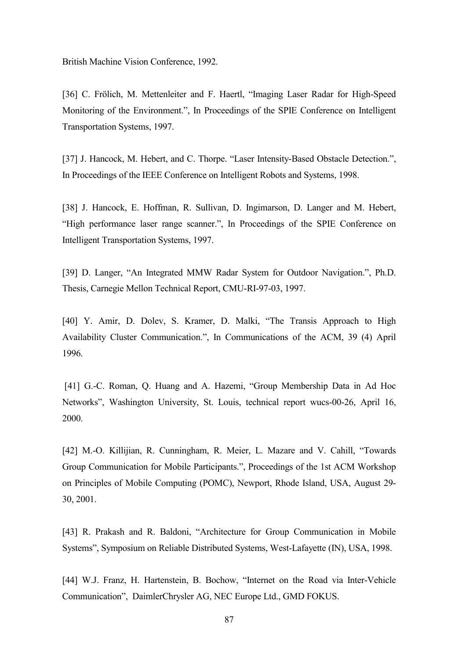British Machine Vision Conference, 1992.

[36] C. Frölich, M. Mettenleiter and F. Haertl, "Imaging Laser Radar for High-Speed Monitoring of the Environment.", In Proceedings of the SPIE Conference on Intelligent Transportation Systems, 1997.

[37] J. Hancock, M. Hebert, and C. Thorpe. "Laser Intensity-Based Obstacle Detection.", In Proceedings of the IEEE Conference on Intelligent Robots and Systems, 1998.

[38] J. Hancock, E. Hoffman, R. Sullivan, D. Ingimarson, D. Langer and M. Hebert, "High performance laser range scanner.", In Proceedings of the SPIE Conference on Intelligent Transportation Systems, 1997.

[39] D. Langer, "An Integrated MMW Radar System for Outdoor Navigation.", Ph.D. Thesis, Carnegie Mellon Technical Report, CMU-RI-97-03, 1997.

[40] Y. Amir, D. Dolev, S. Kramer, D. Malki, "The Transis Approach to High Availability Cluster Communication.", In Communications of the ACM, 39 (4) April 1996.

 [41] G.-C. Roman, Q. Huang and A. Hazemi, "Group Membership Data in Ad Hoc Networks", Washington University, St. Louis, technical report wucs-00-26, April 16, 2000.

[42] M.-O. Killijian, R. Cunningham, R. Meier, L. Mazare and V. Cahill, "Towards Group Communication for Mobile Participants.", Proceedings of the 1st ACM Workshop on Principles of Mobile Computing (POMC), Newport, Rhode Island, USA, August 29- 30, 2001.

[43] R. Prakash and R. Baldoni, "Architecture for Group Communication in Mobile Systems", Symposium on Reliable Distributed Systems, West-Lafayette (IN), USA, 1998.

[44] W.J. Franz, H. Hartenstein, B. Bochow, "Internet on the Road via Inter-Vehicle Communication", DaimlerChrysler AG, NEC Europe Ltd., GMD FOKUS.